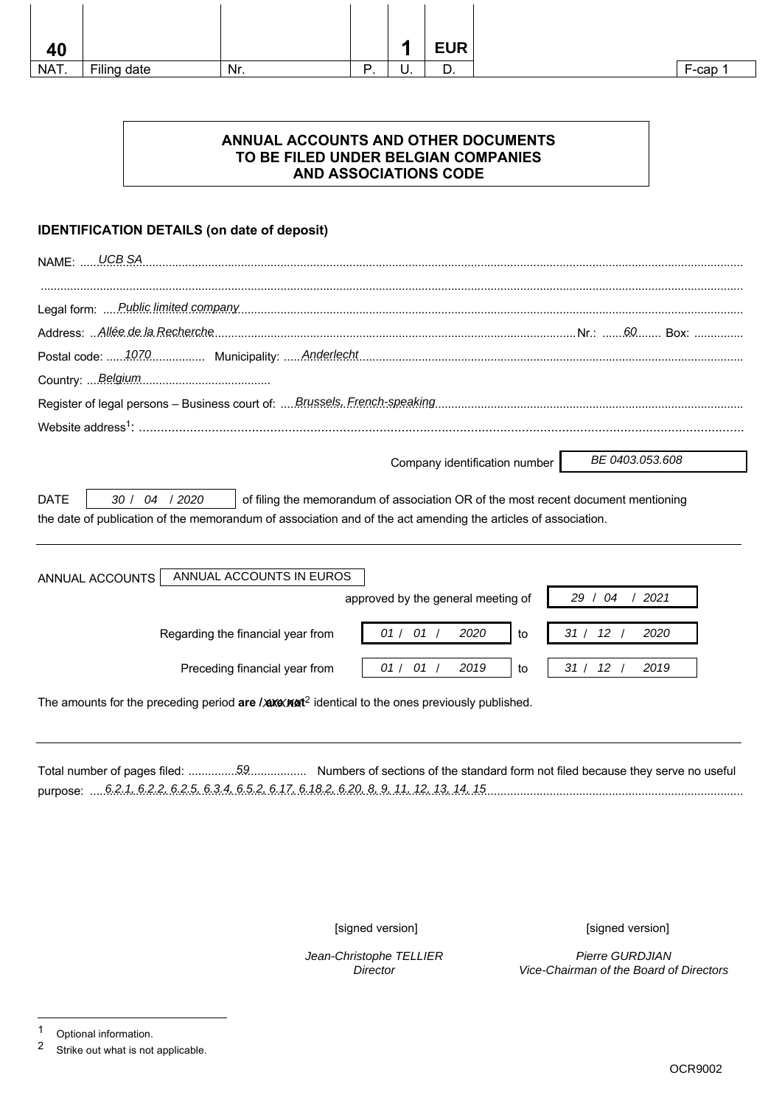| 40   |             |     |          | п  | <b>EUR</b> |
|------|-------------|-----|----------|----|------------|
| NAT. | Filing date | Nr. | D<br>. . | υ. | 宀<br>υ.    |

## **ANNUAL ACCOUNTS AND OTHER DOCUMENTS TO BE FILED UNDER BELGIAN COMPANIES AND ASSOCIATIONS CODE**

## **IDENTIFICATION DETAILS (on date of deposit)**

| <b>UCB SA</b><br><b>NAME: </b>                                                                                                                                                                                                      |
|-------------------------------------------------------------------------------------------------------------------------------------------------------------------------------------------------------------------------------------|
|                                                                                                                                                                                                                                     |
|                                                                                                                                                                                                                                     |
|                                                                                                                                                                                                                                     |
|                                                                                                                                                                                                                                     |
|                                                                                                                                                                                                                                     |
|                                                                                                                                                                                                                                     |
| BE 0403.053.608<br>Company identification number                                                                                                                                                                                    |
| 30 / 04 / 2020<br><b>DATE</b><br>of filing the memorandum of association OR of the most recent document mentioning<br>the date of publication of the memorandum of association and of the act amending the articles of association. |
| ANNUAL ACCOUNTS IN EUROS<br>ANNUAL ACCOUNTS<br>29 / 04<br>approved by the general meeting of<br>2021                                                                                                                                |
| 01 / 01 /<br>31 / 12 /<br>2020<br>2020<br>Regarding the financial year from<br>to                                                                                                                                                   |
| 01/01/<br>31 / 12 /<br>2019<br>2019<br>Preceding financial year from<br>to                                                                                                                                                          |
| The amounts for the preceding period are / $\triangle x \triangle x^2$ identical to the ones previously published.                                                                                                                  |

Total number of pages filed: .................................... Numbers of sections of the standard form not filed because they serve no useful 59 purpose: ....................................................................................................................................................................................................... 6.2.1, 6.2.2, 6.2.5, 6.3.4, 6.5.2, 6.17, 6.18.2, 6.20, 8, 9, 11, 12, 13, 14, 15

Jean-Christophe TELLIER **Director** 

[signed version] [signed version]

Pierre GURDJIAN Vice-Chairman of the Board of Directors

<sup>1</sup> Optional information.<br>2 Strike out what is not

Strike out what is not applicable.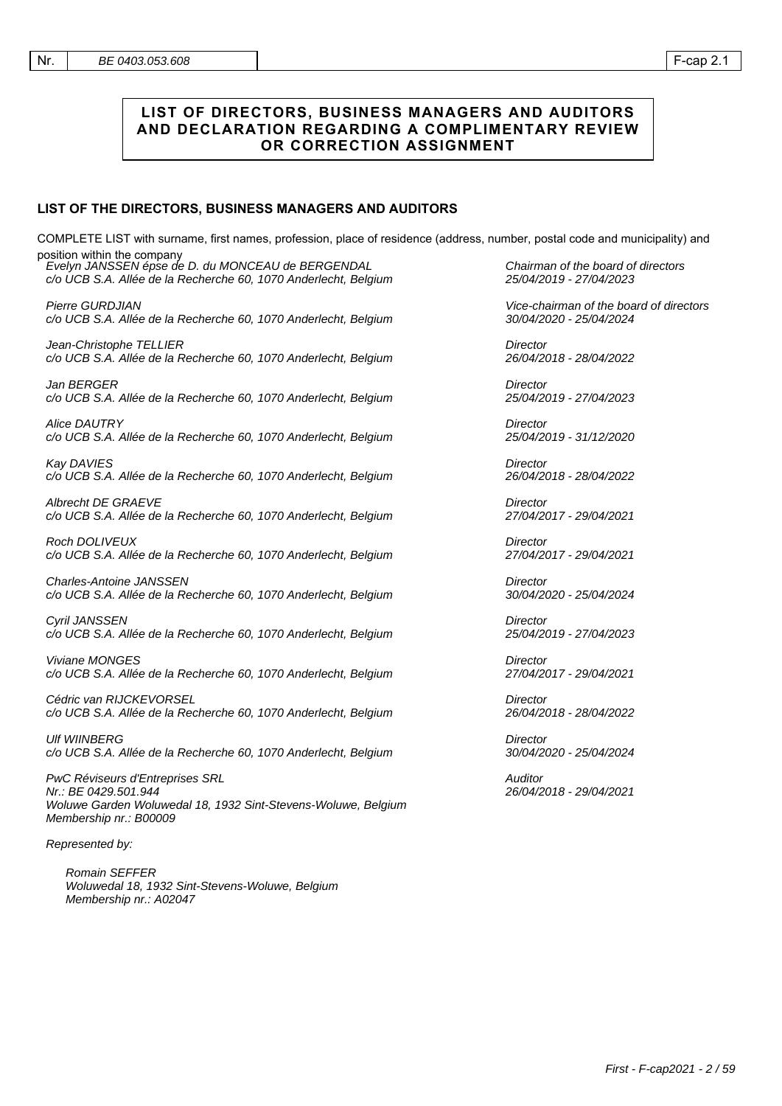#### **LIST OF DIRECTORS, BUSINESS MANAGERS AND AUDITORS AND DECLARATION REGARDING A COMPLIMENTARY REVIEW OR CORRECTION ASSIGNMENT**

#### **LIST OF THE DIRECTORS, BUSINESS MANAGERS AND AUDITORS**

COMPLETE LIST with surname, first names, profession, place of residence (address, number, postal code and municipality) and position within the company

| .<br>וושע<br>Evelyn JANSSEN épse de D. du MONCEAU de BERGENDAL<br>c/o UCB S.A. Allée de la Recherche 60, 1070 Anderlecht, Belgium                  |
|----------------------------------------------------------------------------------------------------------------------------------------------------|
| Pierre GURDJIAN<br>c/o UCB S.A. Allée de la Recherche 60, 1070 Anderlecht, Belgium                                                                 |
| Jean-Christophe TELLIER<br>c/o UCB S.A. Allée de la Recherche 60, 1070 Anderlecht, Belgium                                                         |
| Jan BERGER<br>c/o UCB S.A. Allée de la Recherche 60, 1070 Anderlecht, Belgium                                                                      |
| Alice DAUTRY<br>c/o UCB S.A. Allée de la Recherche 60, 1070 Anderlecht, Belgium                                                                    |
| Kay DAVIES<br>c/o UCB S.A. Allée de la Recherche 60, 1070 Anderlecht, Belgium                                                                      |
| <b>Albrecht DE GRAEVE</b><br>c/o UCB S.A. Allée de la Recherche 60, 1070 Anderlecht, Belgium                                                       |
| <b>Roch DOLIVEUX</b><br>c/o UCB S.A. Allée de la Recherche 60, 1070 Anderlecht, Belgium                                                            |
| <b>Charles-Antoine JANSSEN</b><br>c/o UCB S.A. Allée de la Recherche 60, 1070 Anderlecht, Belgium                                                  |
| Cyril JANSSEN<br>c/o UCB S.A. Allée de la Recherche 60, 1070 Anderlecht, Belgium                                                                   |
| Viviane MONGES<br>c/o UCB S.A. Allée de la Recherche 60, 1070 Anderlecht, Belgium                                                                  |
| Cédric van RIJCKEVORSEL<br>c/o UCB S.A. Allée de la Recherche 60, 1070 Anderlecht, Belgium                                                         |
| <b>UIf WIINBERG</b><br>c/o UCB S.A. Allée de la Recherche 60, 1070 Anderlecht, Belgium                                                             |
| PwC Réviseurs d'Entreprises SRL<br>Nr.: BE 0429.501.944<br>Woluwe Garden Woluwedal 18, 1932 Sint-Stevens-Woluwe, Belgium<br>Membership nr.: B00009 |
| Represented by:                                                                                                                                    |
| Romain SEFFER<br>Woluwedal 18, 1932 Sint-Stevens-Woluwe, Belgium<br>Membership nr.: A02047                                                         |
|                                                                                                                                                    |

Chairman of the board of directors 25/04/2019 - 27/04/2023

Vice-chairman of the board of directors 30/04/2020 - 25/04/2024

**Director** 26/04/2018 - 28/04/2022

**Director** 25/04/2019 - 27/04/2023

**Director** 25/04/2019 - 31/12/2020

**Director** 26/04/2018 - 28/04/2022

**Director** 27/04/2017 - 29/04/2021

**Director** 27/04/2017 - 29/04/2021

**Director** 30/04/2020 - 25/04/2024

**Director** 25/04/2019 - 27/04/2023

**Director** 27/04/2017 - 29/04/2021

**Director** 26/04/2018 - 28/04/2022

**Director** 30/04/2020 - 25/04/2024

**Auditor** 26/04/2018 - 29/04/2021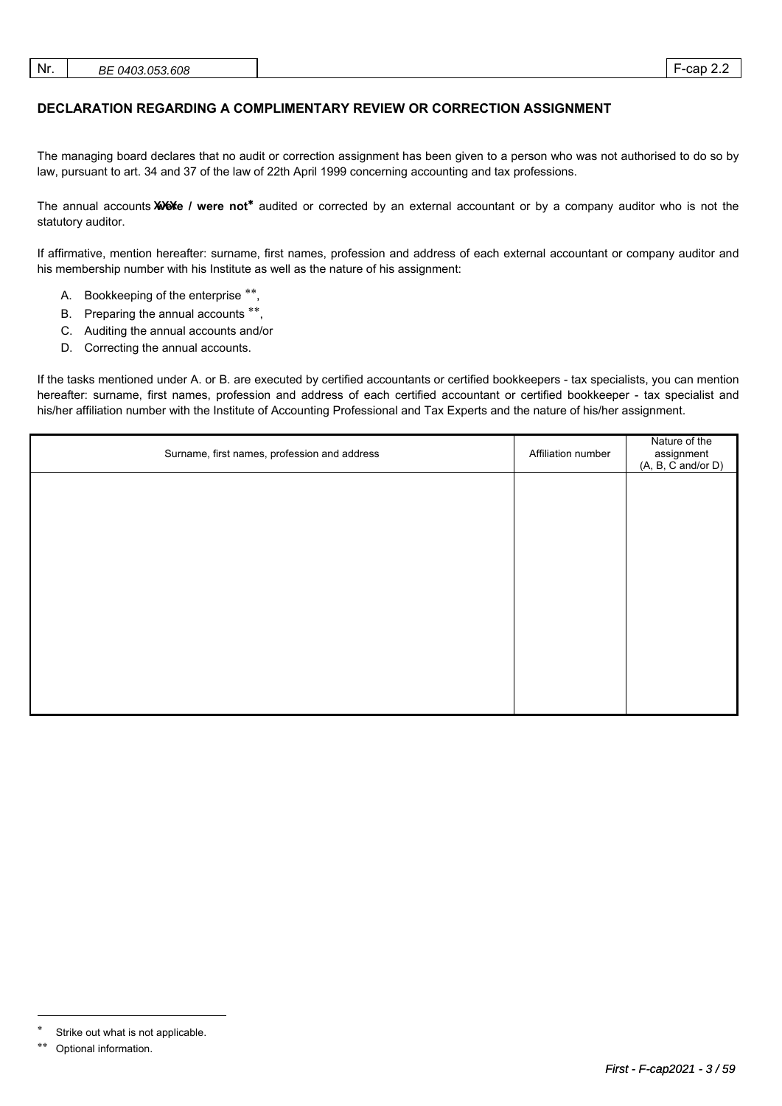| Nr. | BE 0403.053.608 |  | cap<br><u>.</u> |
|-----|-----------------|--|-----------------|
|-----|-----------------|--|-----------------|

## **DECLARATION REGARDING A COMPLIMENTARY REVIEW OR CORRECTION ASSIGNMENT**

The managing board declares that no audit or correction assignment has been given to a person who was not authorised to do so by law, pursuant to art. 34 and 37 of the law of 22th April 1999 concerning accounting and tax professions.

The annual accounts **XXX** / were not<sup>\*</sup> audited or corrected by an external accountant or by a company auditor who is not the statutory auditor.

If affirmative, mention hereafter: surname, first names, profession and address of each external accountant or company auditor and his membership number with his Institute as well as the nature of his assignment:

- A. Bookkeeping of the enterprise \*\*,
- B. Preparing the annual accounts \*\*,
- C. Auditing the annual accounts and/or
- D. Correcting the annual accounts.

If the tasks mentioned under A. or B. are executed by certified accountants or certified bookkeepers - tax specialists, you can mention hereafter: surname, first names, profession and address of each certified accountant or certified bookkeeper - tax specialist and his/her affiliation number with the Institute of Accounting Professional and Tax Experts and the nature of his/her assignment.

| Surname, first names, profession and address | Affiliation number | Nature of the<br>assignment<br>(A, B, C and/or D) |
|----------------------------------------------|--------------------|---------------------------------------------------|
|                                              |                    |                                                   |
|                                              |                    |                                                   |
|                                              |                    |                                                   |
|                                              |                    |                                                   |
|                                              |                    |                                                   |
|                                              |                    |                                                   |
|                                              |                    |                                                   |

 $\overline{a}$ 

Strike out what is not applicable.

Optional information.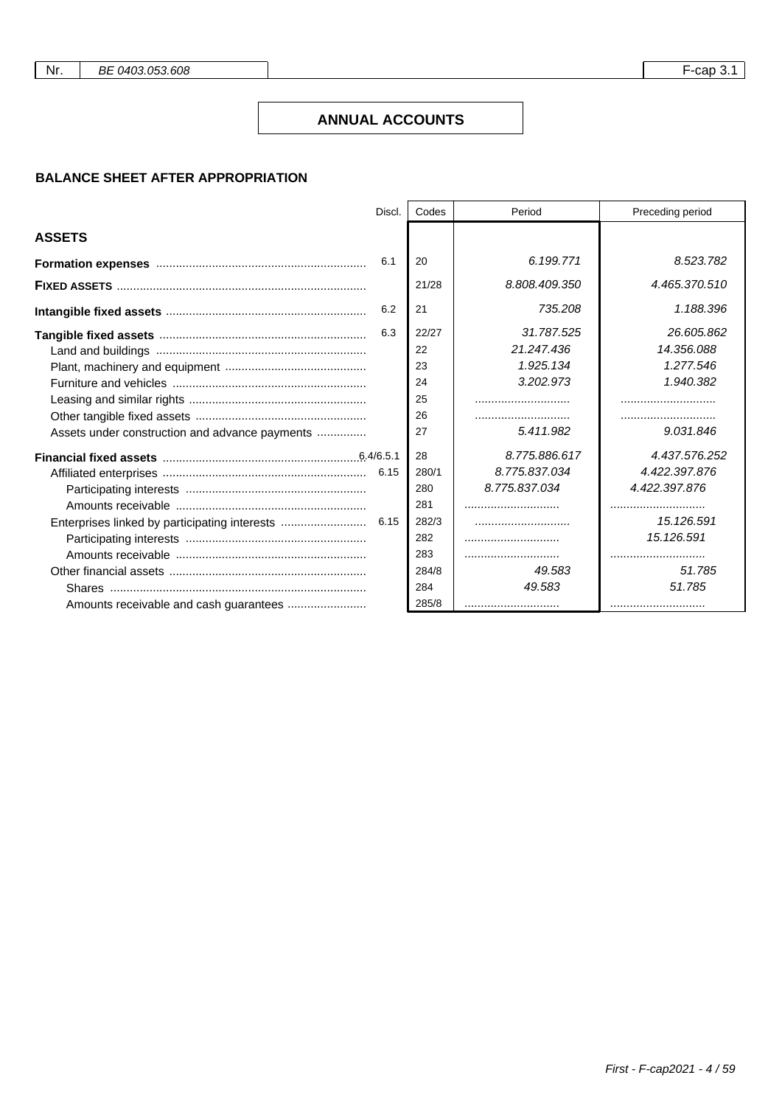## **ANNUAL ACCOUNTS**

## **BALANCE SHEET AFTER APPROPRIATION**

|                                                | Discl. | Codes | Period        | Preceding period |
|------------------------------------------------|--------|-------|---------------|------------------|
| <b>ASSETS</b>                                  |        |       |               |                  |
|                                                | 6.1    | 20    | 6.199.771     | 8.523.782        |
|                                                |        | 21/28 | 8.808.409.350 | 4.465.370.510    |
|                                                | 6.2    | 21    | 735.208       | 1.188.396        |
|                                                | 6.3    | 22/27 | 31.787.525    | 26.605.862       |
|                                                |        | 22    | 21.247.436    | 14.356.088       |
|                                                |        | 23    | 1.925.134     | 1.277.546        |
|                                                |        | 24    | 3.202.973     | 1.940.382        |
|                                                |        | 25    |               |                  |
|                                                |        | 26    |               |                  |
| Assets under construction and advance payments |        | 27    | 5.411.982     | 9.031.846        |
|                                                |        | 28    | 8.775.886.617 | 4.437.576.252    |
|                                                |        | 280/1 | 8.775.837.034 | 4.422.397.876    |
|                                                |        | 280   | 8.775.837.034 | 4.422.397.876    |
|                                                |        | 281   |               |                  |
|                                                |        | 282/3 |               | 15.126.591       |
|                                                |        | 282   |               | 15.126.591       |
|                                                |        | 283   |               |                  |
|                                                |        | 284/8 | 49.583        | 51.785           |
|                                                |        | 284   | 49.583        | 51.785           |
|                                                |        | 285/8 |               |                  |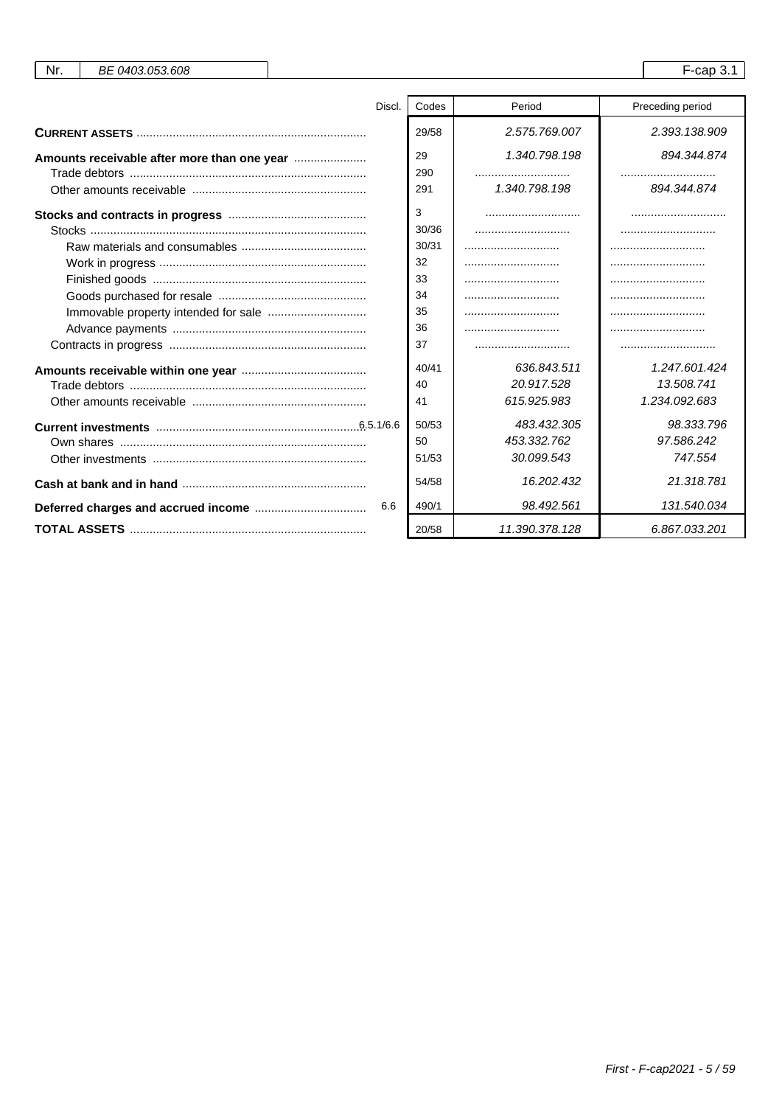| Nr.<br>BE 0403.053.608 |                |                | $F$ -cap 3.1     |
|------------------------|----------------|----------------|------------------|
|                        |                |                |                  |
| Discl.                 | Codes          | Period         | Preceding period |
|                        | 29/58          | 2.575.769.007  | 2.393.138.909    |
|                        | 29<br>290      | 1.340.798.198  | 894.344.874      |
|                        | 291            | 1,340,798,198  | 894.344.874      |
|                        | 3              |                |                  |
|                        | 30/36<br>30/31 |                |                  |
|                        | 32             |                |                  |
|                        | 33             |                |                  |
|                        | 34             |                |                  |
|                        | 35             |                |                  |
|                        | 36             |                |                  |
|                        | 37             |                |                  |
|                        | 40/41          | 636.843.511    | 1.247.601.424    |
|                        | 40             | 20.917.528     | 13.508.741       |
|                        | 41             | 615.925.983    | 1.234.092.683    |
|                        | 50/53          | 483.432.305    | 98.333.796       |
|                        | 50             | 453.332.762    | 97.586.242       |
|                        | 51/53          | 30.099.543     | 747.554          |
|                        | 54/58          | 16.202.432     | 21.318.781       |
| 6.6                    | 490/1          | 98.492.561     | 131.540.034      |
|                        | 20/58          | 11.390.378.128 | 6.867.033.201    |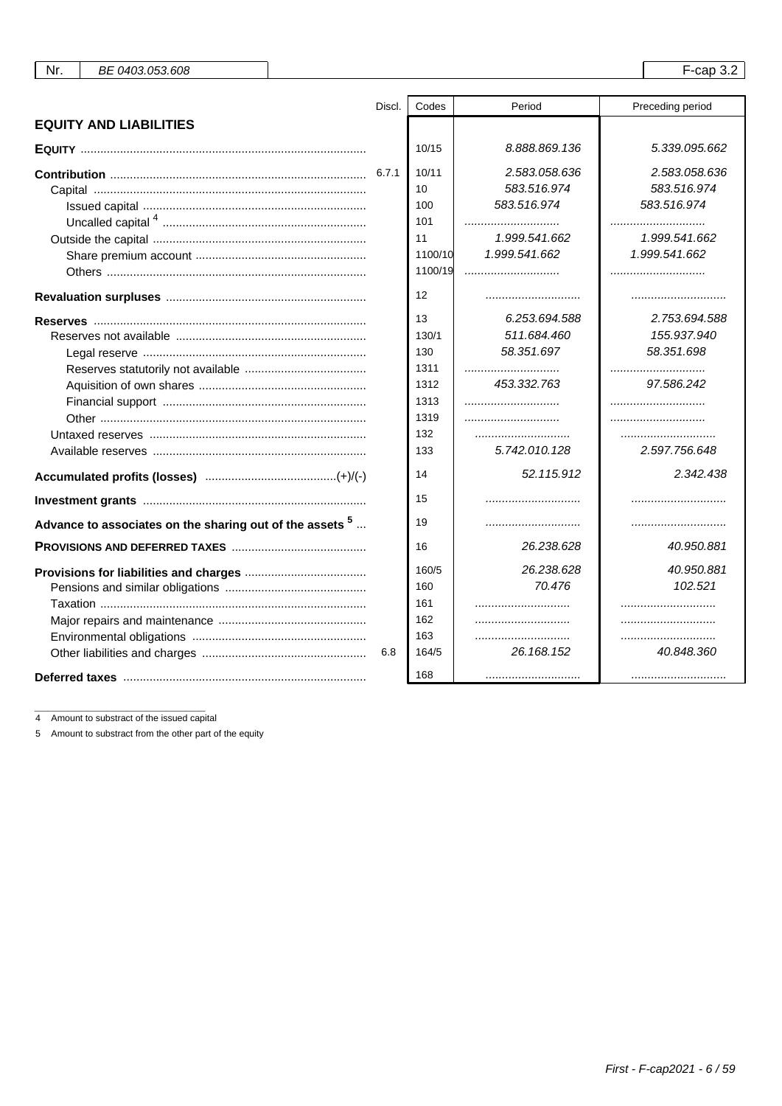| Nr.<br>BE 0403.053.608                                              |        |                   |               | $F$ -cap 3.2     |
|---------------------------------------------------------------------|--------|-------------------|---------------|------------------|
|                                                                     |        |                   |               |                  |
|                                                                     | Discl. | Codes             | Period        | Preceding period |
| <b>EQUITY AND LIABILITIES</b>                                       |        |                   |               |                  |
|                                                                     |        | 10/15             | 8.888.869.136 | 5.339.095.662    |
|                                                                     |        | 10/11             | 2.583.058.636 | 2.583.058.636    |
|                                                                     |        | 10                | 583.516.974   | 583.516.974      |
|                                                                     |        | 100               | 583.516.974   | 583.516.974      |
|                                                                     |        | 101               |               |                  |
|                                                                     |        | 11                | 1.999.541.662 | 1.999.541.662    |
|                                                                     |        | 1100/10           | 1.999.541.662 | 1.999.541.662    |
|                                                                     |        | 1100/19           |               |                  |
|                                                                     |        | $12 \overline{ }$ |               |                  |
|                                                                     |        | 13                | 6.253.694.588 | 2.753.694.588    |
|                                                                     |        | 130/1             | 511.684.460   | 155.937.940      |
|                                                                     |        | 130               | 58.351.697    | 58.351.698       |
|                                                                     |        | 1311              |               |                  |
|                                                                     |        | 1312              | 453.332.763   | 97.586.242       |
|                                                                     |        | 1313              |               |                  |
|                                                                     |        | 1319              |               |                  |
|                                                                     |        | 132               |               |                  |
|                                                                     |        | 133               | 5.742.010.128 | 2.597.756.648    |
|                                                                     |        | 14                | 52.115.912    | 2.342.438        |
|                                                                     |        | 15                |               |                  |
| Advance to associates on the sharing out of the assets <sup>5</sup> |        | 19                |               |                  |
|                                                                     |        | 16                | 26.238.628    | 40.950.881       |
|                                                                     |        | 160/5             | 26.238.628    | 40.950.881       |
|                                                                     |        | 160               | 70.476        | 102.521          |
|                                                                     |        | 161               |               |                  |
|                                                                     |        | 162               |               |                  |
|                                                                     |        | 163               |               |                  |
|                                                                     | 6.8    | 164/5             | 26.168.152    | 40.848.360       |
|                                                                     |        | 168               |               |                  |
|                                                                     |        |                   |               |                  |

4 Amount to substract of the issued capital

5 Amount to substract from the other part of the equity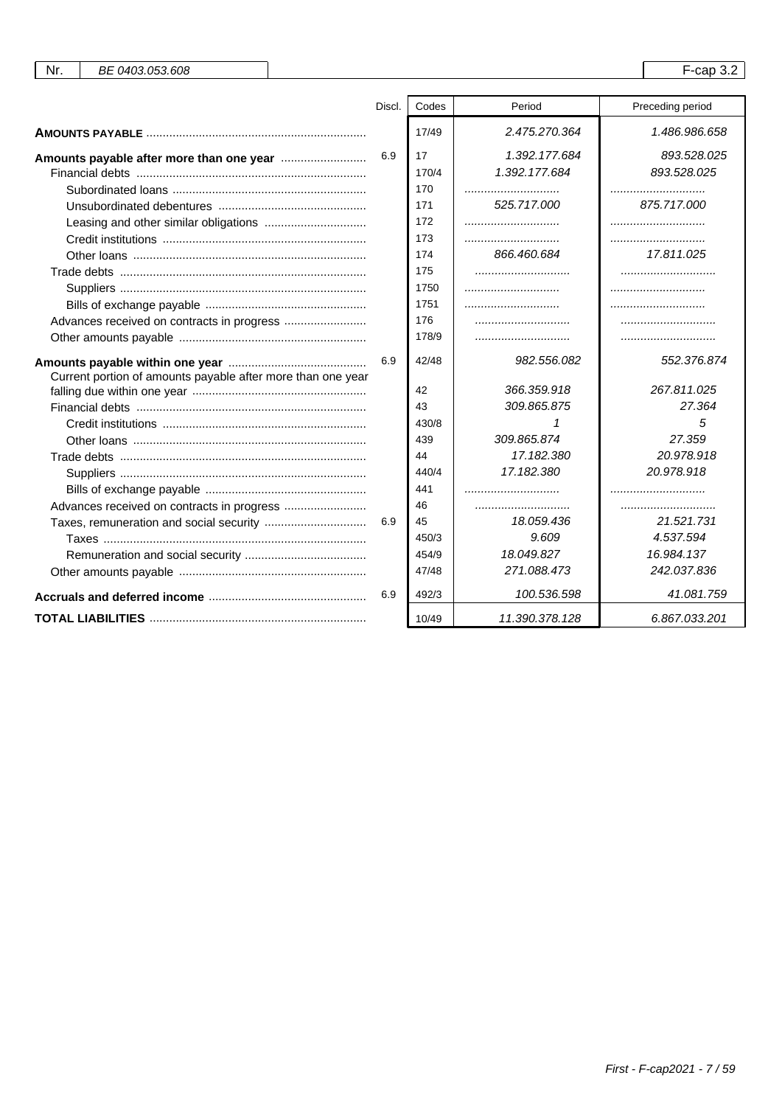| Nr.<br>BE 0403.053.608                                      |        |       |                | $F$ -cap 3.2     |
|-------------------------------------------------------------|--------|-------|----------------|------------------|
|                                                             |        |       |                |                  |
|                                                             | Discl. | Codes | Period         | Preceding period |
|                                                             |        | 17/49 | 2.475.270.364  | 1.486.986.658    |
|                                                             | 6.9    | 17    | 1.392.177.684  | 893.528.025      |
|                                                             |        | 170/4 | 1.392.177.684  | 893.528.025      |
|                                                             |        | 170   |                |                  |
|                                                             |        | 171   | 525.717.000    | 875.717.000      |
|                                                             |        | 172   |                |                  |
|                                                             |        | 173   |                |                  |
|                                                             |        | 174   | 866.460.684    | 17.811.025       |
|                                                             |        | 175   |                |                  |
|                                                             |        | 1750  |                |                  |
|                                                             |        | 1751  |                |                  |
| Advances received on contracts in progress                  |        | 176   |                |                  |
|                                                             |        | 178/9 |                |                  |
|                                                             | 6.9    | 42/48 | 982.556.082    | 552.376.874      |
| Current portion of amounts payable after more than one year |        |       |                |                  |
|                                                             |        | 42    | 366.359.918    | 267.811.025      |
|                                                             |        | 43    | 309.865.875    | 27.364           |
|                                                             |        | 430/8 |                | 5                |
|                                                             |        | 439   | 309.865.874    | 27.359           |
|                                                             |        | 44    | 17.182.380     | 20.978.918       |
|                                                             |        | 440/4 | 17.182.380     | 20.978.918       |
|                                                             |        | 441   |                |                  |
| Advances received on contracts in progress                  |        | 46    |                |                  |
|                                                             | 6.9    | 45    | 18.059.436     | 21.521.731       |
|                                                             |        | 450/3 | 9.609          | 4.537.594        |
|                                                             |        | 454/9 | 18.049.827     | 16.984.137       |
|                                                             |        | 47/48 | 271.088.473    | 242.037.836      |
|                                                             | 6.9    | 492/3 | 100.536.598    | 41.081.759       |
|                                                             |        | 10/49 | 11.390.378.128 | 6.867.033.201    |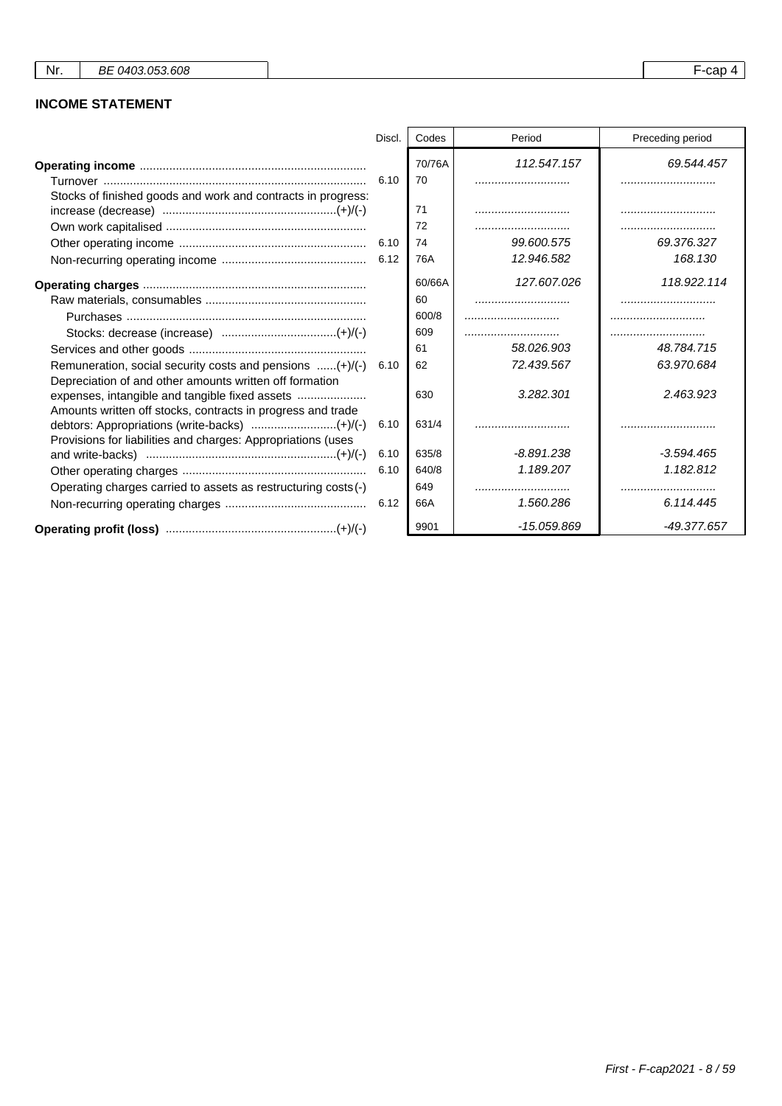## **INCOME STATEMENT**

|                                                                                                                             | Discl. | Codes        | Period        | Preceding period |
|-----------------------------------------------------------------------------------------------------------------------------|--------|--------------|---------------|------------------|
|                                                                                                                             | 6.10   | 70/76A<br>70 | 112.547.157   | 69.544.457       |
| Stocks of finished goods and work and contracts in progress:                                                                |        | 71           |               |                  |
|                                                                                                                             |        | 72           |               | .                |
|                                                                                                                             |        | 74           | 99.600.575    | 69.376.327       |
|                                                                                                                             |        | 76A          | 12.946.582    | 168.130          |
|                                                                                                                             |        | 60/66A       | 127.607.026   | 118.922.114      |
|                                                                                                                             |        | 60           |               |                  |
|                                                                                                                             |        | 600/8        |               |                  |
|                                                                                                                             |        | 609          |               |                  |
|                                                                                                                             |        | 61           | 58.026.903    | 48.784.715       |
| Remuneration, social security costs and pensions $\dots(+)$ /(-)<br>Depreciation of and other amounts written off formation | 6.10   | 62           | 72.439.567    | 63.970.684       |
| expenses, intangible and tangible fixed assets<br>Amounts written off stocks, contracts in progress and trade               |        | 630          | 3.282.301     | 2.463.923        |
| Provisions for liabilities and charges: Appropriations (uses                                                                | 6.10   | 631/4        |               |                  |
|                                                                                                                             | 6.10   | 635/8        | -8.891.238    | $-3.594.465$     |
|                                                                                                                             | 6.10   | 640/8        | 1.189.207     | 1.182.812        |
| Operating charges carried to assets as restructuring costs (-)                                                              |        | 649          |               |                  |
|                                                                                                                             | 6.12   | 66A          | 1.560.286     | 6.114.445        |
|                                                                                                                             |        | 9901         | $-15.059.869$ | -49.377.657      |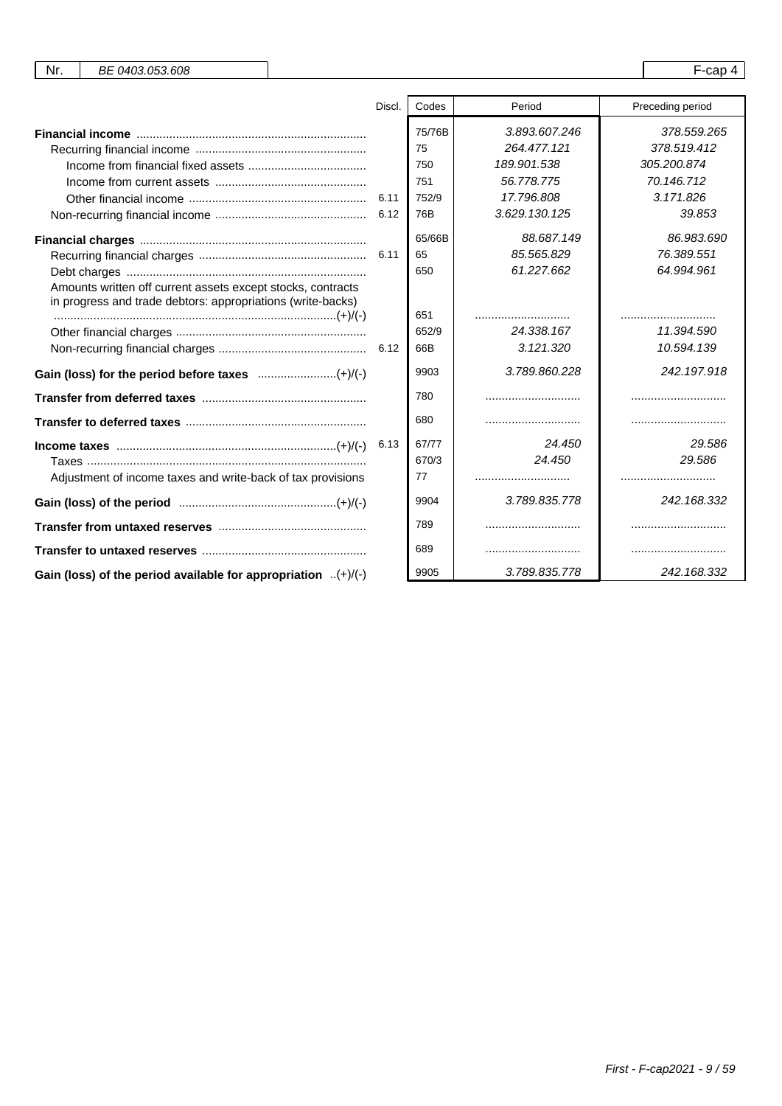| Nr. | BE 0403.053.608 |  | $\sim$<br>ual |  |
|-----|-----------------|--|---------------|--|
|-----|-----------------|--|---------------|--|

|                                                                                                                            | Discl. | Codes        | Period                       | Preceding period           |
|----------------------------------------------------------------------------------------------------------------------------|--------|--------------|------------------------------|----------------------------|
|                                                                                                                            |        | 75/76B<br>75 | 3.893.607.246<br>264.477.121 | 378.559.265<br>378.519.412 |
|                                                                                                                            |        | 750          | 189.901.538                  | 305.200.874                |
|                                                                                                                            |        | 751          | 56.778.775                   | 70.146.712                 |
|                                                                                                                            | 6.11   | 752/9        | 17.796.808                   | 3.171.826                  |
|                                                                                                                            |        | 76B          | 3.629.130.125                | 39.853                     |
|                                                                                                                            |        | 65/66B       | 88.687.149                   | 86.983.690                 |
|                                                                                                                            |        | 65           | 85.565.829                   | 76.389.551                 |
|                                                                                                                            |        | 650          | 61.227.662                   | 64.994.961                 |
| Amounts written off current assets except stocks, contracts<br>in progress and trade debtors: appropriations (write-backs) |        |              |                              |                            |
|                                                                                                                            |        | 651          |                              |                            |
|                                                                                                                            |        | 652/9        | 24.338.167                   | 11.394.590                 |
|                                                                                                                            |        | 66B          | 3.121.320                    | 10.594.139                 |
|                                                                                                                            |        | 9903         | 3.789.860.228                | 242.197.918                |
|                                                                                                                            |        | 780          |                              |                            |
|                                                                                                                            |        | 680          |                              |                            |
| $Income taxes                  (+) / (-)$                                                                                  | 6.13   | 67/77        | 24.450                       | 29.586                     |
|                                                                                                                            |        | 670/3        | 24.450                       | 29.586                     |
| Adjustment of income taxes and write-back of tax provisions                                                                |        | 77           |                              |                            |
|                                                                                                                            |        | 9904         | 3.789.835.778                | 242.168.332                |
|                                                                                                                            |        | 789          |                              |                            |
|                                                                                                                            |        | 689          |                              |                            |
| Gain (loss) of the period available for appropriation $(+)/(-)$                                                            |        | 9905         | 3.789.835.778                | 242.168.332                |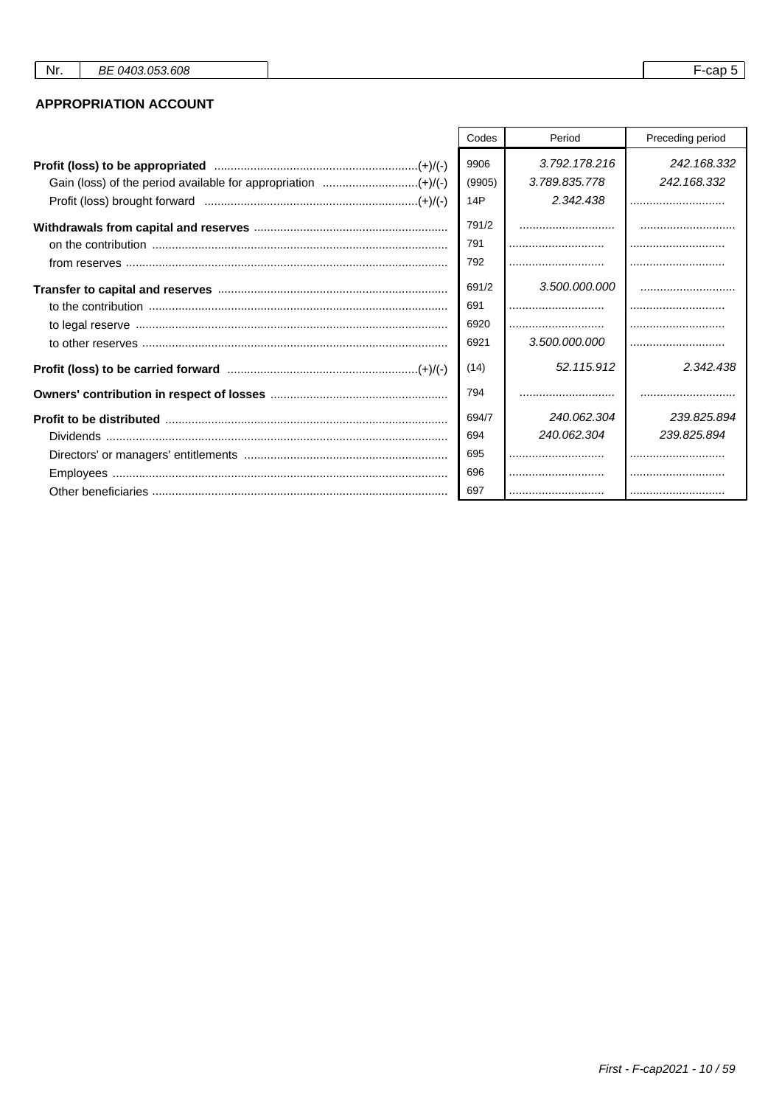## **APPROPRIATION ACCOUNT**

| Codes  | Period        | Preceding period |
|--------|---------------|------------------|
| 9906   | 3.792.178.216 | 242.168.332      |
| (9905) | 3.789.835.778 | 242.168.332      |
| 14P    | 2.342.438     |                  |
| 791/2  |               |                  |
| 791    |               |                  |
| 792    |               |                  |
| 691/2  | 3.500.000.000 |                  |
| 691    |               |                  |
| 6920   |               |                  |
| 6921   | 3.500.000.000 |                  |
| (14)   | 52.115.912    | 2.342.438        |
| 794    |               |                  |
| 694/7  | 240.062.304   | 239.825.894      |
| 694    | 240.062.304   | 239.825.894      |
| 695    |               |                  |
| 696    |               |                  |
| 697    |               |                  |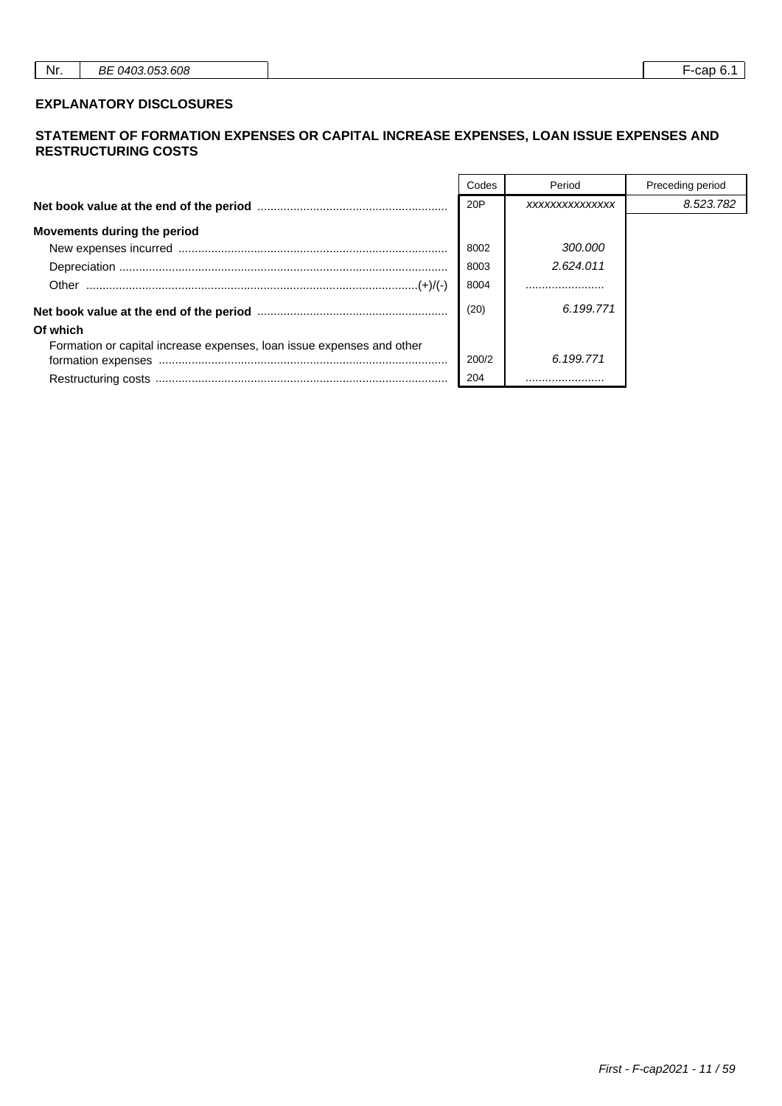#### **EXPLANATORY DISCLOSURES**

#### **STATEMENT OF FORMATION EXPENSES OR CAPITAL INCREASE EXPENSES, LOAN ISSUE EXPENSES AND RESTRUCTURING COSTS**

|                                                                       | Codes | Period         | Preceding period |
|-----------------------------------------------------------------------|-------|----------------|------------------|
|                                                                       | 20P   | XXXXXXXXXXXXXX | 8.523.782        |
| Movements during the period                                           |       |                |                  |
|                                                                       | 8002  | 300.000        |                  |
|                                                                       | 8003  | 2.624.011      |                  |
|                                                                       | 8004  |                |                  |
|                                                                       | (20)  | 6.199.771      |                  |
| Of which                                                              |       |                |                  |
| Formation or capital increase expenses, loan issue expenses and other |       |                |                  |
|                                                                       | 200/2 | 6.199.771      |                  |
|                                                                       | 204   |                |                  |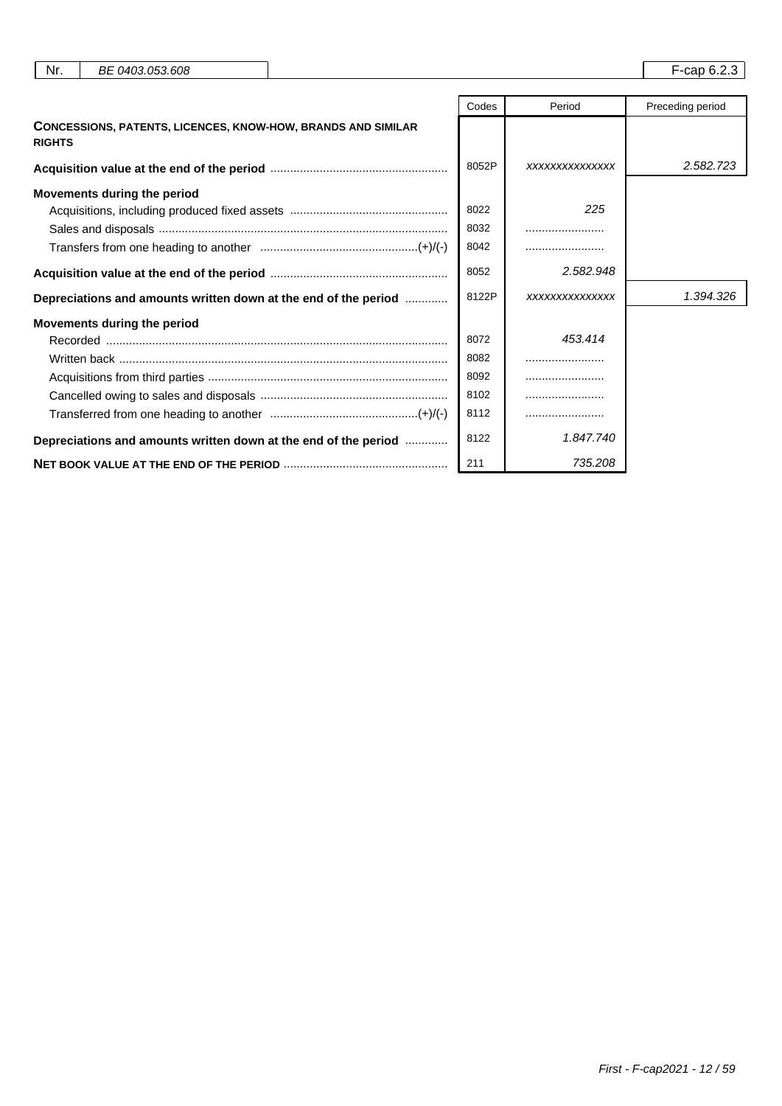| Nr.<br>BE 0403.053.608                                                               |       |                | F-cap 6.2.3      |
|--------------------------------------------------------------------------------------|-------|----------------|------------------|
|                                                                                      | Codes | Period         | Preceding period |
| <b>CONCESSIONS, PATENTS, LICENCES, KNOW-HOW, BRANDS AND SIMILAR</b><br><b>RIGHTS</b> |       |                |                  |
|                                                                                      | 8052P | XXXXXXXXXXXXXX | 2.582.723        |
| Movements during the period                                                          |       |                |                  |
|                                                                                      | 8022  | 225            |                  |
|                                                                                      | 8032  |                |                  |
|                                                                                      | 8042  |                |                  |
|                                                                                      | 8052  | 2.582.948      |                  |
| Depreciations and amounts written down at the end of the period                      | 8122P | XXXXXXXXXXXXXX | 1.394.326        |
| <b>Movements during the period</b>                                                   |       |                |                  |
|                                                                                      | 8072  | 453.414        |                  |
|                                                                                      | 8082  |                |                  |
|                                                                                      | 8092  |                |                  |
|                                                                                      | 8102  |                |                  |
|                                                                                      | 8112  |                |                  |
| Depreciations and amounts written down at the end of the period                      | 8122  | 1.847.740      |                  |
|                                                                                      | 211   | 735.208        |                  |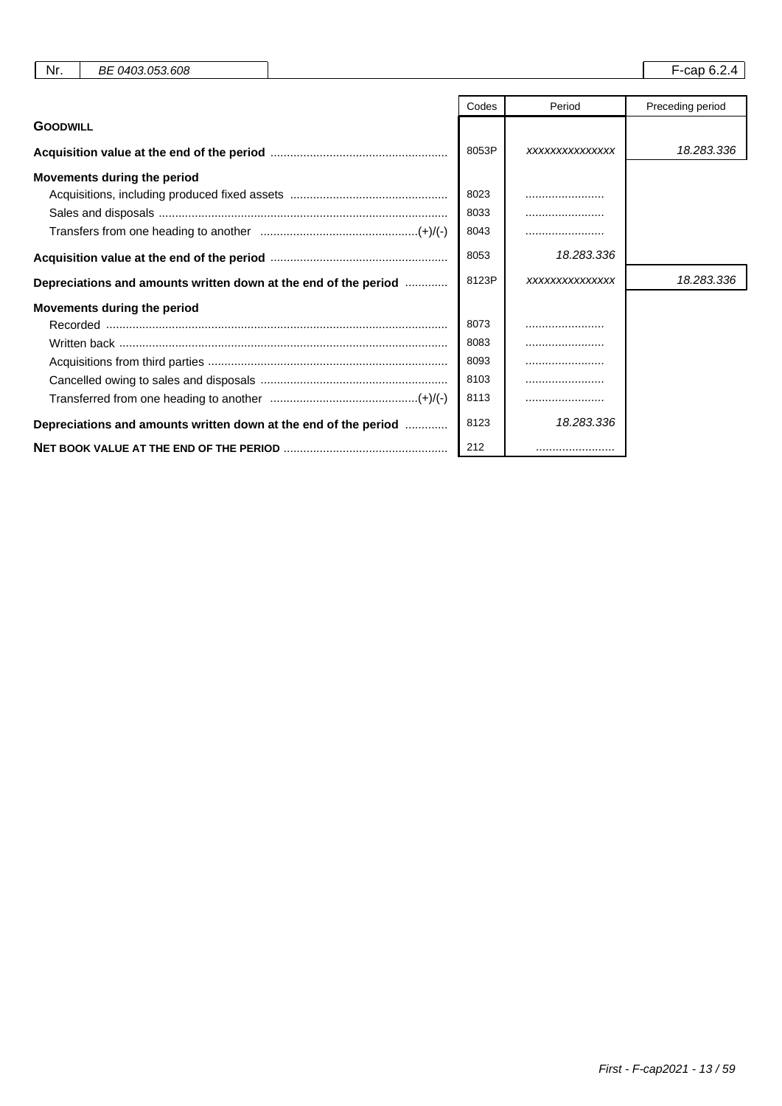| Nr.<br>BE 0403.053.608                                          |       |                | F-cap 6.2.4      |
|-----------------------------------------------------------------|-------|----------------|------------------|
|                                                                 | Codes | Period         | Preceding period |
| <b>GOODWILL</b>                                                 |       |                |                  |
|                                                                 | 8053P | XXXXXXXXXXXXXX | 18.283.336       |
| Movements during the period                                     |       |                |                  |
|                                                                 | 8023  |                |                  |
|                                                                 | 8033  |                |                  |
|                                                                 | 8043  |                |                  |
|                                                                 | 8053  | 18.283.336     |                  |
| Depreciations and amounts written down at the end of the period | 8123P | XXXXXXXXXXXXXX | 18.283.336       |
| Movements during the period                                     |       |                |                  |
|                                                                 | 8073  |                |                  |
|                                                                 | 8083  |                |                  |
|                                                                 | 8093  |                |                  |
|                                                                 | 8103  |                |                  |
|                                                                 | 8113  |                |                  |
| Depreciations and amounts written down at the end of the period | 8123  | 18.283.336     |                  |
|                                                                 | 212   |                |                  |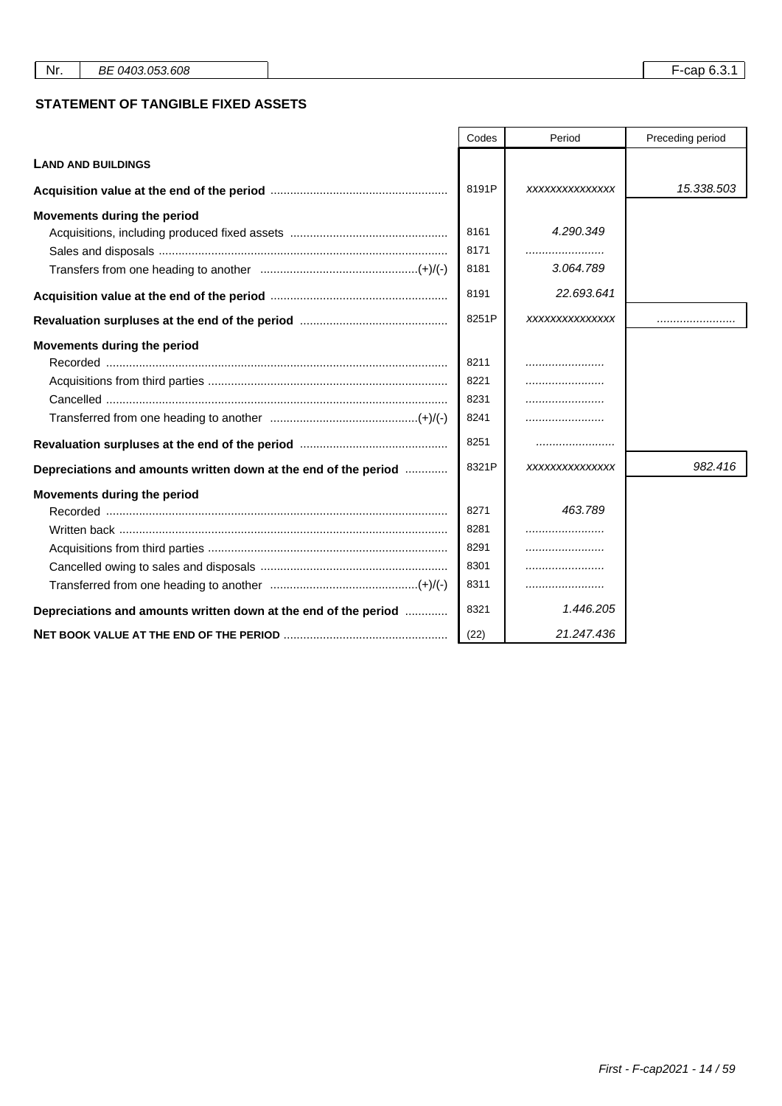#### **STATEMENT OF TANGIBLE FIXED ASSETS**

|                                                                 | Codes | Period         | Preceding period |
|-----------------------------------------------------------------|-------|----------------|------------------|
| <b>LAND AND BUILDINGS</b>                                       |       |                |                  |
|                                                                 | 8191P | XXXXXXXXXXXXXX | 15.338.503       |
| Movements during the period                                     |       |                |                  |
|                                                                 | 8161  | 4.290.349      |                  |
|                                                                 | 8171  |                |                  |
|                                                                 | 8181  | 3.064.789      |                  |
|                                                                 | 8191  | 22.693.641     |                  |
|                                                                 | 8251P | XXXXXXXXXXXXXX |                  |
| Movements during the period                                     |       |                |                  |
|                                                                 | 8211  |                |                  |
|                                                                 | 8221  |                |                  |
|                                                                 | 8231  |                |                  |
|                                                                 | 8241  |                |                  |
|                                                                 | 8251  |                |                  |
| Depreciations and amounts written down at the end of the period | 8321P | XXXXXXXXXXXXXX | 982,416          |
| Movements during the period                                     |       |                |                  |
|                                                                 | 8271  | 463.789        |                  |
|                                                                 | 8281  |                |                  |
|                                                                 | 8291  |                |                  |
|                                                                 | 8301  |                |                  |
|                                                                 | 8311  |                |                  |
| Depreciations and amounts written down at the end of the period | 8321  | 1.446.205      |                  |
|                                                                 | (22)  | 21.247.436     |                  |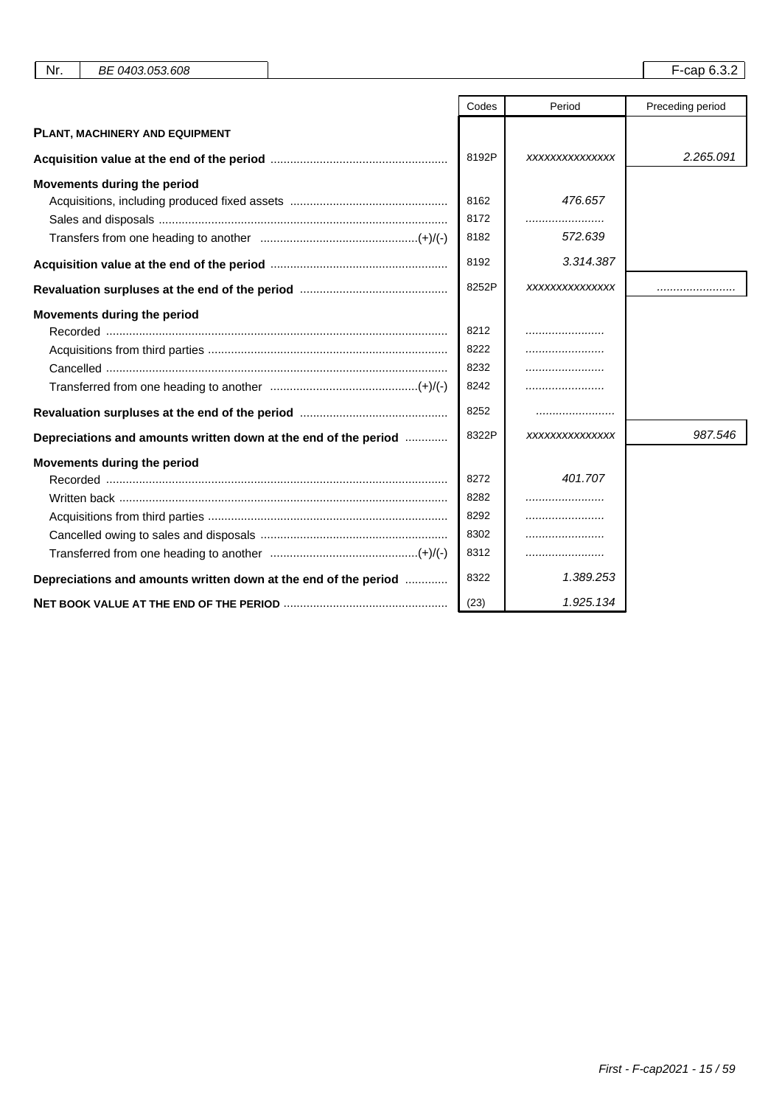| Nr.<br>BE 0403.053.608                                          |       |                | F-cap 6.3.2      |
|-----------------------------------------------------------------|-------|----------------|------------------|
|                                                                 |       |                |                  |
|                                                                 | Codes | Period         | Preceding period |
| PLANT, MACHINERY AND EQUIPMENT                                  |       |                |                  |
|                                                                 | 8192P | XXXXXXXXXXXXXX | 2.265.091        |
| Movements during the period                                     |       |                |                  |
|                                                                 | 8162  | 476.657        |                  |
|                                                                 | 8172  |                |                  |
|                                                                 | 8182  | 572.639        |                  |
|                                                                 | 8192  | 3.314.387      |                  |
|                                                                 | 8252P | XXXXXXXXXXXXXX |                  |
| Movements during the period                                     |       |                |                  |
|                                                                 | 8212  |                |                  |
|                                                                 | 8222  |                |                  |
|                                                                 | 8232  |                |                  |
|                                                                 | 8242  |                |                  |
|                                                                 | 8252  |                |                  |
| Depreciations and amounts written down at the end of the period | 8322P | XXXXXXXXXXXXXX | 987.546          |
| Movements during the period                                     |       |                |                  |
|                                                                 | 8272  | 401.707        |                  |
|                                                                 | 8282  |                |                  |
|                                                                 | 8292  |                |                  |
|                                                                 | 8302  |                |                  |
|                                                                 | 8312  |                |                  |
| Depreciations and amounts written down at the end of the period | 8322  | 1.389.253      |                  |
|                                                                 | (23)  | 1.925.134      |                  |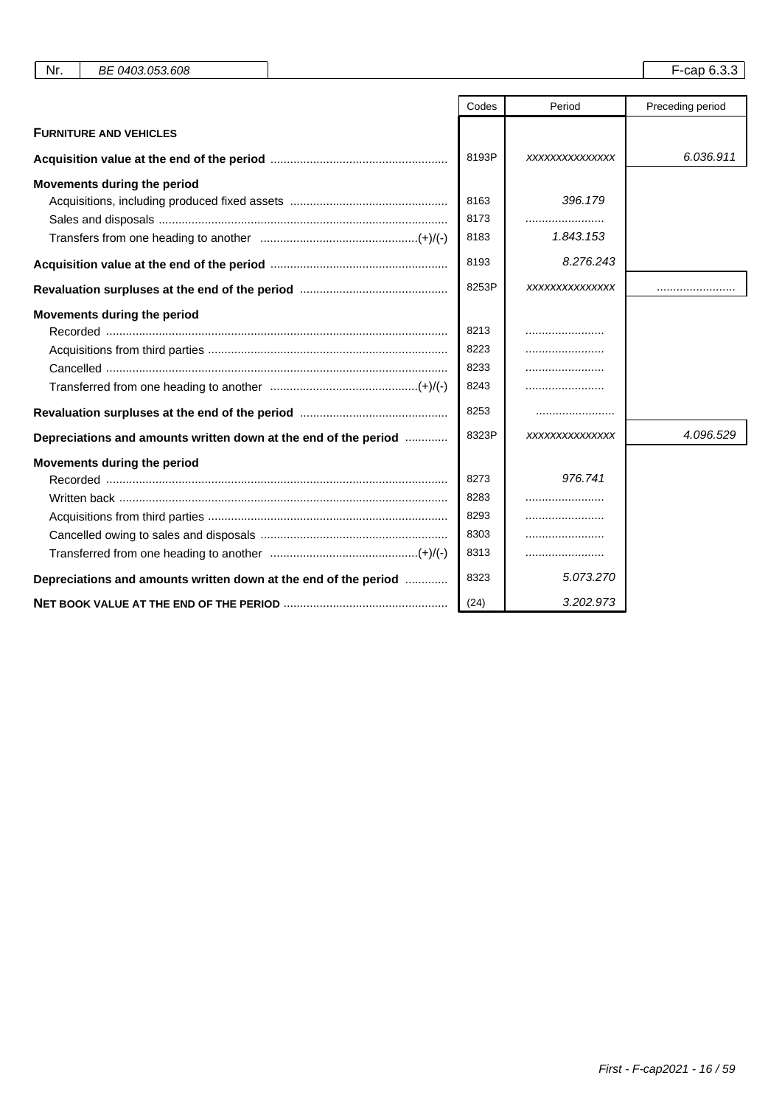| Nr.<br>BE 0403.053.608                                          |       |                | F-cap 6.3.3      |
|-----------------------------------------------------------------|-------|----------------|------------------|
|                                                                 |       |                |                  |
|                                                                 | Codes | Period         | Preceding period |
| <b>FURNITURE AND VEHICLES</b>                                   |       |                |                  |
|                                                                 | 8193P | XXXXXXXXXXXXXX | 6.036.911        |
| Movements during the period                                     |       |                |                  |
|                                                                 | 8163  | 396.179        |                  |
|                                                                 | 8173  |                |                  |
|                                                                 | 8183  | 1.843.153      |                  |
|                                                                 | 8193  | 8.276.243      |                  |
|                                                                 | 8253P | XXXXXXXXXXXXXX |                  |
| Movements during the period                                     |       |                |                  |
|                                                                 | 8213  |                |                  |
|                                                                 | 8223  |                |                  |
|                                                                 | 8233  |                |                  |
|                                                                 | 8243  |                |                  |
|                                                                 | 8253  |                |                  |
| Depreciations and amounts written down at the end of the period | 8323P | XXXXXXXXXXXXXX | 4.096.529        |
| Movements during the period                                     |       |                |                  |
|                                                                 | 8273  | 976.741        |                  |
|                                                                 | 8283  |                |                  |
|                                                                 | 8293  |                |                  |
|                                                                 | 8303  |                |                  |
|                                                                 | 8313  |                |                  |
| Depreciations and amounts written down at the end of the period | 8323  | 5.073.270      |                  |
|                                                                 | (24)  | 3.202.973      |                  |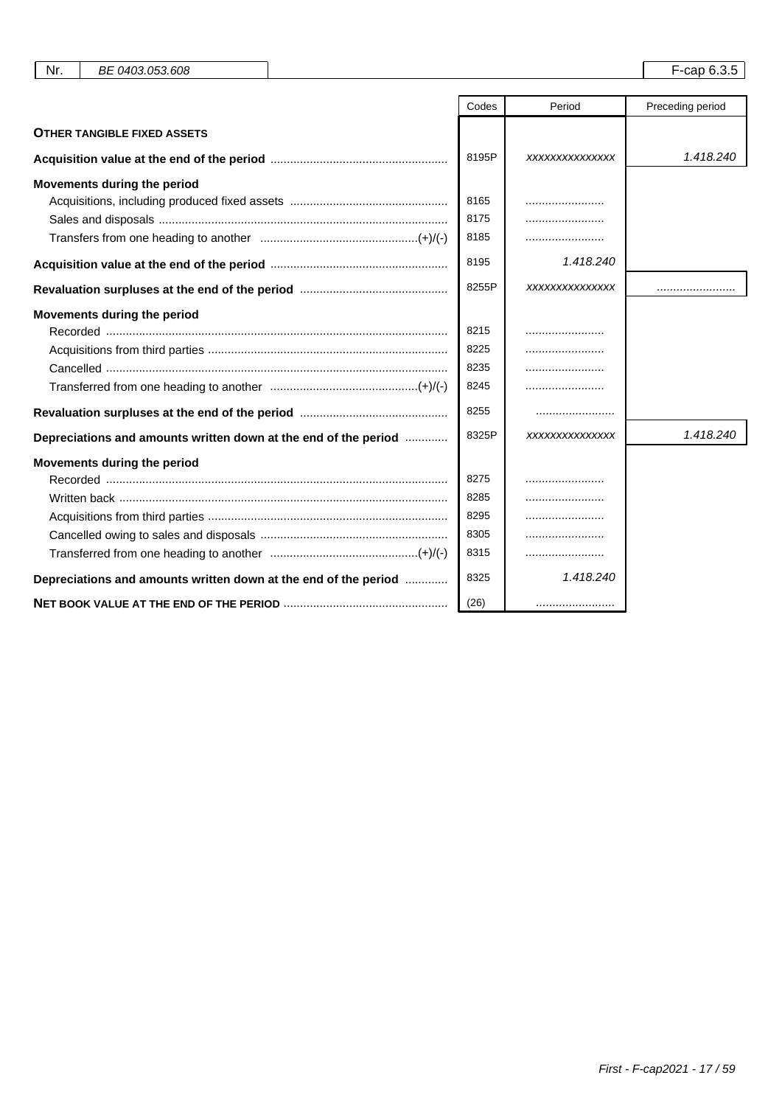| Nr.<br>BE 0403.053.608                                          |       |                | $F$ -cap 6.3.5   |
|-----------------------------------------------------------------|-------|----------------|------------------|
|                                                                 |       |                |                  |
|                                                                 | Codes | Period         | Preceding period |
| <b>OTHER TANGIBLE FIXED ASSETS</b>                              |       |                |                  |
|                                                                 | 8195P | XXXXXXXXXXXXXX | 1.418.240        |
| Movements during the period                                     |       |                |                  |
|                                                                 | 8165  |                |                  |
|                                                                 | 8175  |                |                  |
|                                                                 | 8185  |                |                  |
|                                                                 | 8195  | 1.418.240      |                  |
|                                                                 | 8255P | XXXXXXXXXXXXXX |                  |
| Movements during the period                                     |       |                |                  |
|                                                                 | 8215  |                |                  |
|                                                                 | 8225  |                |                  |
|                                                                 | 8235  |                |                  |
|                                                                 | 8245  |                |                  |
|                                                                 | 8255  |                |                  |
| Depreciations and amounts written down at the end of the period | 8325P | XXXXXXXXXXXXXX | 1.418.240        |
| Movements during the period                                     |       |                |                  |
|                                                                 | 8275  |                |                  |
|                                                                 | 8285  |                |                  |
|                                                                 | 8295  |                |                  |
|                                                                 | 8305  |                |                  |
|                                                                 | 8315  |                |                  |
| Depreciations and amounts written down at the end of the period | 8325  | 1.418.240      |                  |
|                                                                 | (26)  |                |                  |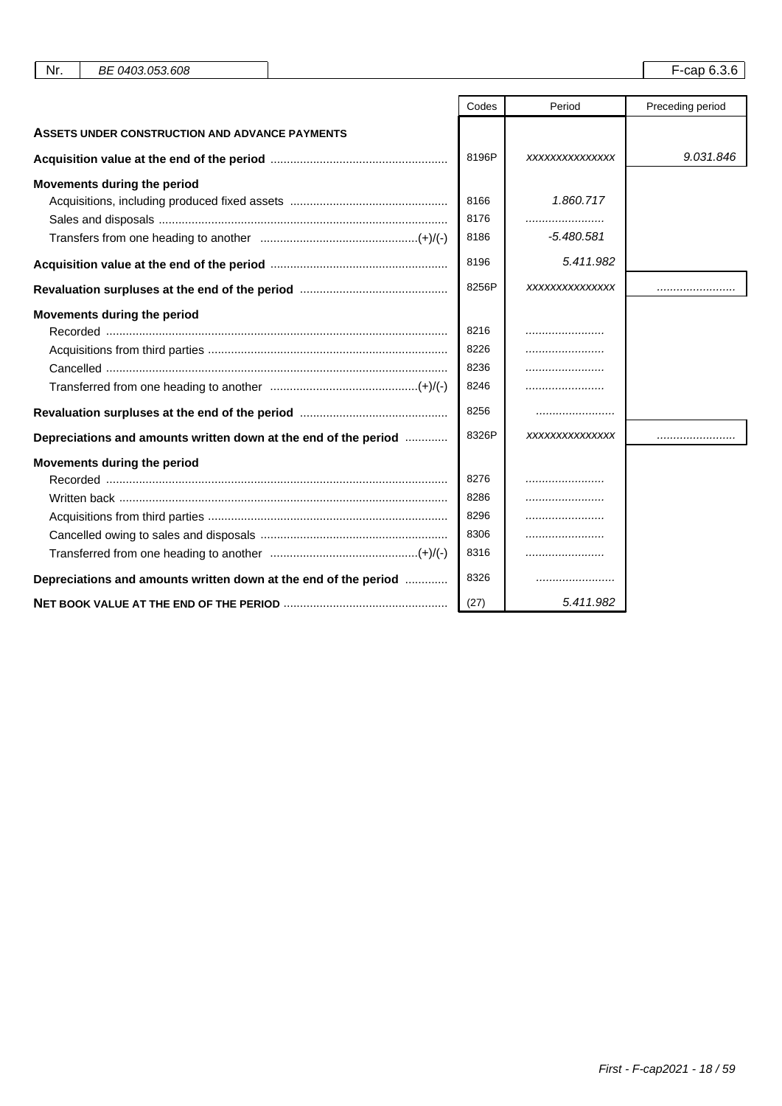|                                                                 | Codes | Period         | Preceding period |
|-----------------------------------------------------------------|-------|----------------|------------------|
| ASSETS UNDER CONSTRUCTION AND ADVANCE PAYMENTS                  |       |                |                  |
|                                                                 | 8196P | XXXXXXXXXXXXXX | 9.031.846        |
| Movements during the period                                     |       |                |                  |
|                                                                 | 8166  | 1.860.717      |                  |
|                                                                 | 8176  |                |                  |
|                                                                 | 8186  | $-5.480.581$   |                  |
|                                                                 | 8196  | 5.411.982      |                  |
|                                                                 | 8256P | XXXXXXXXXXXXXX |                  |
| Movements during the period                                     |       |                |                  |
|                                                                 | 8216  |                |                  |
|                                                                 | 8226  |                |                  |
|                                                                 | 8236  |                |                  |
|                                                                 | 8246  |                |                  |
|                                                                 | 8256  |                |                  |
| Depreciations and amounts written down at the end of the period | 8326P | XXXXXXXXXXXXXX |                  |
| Movements during the period                                     |       |                |                  |
|                                                                 | 8276  |                |                  |
|                                                                 | 8286  |                |                  |
|                                                                 | 8296  |                |                  |
|                                                                 | 8306  |                |                  |
|                                                                 | 8316  |                |                  |
| Depreciations and amounts written down at the end of the period | 8326  |                |                  |
|                                                                 | (27)  | 5.411.982      |                  |

Nr. BE 0403.053.608 F-cap 6.3.6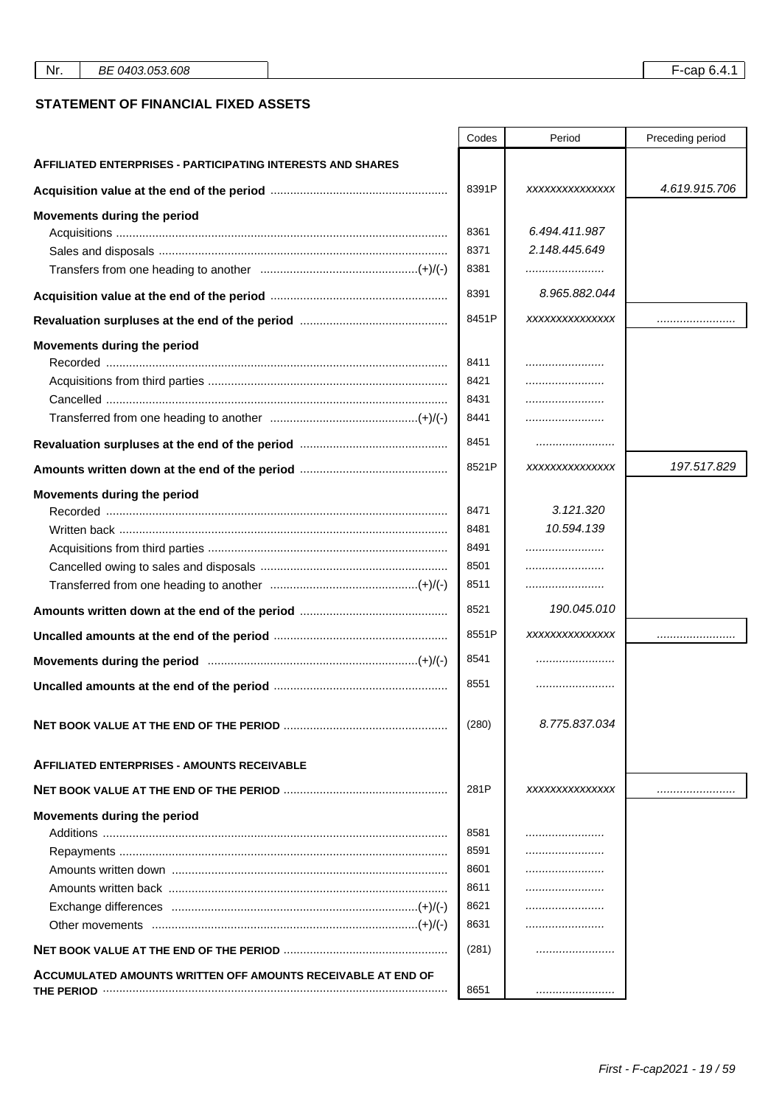#### **STATEMENT OF FINANCIAL FIXED ASSETS**

|                                                                    | Codes | Period         | Preceding period |
|--------------------------------------------------------------------|-------|----------------|------------------|
| <b>AFFILIATED ENTERPRISES - PARTICIPATING INTERESTS AND SHARES</b> |       |                |                  |
|                                                                    | 8391P | XXXXXXXXXXXXXX | 4.619.915.706    |
| Movements during the period                                        |       |                |                  |
|                                                                    | 8361  | 6.494.411.987  |                  |
|                                                                    | 8371  | 2.148.445.649  |                  |
|                                                                    | 8381  |                |                  |
|                                                                    | 8391  | 8.965.882.044  |                  |
|                                                                    | 8451P | XXXXXXXXXXXXXX |                  |
| Movements during the period                                        |       |                |                  |
|                                                                    | 8411  |                |                  |
|                                                                    | 8421  |                |                  |
|                                                                    | 8431  |                |                  |
|                                                                    | 8441  |                |                  |
|                                                                    | 8451  |                |                  |
|                                                                    | 8521P | XXXXXXXXXXXXXX | 197.517.829      |
| Movements during the period                                        |       |                |                  |
|                                                                    | 8471  | 3.121.320      |                  |
|                                                                    | 8481  | 10.594.139     |                  |
|                                                                    | 8491  |                |                  |
|                                                                    | 8501  |                |                  |
|                                                                    | 8511  |                |                  |
|                                                                    | 8521  | 190.045.010    |                  |
|                                                                    | 8551P | XXXXXXXXXXXXXX |                  |
|                                                                    | 8541  |                |                  |
|                                                                    | 8551  |                |                  |
|                                                                    | (280) | 8.775.837.034  |                  |
| <b>AFFILIATED ENTERPRISES - AMOUNTS RECEIVABLE</b>                 |       |                |                  |
|                                                                    | 281P  | XXXXXXXXXXXXXX |                  |
| Movements during the period                                        |       |                |                  |
|                                                                    | 8581  |                |                  |
|                                                                    | 8591  |                |                  |
|                                                                    | 8601  |                |                  |
|                                                                    | 8611  |                |                  |
|                                                                    | 8621  |                |                  |
|                                                                    | 8631  |                |                  |
|                                                                    | (281) |                |                  |
| ACCUMULATED AMOUNTS WRITTEN OFF AMOUNTS RECEIVABLE AT END OF       | 8651  |                |                  |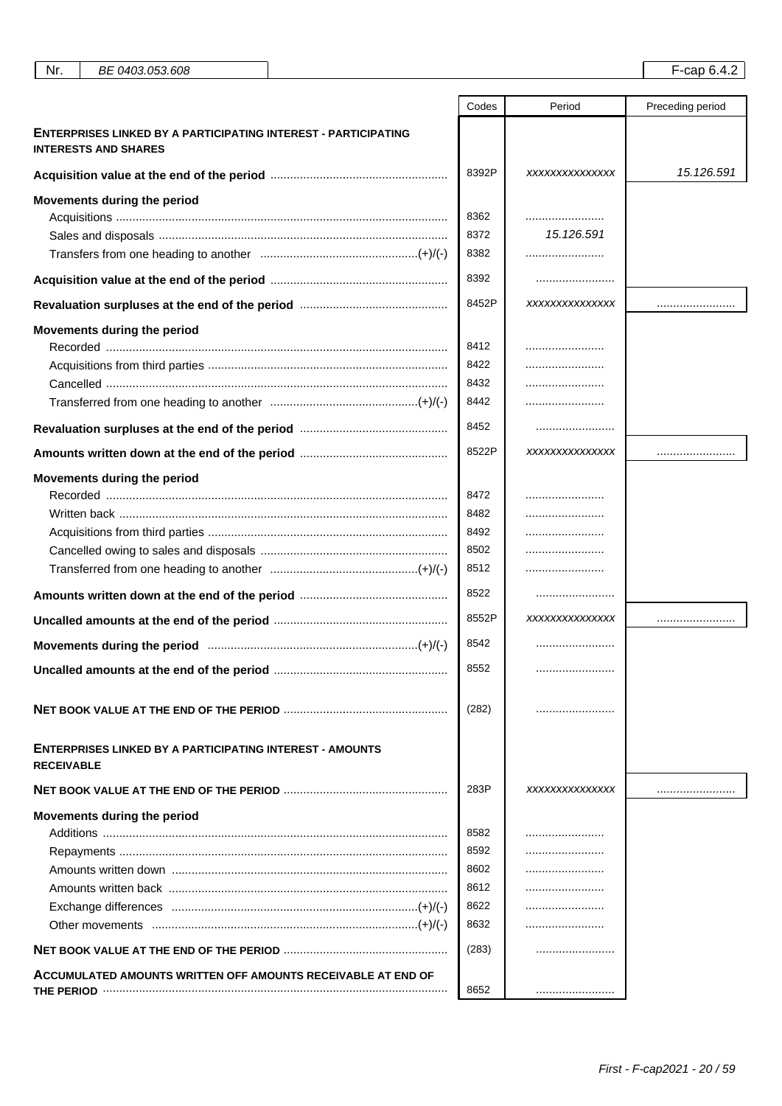|                                                                                               | Codes | Period         | Preceding period |
|-----------------------------------------------------------------------------------------------|-------|----------------|------------------|
| ENTERPRISES LINKED BY A PARTICIPATING INTEREST - PARTICIPATING<br><b>INTERESTS AND SHARES</b> |       |                |                  |
|                                                                                               | 8392P | XXXXXXXXXXXXXX | 15.126.591       |
| Movements during the period                                                                   |       |                |                  |
|                                                                                               | 8362  |                |                  |
|                                                                                               | 8372  | 15.126.591     |                  |
|                                                                                               | 8382  |                |                  |
|                                                                                               | 8392  |                |                  |
|                                                                                               | 8452P | XXXXXXXXXXXXXX |                  |
| Movements during the period                                                                   |       |                |                  |
|                                                                                               | 8412  |                |                  |
|                                                                                               | 8422  |                |                  |
|                                                                                               | 8432  |                |                  |
|                                                                                               | 8442  |                |                  |
|                                                                                               | 8452  |                |                  |
|                                                                                               | 8522P | XXXXXXXXXXXXXX |                  |
| Movements during the period                                                                   |       |                |                  |
|                                                                                               | 8472  |                |                  |
| Written back ……………………………………………………………………………………                                                 | 8482  |                |                  |
|                                                                                               | 8492  |                |                  |
|                                                                                               | 8502  |                |                  |
|                                                                                               | 8512  |                |                  |
|                                                                                               | 8522  |                |                  |
|                                                                                               | 8552P | XXXXXXXXXXXXXX |                  |
|                                                                                               |       |                |                  |
|                                                                                               | 8542  |                |                  |
|                                                                                               | 8552  |                |                  |
|                                                                                               | (282) |                |                  |
| <b>ENTERPRISES LINKED BY A PARTICIPATING INTEREST - AMOUNTS</b><br><b>RECEIVABLE</b>          |       |                |                  |
|                                                                                               | 283P  | XXXXXXXXXXXXXX |                  |
| Movements during the period                                                                   |       |                |                  |
|                                                                                               | 8582  |                |                  |
|                                                                                               | 8592  |                |                  |
| Amounts written down ………………………………………………………………………                                              | 8602  |                |                  |
|                                                                                               | 8612  |                |                  |
|                                                                                               | 8622  |                |                  |
|                                                                                               | 8632  |                |                  |
|                                                                                               | (283) |                |                  |
| ACCUMULATED AMOUNTS WRITTEN OFF AMOUNTS RECEIVABLE AT END OF                                  |       |                |                  |
| THE PERIOD                                                                                    | 8652  |                |                  |

Nr. BE 0403.053.608 F-cap 6.4.2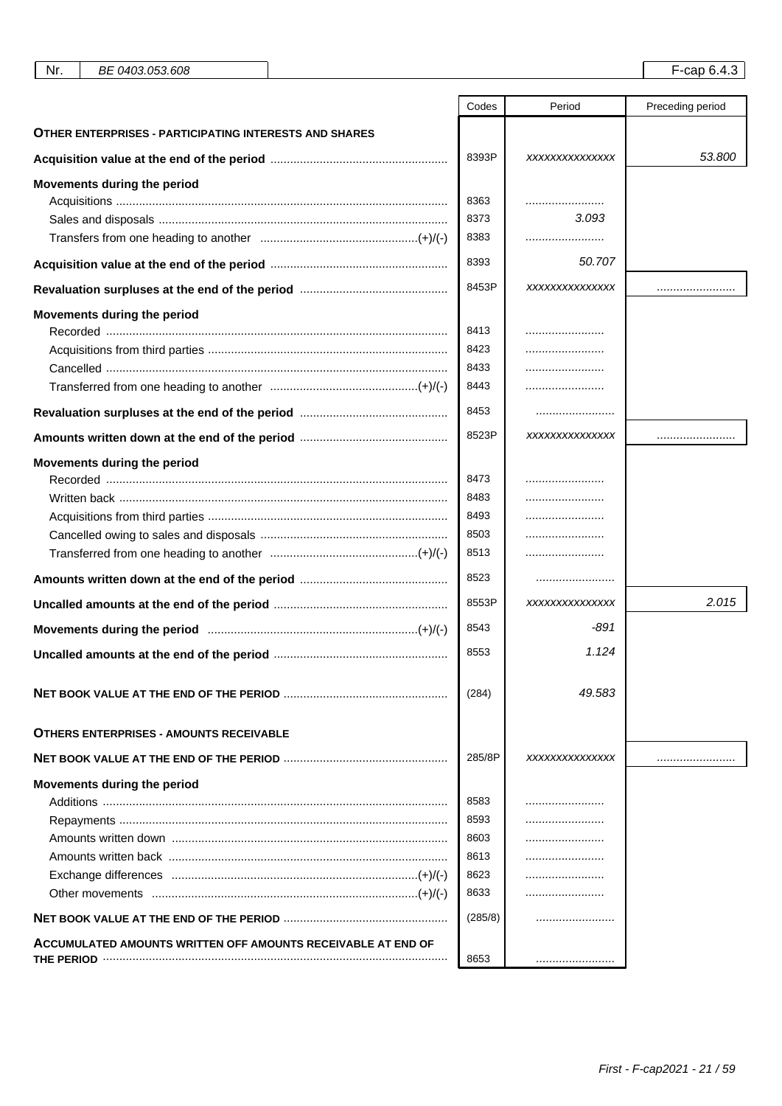| אנ |
|----|
|----|

|                                                               | Codes   | Period         | Preceding period |
|---------------------------------------------------------------|---------|----------------|------------------|
| <b>OTHER ENTERPRISES - PARTICIPATING INTERESTS AND SHARES</b> |         |                |                  |
|                                                               | 8393P   | XXXXXXXXXXXXXX | 53.800           |
| Movements during the period                                   |         |                |                  |
|                                                               | 8363    |                |                  |
|                                                               | 8373    | 3.093          |                  |
|                                                               | 8383    |                |                  |
|                                                               | 8393    | 50.707         |                  |
|                                                               | 8453P   | XXXXXXXXXXXXXX |                  |
| Movements during the period                                   | 8413    |                |                  |
|                                                               | 8423    |                |                  |
|                                                               | 8433    |                |                  |
|                                                               | 8443    |                |                  |
|                                                               |         |                |                  |
|                                                               | 8453    |                |                  |
|                                                               | 8523P   | XXXXXXXXXXXXXX |                  |
| Movements during the period                                   |         |                |                  |
|                                                               | 8473    |                |                  |
|                                                               | 8483    |                |                  |
|                                                               | 8493    |                |                  |
|                                                               | 8503    |                |                  |
|                                                               | 8513    |                |                  |
|                                                               | 8523    |                |                  |
|                                                               | 8553P   | XXXXXXXXXXXXXX | 2.015            |
|                                                               | 8543    | -891           |                  |
|                                                               | 8553    | 1.124          |                  |
|                                                               | (284)   | 49.583         |                  |
| <b>OTHERS ENTERPRISES - AMOUNTS RECEIVABLE</b>                |         |                |                  |
|                                                               | 285/8P  | XXXXXXXXXXXXXX |                  |
| Movements during the period                                   |         |                |                  |
|                                                               | 8583    | .              |                  |
|                                                               | 8593    |                |                  |
|                                                               | 8603    |                |                  |
|                                                               | 8613    |                |                  |
|                                                               | 8623    |                |                  |
|                                                               | 8633    |                |                  |
|                                                               | (285/8) |                |                  |
| ACCUMULATED AMOUNTS WRITTEN OFF AMOUNTS RECEIVABLE AT END OF  |         |                |                  |
|                                                               | 8653    |                |                  |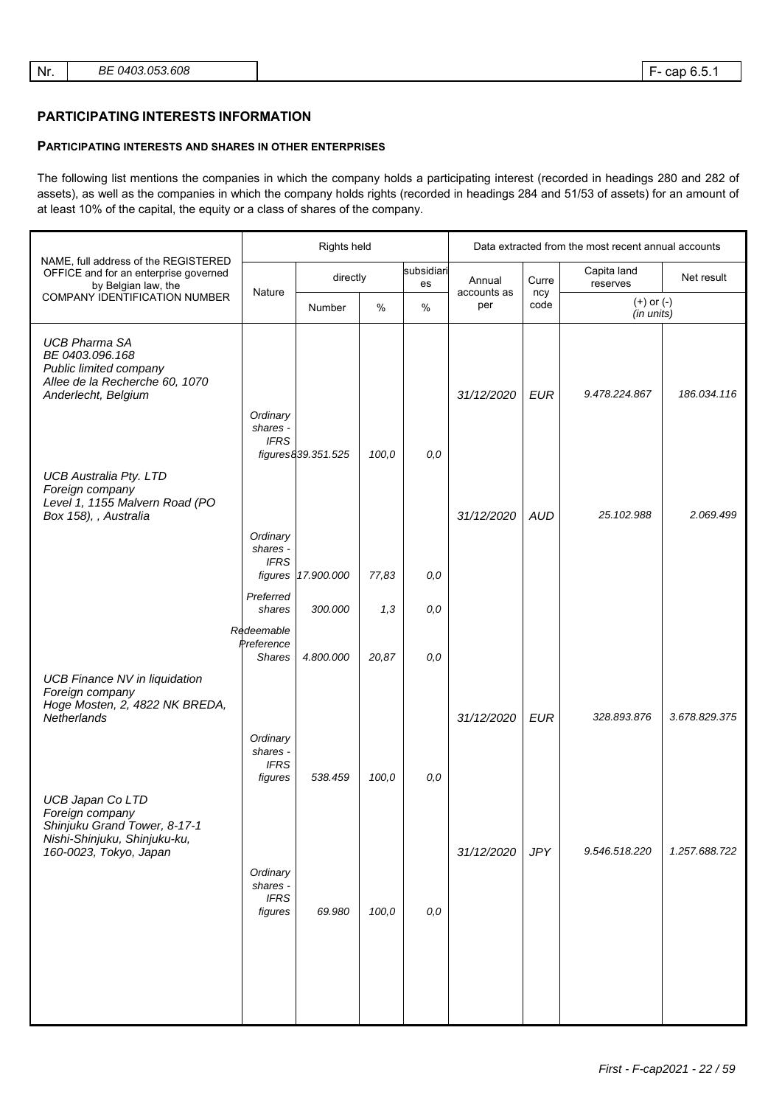#### **PARTICIPATING INTERESTS INFORMATION**

#### **PARTICIPATING INTERESTS AND SHARES IN OTHER ENTERPRISES**

The following list mentions the companies in which the company holds a participating interest (recorded in headings 280 and 282 of assets), as well as the companies in which the company holds rights (recorded in headings 284 and 51/53 of assets) for an amount of at least 10% of the capital, the equity or a class of shares of the company.

|                                                                                                                               |                                                | Rights held        |       |                  |                    | Data extracted from the most recent annual accounts |                              |               |  |
|-------------------------------------------------------------------------------------------------------------------------------|------------------------------------------------|--------------------|-------|------------------|--------------------|-----------------------------------------------------|------------------------------|---------------|--|
| NAME, full address of the REGISTERED<br>OFFICE and for an enterprise governed<br>by Belgian law, the                          |                                                | directly           |       | subsidiari<br>es | Annual             | Curre                                               | Capita land<br>reserves      | Net result    |  |
| <b>COMPANY IDENTIFICATION NUMBER</b>                                                                                          | Nature                                         | Number             | $\%$  | %                | accounts as<br>per | ncy<br>code                                         | $(+)$ or $(-)$<br>(in units) |               |  |
| <b>UCB Pharma SA</b><br>BE 0403.096.168<br>Public limited company<br>Allee de la Recherche 60, 1070<br>Anderlecht, Belgium    | Ordinary<br>shares -<br><b>IFRS</b>            |                    |       |                  | 31/12/2020         | <b>EUR</b>                                          | 9.478.224.867                | 186.034.116   |  |
| <b>UCB Australia Pty. LTD</b><br>Foreign company<br>Level 1, 1155 Malvern Road (PO<br>Box 158), , Australia                   |                                                | figures839.351.525 | 100,0 | 0,0              | 31/12/2020         | <b>AUD</b>                                          | 25.102.988                   | 2.069.499     |  |
|                                                                                                                               | Ordinary<br>shares -<br><b>IFRS</b><br>figures | 17.900.000         | 77,83 | 0,0              |                    |                                                     |                              |               |  |
|                                                                                                                               | Preferred<br>shares                            | 300.000            | 1,3   | $0,0$            |                    |                                                     |                              |               |  |
|                                                                                                                               | Redeemable<br>Preference<br><b>Shares</b>      | 4.800.000          | 20,87 | 0,0              |                    |                                                     |                              |               |  |
| <b>UCB Finance NV in liquidation</b><br>Foreign company<br>Hoge Mosten, 2, 4822 NK BREDA,<br>Netherlands                      | Ordinary<br>shares -<br><b>IFRS</b>            |                    |       |                  | 31/12/2020         | <b>EUR</b>                                          | 328.893.876                  | 3.678.829.375 |  |
|                                                                                                                               | figures                                        | 538.459            | 100,0 | 0,0              |                    |                                                     |                              |               |  |
| UCB Japan Co LTD<br>Foreign company<br>Shinjuku Grand Tower, 8-17-1<br>Nishi-Shinjuku, Shinjuku-ku,<br>160-0023, Tokyo, Japan | Ordinary<br>shares -                           |                    |       |                  | 31/12/2020         | <b>JPY</b>                                          | 9.546.518.220                | 1.257.688.722 |  |
|                                                                                                                               | <b>IFRS</b><br>figures                         | 69.980             | 100,0 | 0,0              |                    |                                                     |                              |               |  |
|                                                                                                                               |                                                |                    |       |                  |                    |                                                     |                              |               |  |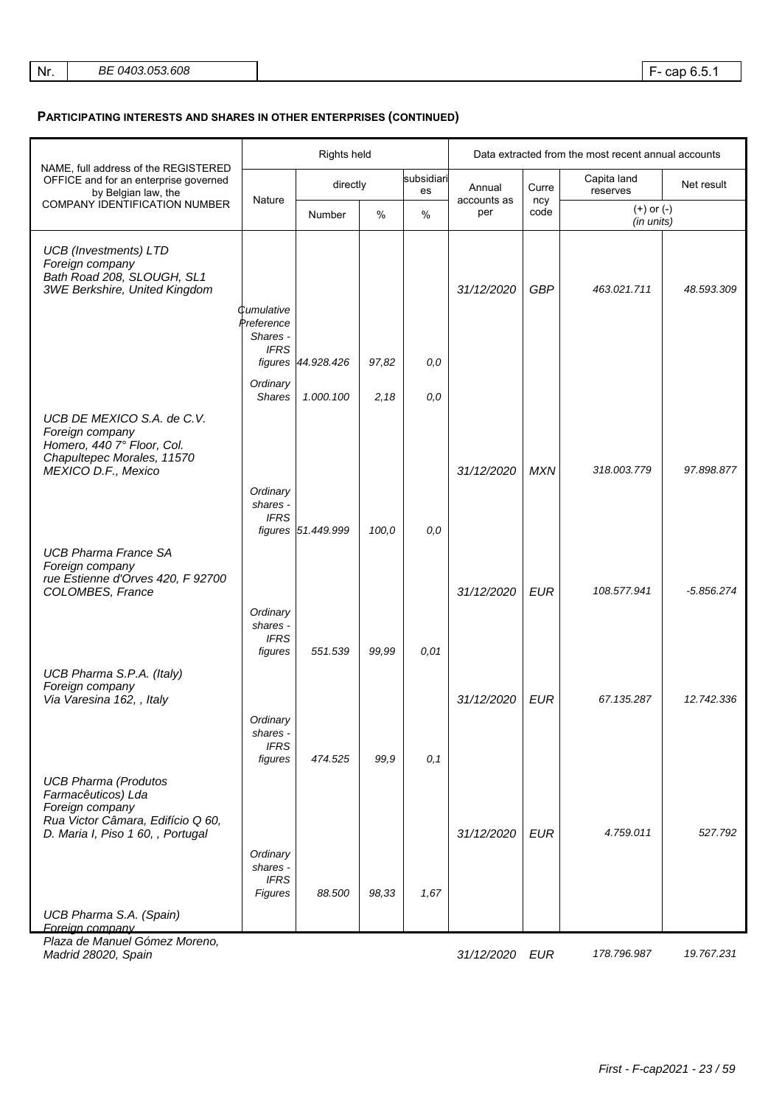| BE 0403.053.608<br>Nr. |  |
|------------------------|--|
|------------------------|--|

|                                                                                                                                                |                                                | Rights held        |       |                  | Data extracted from the most recent annual accounts |             |                              |              |
|------------------------------------------------------------------------------------------------------------------------------------------------|------------------------------------------------|--------------------|-------|------------------|-----------------------------------------------------|-------------|------------------------------|--------------|
| NAME, full address of the REGISTERED<br>OFFICE and for an enterprise governed<br>by Belgian law, the                                           |                                                | directly           |       | subsidiari<br>es | Annual                                              | Curre       | Capita land<br>reserves      | Net result   |
| COMPANY IDENTIFICATION NUMBER                                                                                                                  | Nature                                         | Number             | $\%$  | $\%$             | accounts as<br>per                                  | ncy<br>code | $(+)$ or $(-)$<br>(in units) |              |
| <b>UCB</b> (Investments) LTD<br>Foreign company<br>Bath Road 208, SLOUGH, SL1<br>3WE Berkshire, United Kingdom                                 | Cumulative                                     |                    |       |                  | 31/12/2020                                          | <b>GBP</b>  | 463.021.711                  | 48.593.309   |
|                                                                                                                                                | Preference<br>Shares -<br><b>IFRS</b>          | figures 44.928.426 | 97,82 | 0,0              |                                                     |             |                              |              |
|                                                                                                                                                | Ordinary<br><b>Shares</b>                      | 1.000.100          | 2,18  | 0,0              |                                                     |             |                              |              |
| UCB DE MEXICO S.A. de C.V.<br>Foreign company<br>Homero, 440 7° Floor, Col.<br>Chapultepec Morales, 11570<br>MEXICO D.F., Mexico               |                                                |                    |       |                  | 31/12/2020                                          | <b>MXN</b>  | 318.003.779                  | 97.898.877   |
|                                                                                                                                                | Ordinary<br>shares -<br><b>IFRS</b>            | figures 51.449.999 | 100,0 | 0,0              |                                                     |             |                              |              |
| <b>UCB Pharma France SA</b><br>Foreign company<br>rue Estienne d'Orves 420, F 92700<br>COLOMBES, France                                        |                                                |                    |       |                  | 31/12/2020                                          | <b>EUR</b>  | 108.577.941                  | $-5.856.274$ |
|                                                                                                                                                | Ordinary<br>shares -<br><b>IFRS</b><br>figures | 551.539            | 99,99 | 0.01             |                                                     |             |                              |              |
| UCB Pharma S.P.A. (Italy)<br>Foreign company<br>Via Varesina 162, , Italy                                                                      | Ordinary                                       |                    |       |                  | 31/12/2020                                          | <b>EUR</b>  | 67.135.287                   | 12.742.336   |
|                                                                                                                                                | shares -<br><b>IFRS</b><br>figures             | 474.525            | 99,9  | 0, 1             |                                                     |             |                              |              |
| <b>UCB Pharma (Produtos</b><br>Farmacêuticos) Lda<br>Foreign company<br>Rua Victor Câmara, Edifício Q 60,<br>D. Maria I, Piso 1 60, , Portugal |                                                |                    |       |                  | 31/12/2020                                          | EUR         | 4.759.011                    | 527.792      |
|                                                                                                                                                | Ordinary<br>shares -<br><b>IFRS</b><br>Figures | 88.500             | 98,33 | 1,67             |                                                     |             |                              |              |
| UCB Pharma S.A. (Spain)<br>Foreign company                                                                                                     |                                                |                    |       |                  |                                                     |             |                              |              |
| Plaza de Manuel Gómez Moreno,<br>Madrid 28020, Spain                                                                                           |                                                |                    |       |                  | 31/12/2020 EUR                                      |             | 178.796.987                  | 19.767.231   |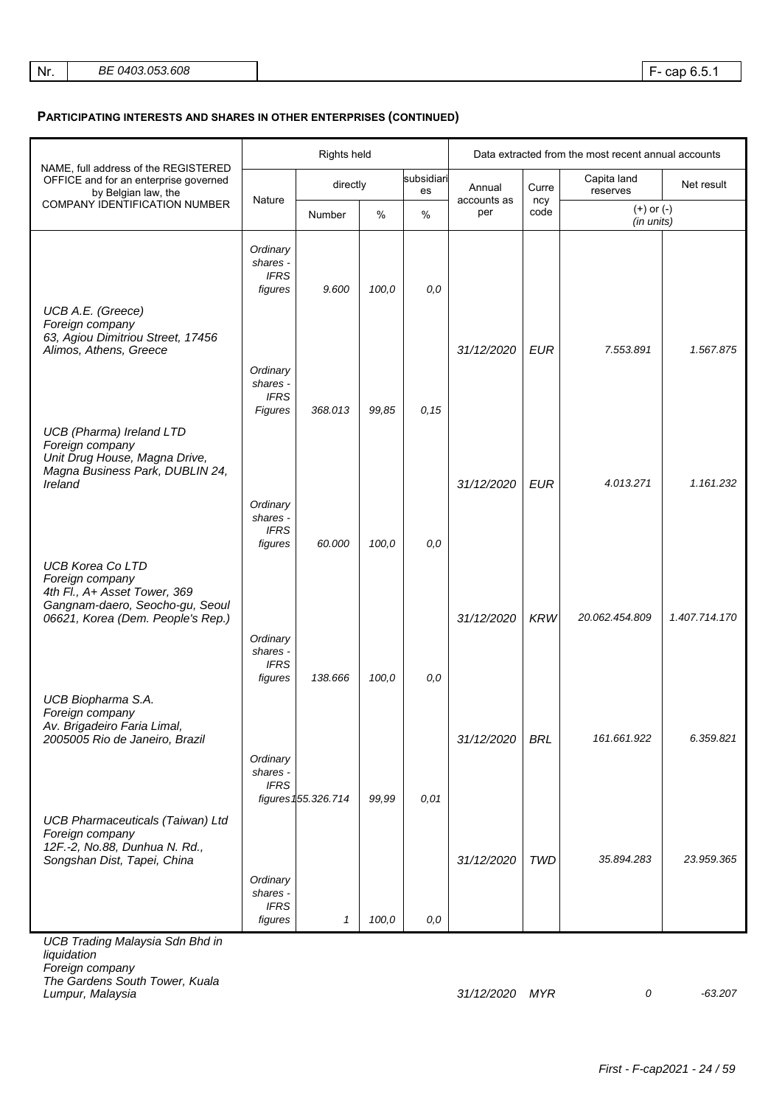|                                                                                                                                                    | Rights held                                    |                     |       |                  | Data extracted from the most recent annual accounts |             |                              |               |
|----------------------------------------------------------------------------------------------------------------------------------------------------|------------------------------------------------|---------------------|-------|------------------|-----------------------------------------------------|-------------|------------------------------|---------------|
| NAME, full address of the REGISTERED<br>OFFICE and for an enterprise governed<br>by Belgian law, the                                               |                                                | directly            |       | subsidiari<br>es | Annual                                              | Curre       | Capita land<br>reserves      | Net result    |
| COMPANY IDENTIFICATION NUMBER                                                                                                                      | Nature<br>Number                               |                     | %     | $\%$             | accounts as<br>per                                  | ncy<br>code | $(+)$ or $(-)$<br>(in units) |               |
| UCB A.E. (Greece)                                                                                                                                  | Ordinary<br>shares -<br><b>IFRS</b><br>figures | 9.600               | 100,0 | 0,0              |                                                     |             |                              |               |
| Foreign company<br>63, Agiou Dimitriou Street, 17456<br>Alimos, Athens, Greece                                                                     | Ordinary<br>shares -                           |                     |       |                  | 31/12/2020                                          | <b>EUR</b>  | 7.553.891                    | 1.567.875     |
|                                                                                                                                                    | <b>IFRS</b><br>Figures                         | 368.013             | 99,85 | 0, 15            |                                                     |             |                              |               |
| <b>UCB</b> (Pharma) Ireland LTD<br>Foreign company<br>Unit Drug House, Magna Drive,<br>Magna Business Park, DUBLIN 24,<br>Ireland                  |                                                |                     |       |                  | 31/12/2020                                          | <b>EUR</b>  | 4.013.271                    | 1.161.232     |
|                                                                                                                                                    | Ordinary<br>shares -<br><b>IFRS</b><br>figures | 60.000              | 100,0 | 0,0              |                                                     |             |                              |               |
| <b>UCB Korea Co LTD</b><br>Foreign company<br>4th Fl., A+ Asset Tower, 369<br>Gangnam-daero, Seocho-gu, Seoul<br>06621, Korea (Dem. People's Rep.) |                                                |                     |       |                  | 31/12/2020                                          | <b>KRW</b>  | 20.062.454.809               | 1.407.714.170 |
|                                                                                                                                                    | Ordinary<br>shares -<br><b>IFRS</b><br>figures | 138.666             | 100,0 | 0,0              |                                                     |             |                              |               |
| UCB Biopharma S.A.<br>Foreign company<br>Av. Brigadeiro Faria Limal,<br>2005005 Rio de Janeiro, Brazil                                             |                                                |                     |       |                  | 31/12/2020                                          | <b>BRL</b>  | 161.661.922                  | 6.359.821     |
|                                                                                                                                                    | Ordinary<br>shares -<br><b>IFRS</b>            | figures 155.326.714 | 99,99 | 0,01             |                                                     |             |                              |               |
| <b>UCB Pharmaceuticals (Taiwan) Ltd</b><br>Foreign company<br>12F.-2, No.88, Dunhua N. Rd.,<br>Songshan Dist, Tapei, China                         | Ordinary                                       |                     |       |                  | 31/12/2020                                          | <b>TWD</b>  | 35.894.283                   | 23.959.365    |
|                                                                                                                                                    | shares -<br><b>IFRS</b><br>figures             | $\mathcal I$        | 100,0 | 0,0              |                                                     |             |                              |               |
| <b>UCB Trading Malaysia Sdn Bhd in</b><br>liquidation<br>Foreign company                                                                           |                                                |                     |       |                  |                                                     |             |                              |               |

The Gardens South Tower, Kuala

Lumpur, Malaysia 31/12/2020 MYR 0 -63.207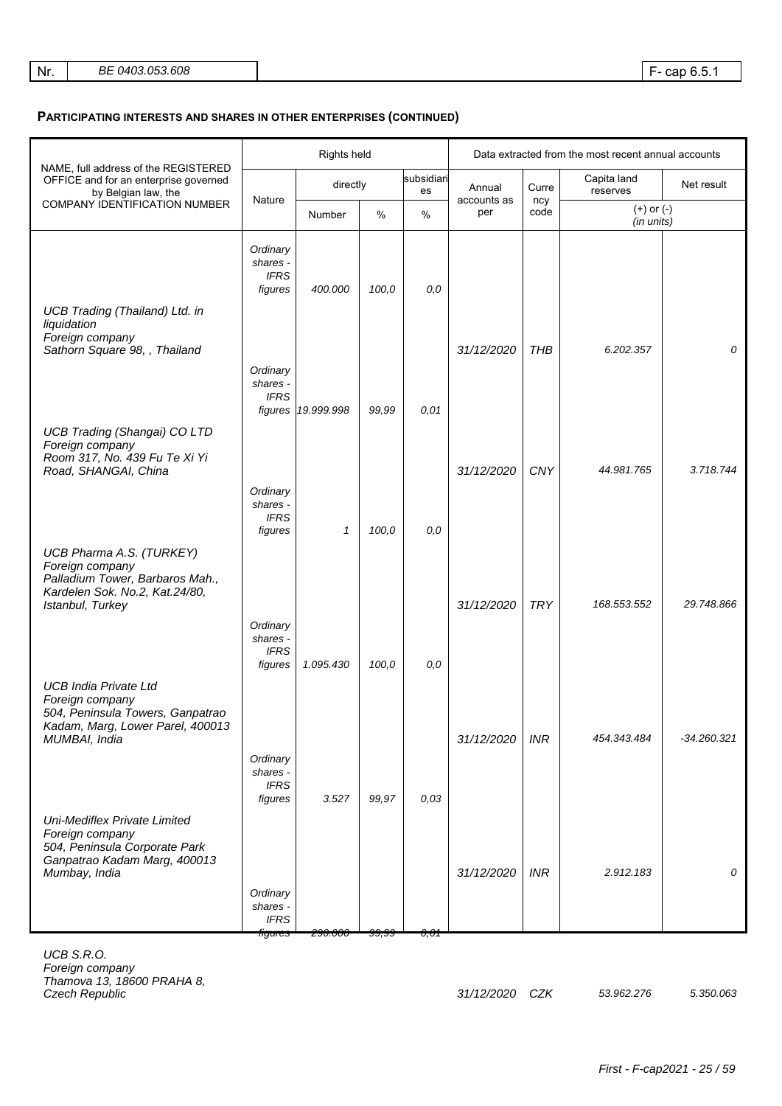|                                                                                                                                      | Rights held                                    |                    |       |                  | Data extracted from the most recent annual accounts |             |                              |             |
|--------------------------------------------------------------------------------------------------------------------------------------|------------------------------------------------|--------------------|-------|------------------|-----------------------------------------------------|-------------|------------------------------|-------------|
| NAME, full address of the REGISTERED<br>OFFICE and for an enterprise governed<br>by Belgian law, the                                 | Nature                                         | directly           |       | subsidiari<br>es | Annual<br>accounts as                               | Curre       | Capita land<br>reserves      | Net result  |
| COMPANY IDENTIFICATION NUMBER                                                                                                        |                                                | Number             | %     | %                | per                                                 | ncy<br>code | $(+)$ or $(-)$<br>(in units) |             |
|                                                                                                                                      | Ordinary<br>shares -<br><b>IFRS</b><br>figures | 400.000            | 100,0 | 0,0              |                                                     |             |                              |             |
| <b>UCB Trading (Thailand) Ltd. in</b><br>liquidation<br>Foreign company<br>Sathorn Square 98, , Thailand                             |                                                |                    |       |                  | 31/12/2020                                          | <b>THB</b>  | 6.202.357                    | 0           |
|                                                                                                                                      | Ordinary<br>shares -<br><b>IFRS</b>            |                    |       |                  |                                                     |             |                              |             |
| <b>UCB Trading (Shangai) CO LTD</b><br>Foreign company                                                                               |                                                | figures 19.999.998 | 99,99 | 0.01             |                                                     |             |                              |             |
| Room 317, No. 439 Fu Te Xi Yi<br>Road, SHANGAI, China                                                                                | Ordinary                                       |                    |       |                  | 31/12/2020                                          | CNY         | 44.981.765                   | 3.718.744   |
|                                                                                                                                      | shares -<br><b>IFRS</b><br>figures             | 1                  | 100,0 | 0,0              |                                                     |             |                              |             |
| UCB Pharma A.S. (TURKEY)<br>Foreign company<br>Palladium Tower, Barbaros Mah.,<br>Kardelen Sok. No.2, Kat.24/80,<br>Istanbul, Turkey |                                                |                    |       |                  | 31/12/2020                                          | <b>TRY</b>  | 168.553.552                  | 29.748.866  |
|                                                                                                                                      | Ordinary<br>shares -<br><b>IFRS</b>            |                    |       |                  |                                                     |             |                              |             |
| <b>UCB India Private Ltd</b><br>Foreign company                                                                                      | figures                                        | 1.095.430          | 100,0 | 0,0              |                                                     |             |                              |             |
| 504, Peninsula Towers, Ganpatrao<br>Kadam, Marg, Lower Parel, 400013<br>MUMBAI, India                                                |                                                |                    |       |                  | 31/12/2020                                          | <b>INR</b>  | 454.343.484                  | -34.260.321 |
|                                                                                                                                      | Ordinary<br>shares -<br><b>IFRS</b><br>figures | 3.527              | 99,97 | 0,03             |                                                     |             |                              |             |
| Uni-Mediflex Private Limited<br>Foreign company<br>504, Peninsula Corporate Park<br>Ganpatrao Kadam Marg, 400013<br>Mumbay, India    |                                                |                    |       |                  | 31/12/2020                                          | <b>INR</b>  | 2.912.183                    | 0           |
|                                                                                                                                      | Ordinary<br>shares -<br><b>IFRS</b><br>hgures  | <del>290.000</del> | JJ,JJ | 0,01             |                                                     |             |                              |             |

UCB S.R.O. Foreign company Thamova 13, 18600 PRAHA 8,

31/12/2020 CZK 53.962.276 5.350.063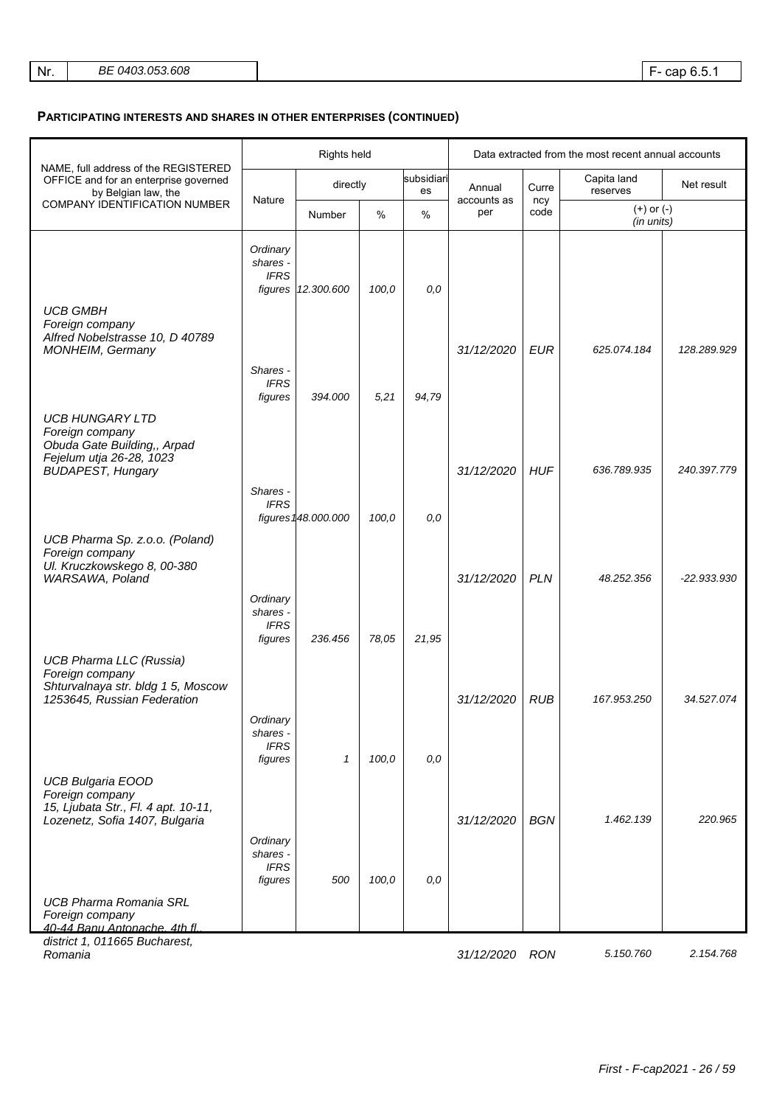|                                                                                                                                  |                                                | Rights held                   |       |                    | Data extracted from the most recent annual accounts |                              |                         |             |
|----------------------------------------------------------------------------------------------------------------------------------|------------------------------------------------|-------------------------------|-------|--------------------|-----------------------------------------------------|------------------------------|-------------------------|-------------|
| NAME, full address of the REGISTERED<br>OFFICE and for an enterprise governed<br>by Belgian law, the                             |                                                | directly                      |       | subsidiari<br>es   | Annual                                              | Curre                        | Capita land<br>reserves | Net result  |
| COMPANY IDENTIFICATION NUMBER                                                                                                    |                                                | Nature<br>$\%$<br>%<br>Number |       | accounts as<br>per | ncy<br>code                                         | $(+)$ or $(-)$<br>(in units) |                         |             |
|                                                                                                                                  | Ordinary<br>shares -<br><b>IFRS</b>            | figures 12.300.600            | 100,0 | 0.0                |                                                     |                              |                         |             |
| <b>UCB GMBH</b><br>Foreign company<br>Alfred Nobelstrasse 10, D 40789<br>MONHEIM, Germany                                        | Shares -                                       |                               |       |                    | 31/12/2020                                          | <b>EUR</b>                   | 625.074.184             | 128.289.929 |
|                                                                                                                                  | <b>IFRS</b><br>figures                         | 394.000                       | 5,21  | 94,79              |                                                     |                              |                         |             |
| <b>UCB HUNGARY LTD</b><br>Foreign company<br>Obuda Gate Building,, Arpad<br>Fejelum utja 26-28, 1023<br><b>BUDAPEST, Hungary</b> |                                                |                               |       |                    | 31/12/2020                                          | <b>HUF</b>                   | 636.789.935             | 240.397.779 |
|                                                                                                                                  | Shares -<br><b>IFRS</b>                        |                               |       |                    |                                                     |                              |                         |             |
| UCB Pharma Sp. z.o.o. (Poland)                                                                                                   |                                                | figures 148.000.000           | 100,0 | 0,0                |                                                     |                              |                         |             |
| Foreign company<br>Ul. Kruczkowskego 8, 00-380<br>WARSAWA, Poland                                                                |                                                |                               |       |                    | 31/12/2020                                          | <b>PLN</b>                   | 48.252.356              | -22.933.930 |
|                                                                                                                                  | Ordinary<br>shares -<br><b>IFRS</b><br>figures | 236.456                       | 78,05 | 21,95              |                                                     |                              |                         |             |
| <b>UCB Pharma LLC (Russia)</b><br>Foreign company<br>Shturvalnaya str. bldg 1 5, Moscow                                          |                                                |                               |       |                    |                                                     |                              |                         |             |
| 1253645, Russian Federation                                                                                                      |                                                |                               |       |                    | 31/12/2020                                          | <b>RUB</b>                   | 167.953.250             | 34.527.074  |
|                                                                                                                                  | Ordinary<br>shares -<br><b>IFRS</b><br>figures | $\mathcal I$                  | 100,0 | 0,0                |                                                     |                              |                         |             |
| <b>UCB Bulgaria EOOD</b><br>Foreign company<br>15, Ljubata Str., Fl. 4 apt. 10-11,<br>Lozenetz, Sofia 1407, Bulgaria             |                                                |                               |       |                    | 31/12/2020                                          | <b>BGN</b>                   | 1.462.139               | 220.965     |
|                                                                                                                                  | Ordinary<br>shares -<br><b>IFRS</b><br>figures | 500                           | 100,0 | 0,0                |                                                     |                              |                         |             |
| <b>UCB Pharma Romania SRL</b><br>Foreign company<br>40-44 Ranu Antonache 4th fl<br>district 1, 011665 Bucharest,                 |                                                |                               |       |                    |                                                     |                              |                         |             |

Romania 2.154.768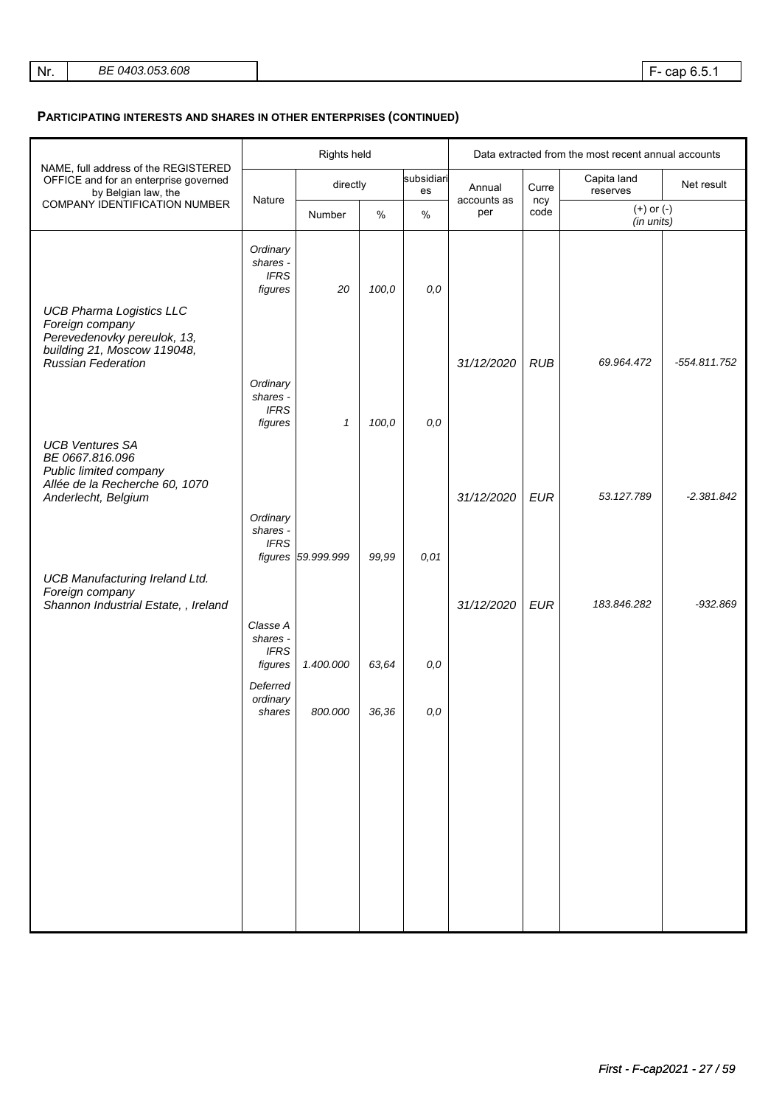|                                                                                                       | Rights held                                    |                    |       |                  | Data extracted from the most recent annual accounts |             |                              |              |
|-------------------------------------------------------------------------------------------------------|------------------------------------------------|--------------------|-------|------------------|-----------------------------------------------------|-------------|------------------------------|--------------|
| NAME, full address of the REGISTERED<br>OFFICE and for an enterprise governed<br>by Belgian law, the  |                                                | directly           |       | subsidiari<br>es | Annual                                              | Curre       | Capita land<br>reserves      | Net result   |
| COMPANY IDENTIFICATION NUMBER                                                                         | Nature                                         | Number             | $\%$  | $\%$             | accounts as<br>per                                  | ncy<br>code | $(+)$ or $(-)$<br>(in units) |              |
| <b>UCB Pharma Logistics LLC</b><br>Foreign company                                                    | Ordinary<br>shares -<br><b>IFRS</b><br>figures | 20                 | 100,0 | 0,0              |                                                     |             |                              |              |
| Perevedenovky pereulok, 13,<br>building 21, Moscow 119048,<br>Russian Federation                      |                                                |                    |       |                  | 31/12/2020                                          | <b>RUB</b>  | 69.964.472                   | -554.811.752 |
|                                                                                                       | Ordinary<br>shares -<br><b>IFRS</b><br>figures | $\mathcal I$       | 100,0 | 0,0              |                                                     |             |                              |              |
| <b>UCB Ventures SA</b><br>BE 0667.816.096<br>Public limited company<br>Allée de la Recherche 60, 1070 |                                                |                    |       |                  |                                                     |             | 53.127.789                   |              |
| Anderlecht, Belgium                                                                                   | Ordinary<br>shares -<br><b>IFRS</b>            |                    |       |                  | 31/12/2020                                          | <b>EUR</b>  |                              | $-2.381.842$ |
| <b>UCB Manufacturing Ireland Ltd.</b>                                                                 |                                                | figures 59.999.999 | 99,99 | 0,01             |                                                     |             |                              |              |
| Foreign company<br>Shannon Industrial Estate, , Ireland                                               | Classe A<br>shares -                           |                    |       |                  | 31/12/2020                                          | <b>EUR</b>  | 183.846.282                  | $-932.869$   |
|                                                                                                       | <b>IFRS</b><br>figures                         | 1.400.000          | 63,64 | 0,0              |                                                     |             |                              |              |
|                                                                                                       | Deferred<br>ordinary<br>shares                 | 800.000            | 36,36 | 0,0              |                                                     |             |                              |              |
|                                                                                                       |                                                |                    |       |                  |                                                     |             |                              |              |
|                                                                                                       |                                                |                    |       |                  |                                                     |             |                              |              |
|                                                                                                       |                                                |                    |       |                  |                                                     |             |                              |              |
|                                                                                                       |                                                |                    |       |                  |                                                     |             |                              |              |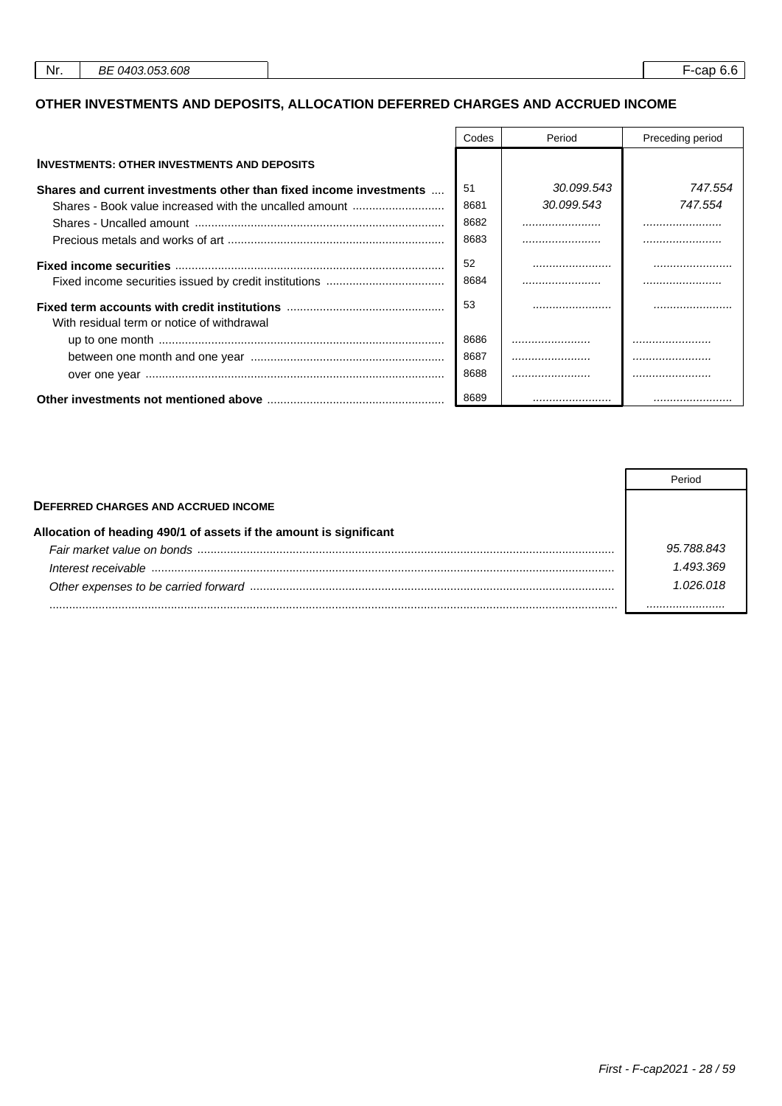# **OTHER INVESTMENTS AND DEPOSITS, ALLOCATION DEFERRED CHARGES AND ACCRUED INCOME**

|                                                                    | Codes | Period     | Preceding period |
|--------------------------------------------------------------------|-------|------------|------------------|
| <b>INVESTMENTS: OTHER INVESTMENTS AND DEPOSITS</b>                 |       |            |                  |
| Shares and current investments other than fixed income investments | 51    | 30.099.543 | 747.554          |
| Shares - Book value increased with the uncalled amount             | 8681  | 30.099.543 | 747.554          |
|                                                                    | 8682  |            |                  |
|                                                                    | 8683  |            |                  |
|                                                                    | .52   |            |                  |
|                                                                    | 8684  |            |                  |
| With residual term or notice of withdrawal                         | 53    |            |                  |
|                                                                    | 8686  |            |                  |
|                                                                    | 8687  |            |                  |
|                                                                    | 8688  |            |                  |
|                                                                    | 8689  |            |                  |

|                                                                    | Period     |
|--------------------------------------------------------------------|------------|
| <b>DEFERRED CHARGES AND ACCRUED INCOME</b>                         |            |
| Allocation of heading 490/1 of assets if the amount is significant |            |
|                                                                    | 95.788.843 |
| Interest receivable                                                | 1 493 369  |
|                                                                    | 1 026 018  |
|                                                                    |            |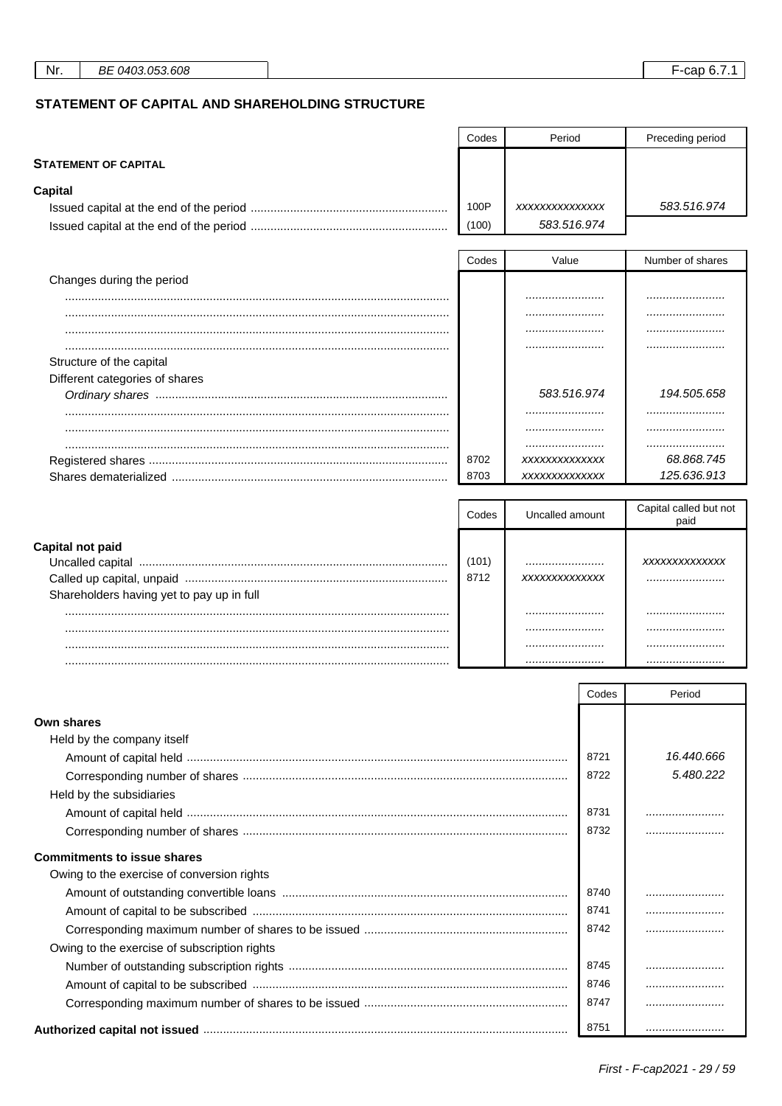**STATEMENT OF CAPITAL** 

Preceding period

Period

 $\mathsf{Codes}$ 

## STATEMENT OF CAPITAL AND SHAREHOLDING STRUCTURE

| <b>Capital</b>                               |       |                 |       |                        |
|----------------------------------------------|-------|-----------------|-------|------------------------|
|                                              | 100P  | XXXXXXXXXXXXXX  |       | 583.516.974            |
|                                              | (100) | 583.516.974     |       |                        |
|                                              | Codes | Value           |       | Number of shares       |
| Changes during the period                    |       |                 |       |                        |
|                                              |       |                 |       |                        |
|                                              |       |                 |       |                        |
|                                              |       |                 |       |                        |
|                                              |       |                 |       |                        |
| Structure of the capital                     |       |                 |       |                        |
| Different categories of shares               |       |                 |       |                        |
|                                              |       | 583.516.974     |       | 194.505.658            |
|                                              |       |                 |       |                        |
|                                              |       |                 |       |                        |
|                                              | 8702  | XXXXXXXXXXXXX   |       | 68.868.745             |
|                                              | 8703  | XXXXXXXXXXXXX   |       | 125.636.913            |
|                                              |       |                 |       |                        |
|                                              | Codes | Uncalled amount |       | Capital called but not |
|                                              |       |                 |       | paid                   |
| <b>Capital not paid</b>                      |       |                 |       |                        |
|                                              | (101) |                 |       | XXXXXXXXXXXXX          |
|                                              | 8712  | XXXXXXXXXXXXX   |       |                        |
| Shareholders having yet to pay up in full    |       |                 |       |                        |
|                                              |       | .               |       |                        |
|                                              |       |                 |       |                        |
|                                              |       |                 |       |                        |
|                                              |       |                 |       |                        |
|                                              |       |                 | Codes | Period                 |
|                                              |       |                 |       |                        |
| <b>Own shares</b>                            |       |                 |       |                        |
| Held by the company itself                   |       |                 |       |                        |
|                                              |       |                 | 8721  | 16.440.666             |
|                                              |       |                 | 8722  | 5.480.222              |
| Held by the subsidiaries                     |       |                 |       |                        |
|                                              |       |                 | 8731  |                        |
|                                              |       |                 | 8732  |                        |
| <b>Commitments to issue shares</b>           |       |                 |       |                        |
| Owing to the exercise of conversion rights   |       |                 |       |                        |
|                                              |       |                 | 8740  |                        |
|                                              |       |                 | 8741  |                        |
|                                              |       |                 | 8742  |                        |
| Owing to the exercise of subscription rights |       |                 |       |                        |
|                                              |       |                 | 8745  |                        |
|                                              |       |                 | 8746  |                        |
|                                              |       |                 | 8747  |                        |
|                                              |       |                 |       |                        |
|                                              |       |                 | 8751  |                        |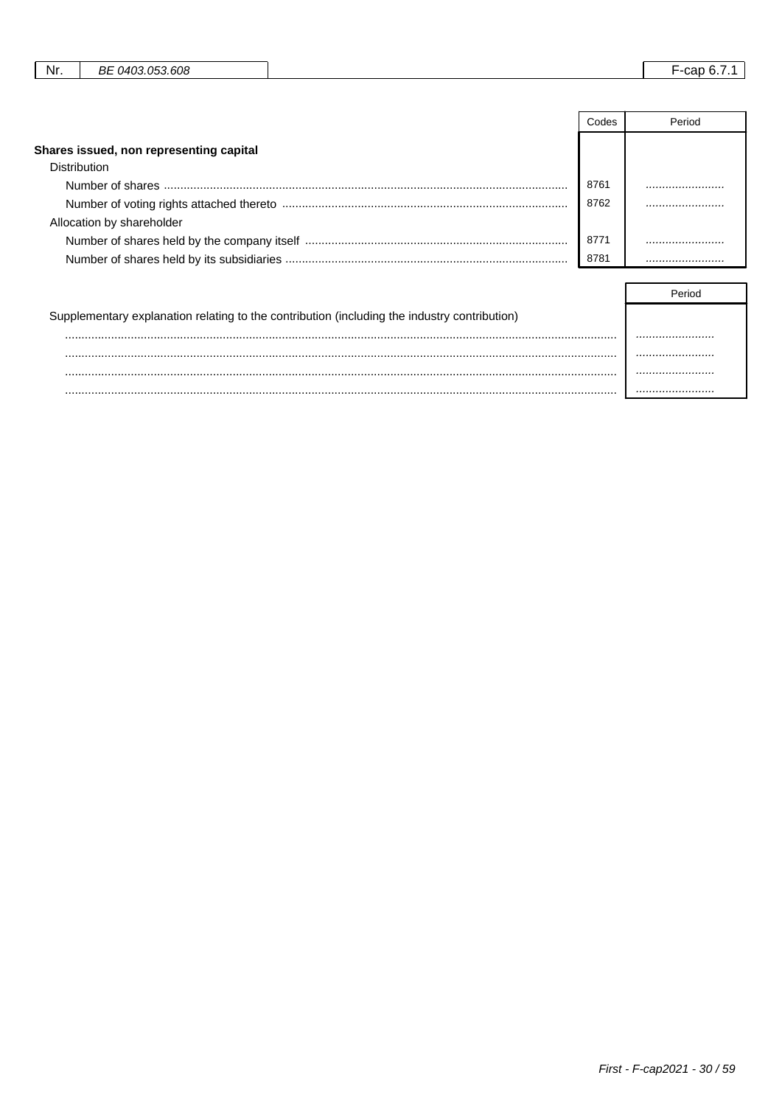| - 608.<br>- P<br>$040^\circ$<br>∩⊏<br>Nr.<br>car<br>. . <i>. .</i> .<br>DC |
|----------------------------------------------------------------------------|
|----------------------------------------------------------------------------|

|                                         | Codes | Period |
|-----------------------------------------|-------|--------|
| Shares issued, non representing capital |       |        |
| Distribution                            |       |        |
|                                         | 8761  |        |
|                                         | 8762  |        |
| Allocation by shareholder               |       |        |
|                                         | 8771  |        |
|                                         | 8781  |        |

| Supplementary explanation relating to the contribution (including the industry contribution) |  |
|----------------------------------------------------------------------------------------------|--|
|                                                                                              |  |
|                                                                                              |  |
|                                                                                              |  |
|                                                                                              |  |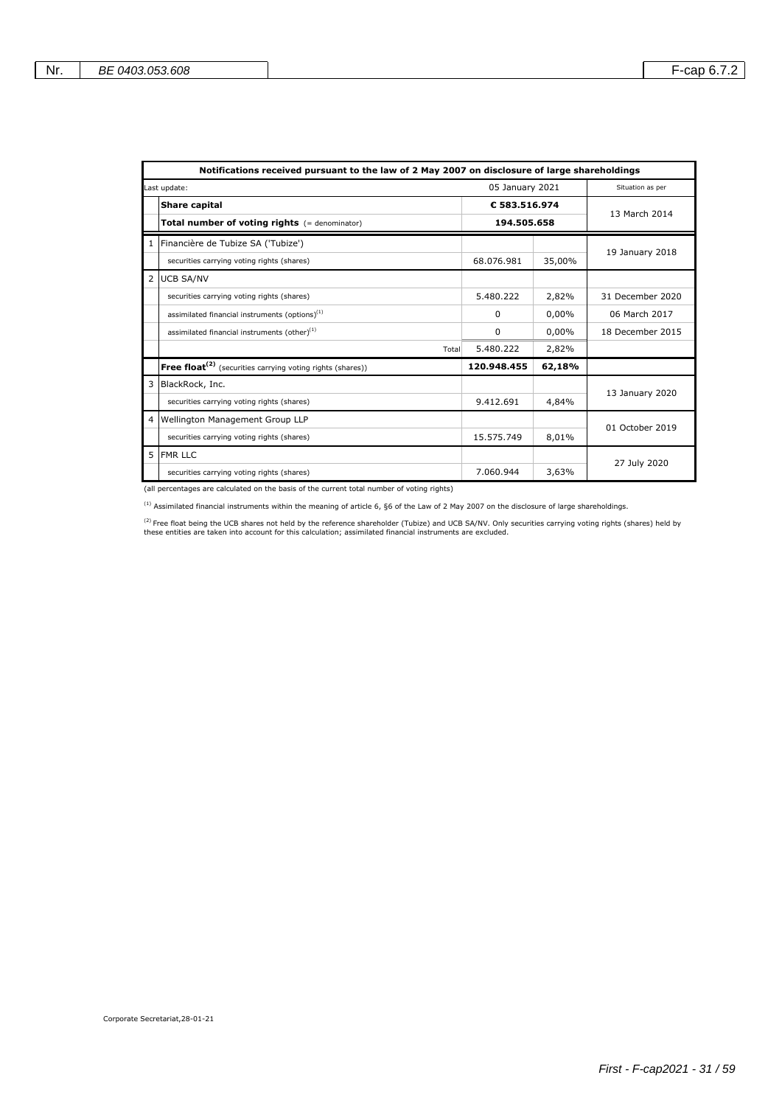|                | Notifications received pursuant to the law of 2 May 2007 on disclosure of large shareholdings |                             |          |                  |  |  |
|----------------|-----------------------------------------------------------------------------------------------|-----------------------------|----------|------------------|--|--|
|                | Last update:                                                                                  | 05 January 2021             |          | Situation as per |  |  |
|                | <b>Share capital</b>                                                                          | €583.516.974<br>194.505.658 |          | 13 March 2014    |  |  |
|                | Total number of voting rights (= denominator)                                                 |                             |          |                  |  |  |
|                | 1 Financière de Tubize SA ('Tubize')                                                          |                             |          | 19 January 2018  |  |  |
|                | securities carrying voting rights (shares)                                                    | 68.076.981                  | 35,00%   |                  |  |  |
| $\overline{2}$ | <b>UCB SA/NV</b>                                                                              |                             |          |                  |  |  |
|                | securities carrying voting rights (shares)                                                    | 5.480.222                   | 2,82%    | 31 December 2020 |  |  |
|                | assimilated financial instruments (options) <sup>(1)</sup>                                    | 0                           | 0,00%    | 06 March 2017    |  |  |
|                | assimilated financial instruments (other) <sup>(1)</sup>                                      | 0                           | $0.00\%$ | 18 December 2015 |  |  |
|                | Total                                                                                         | 5.480.222                   | 2,82%    |                  |  |  |
|                | <b>Free float</b> <sup>(2)</sup> (securities carrying voting rights (shares))                 | 120.948.455                 | 62,18%   |                  |  |  |
| 3              | BlackRock, Inc.                                                                               |                             |          | 13 January 2020  |  |  |
|                | securities carrying voting rights (shares)                                                    | 9.412.691                   | 4,84%    |                  |  |  |
| 4              | Wellington Management Group LLP                                                               |                             |          | 01 October 2019  |  |  |
|                | securities carrying voting rights (shares)                                                    | 15.575.749                  | 8,01%    |                  |  |  |
| 5              | <b>FMR LLC</b>                                                                                |                             |          | 27 July 2020     |  |  |
|                | securities carrying voting rights (shares)                                                    | 7.060.944                   | 3,63%    |                  |  |  |

(all percentages are calculated on the basis of the current total number of voting rights)

 $^{(1)}$  Assimilated financial instruments within the meaning of article 6, §6 of the Law of 2 May 2007 on the disclosure of large shareholdings.

<sup>(2)</sup> Free float being the UCB shares not held by the reference shareholder (Tubize) and UCB SA/NV. Only securities carrying voting rights (shares) held by<br>these entities are taken into account for this calculation; assimi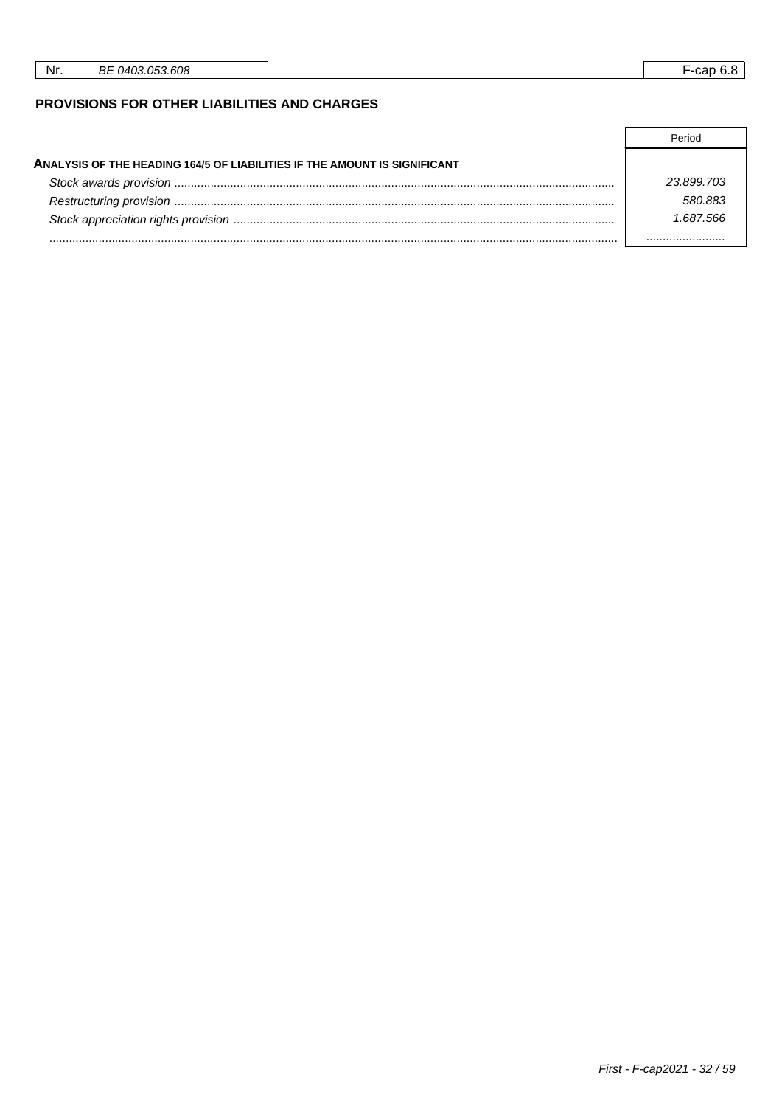| Nr. | 03.053.608<br>ി402<br>ВE<br>$\cdot$ | _<br>--cap<br>v. |
|-----|-------------------------------------|------------------|
|     |                                     |                  |

## PROVISIONS FOR OTHER LIABILITIES AND CHARGES

|                                                                           | Period     |
|---------------------------------------------------------------------------|------------|
| ANALYSIS OF THE HEADING 164/5 OF LIABILITIES IF THE AMOUNT IS SIGNIFICANT |            |
|                                                                           | 23 899 703 |
|                                                                           | 580 883    |
|                                                                           | 1 687 566  |
|                                                                           |            |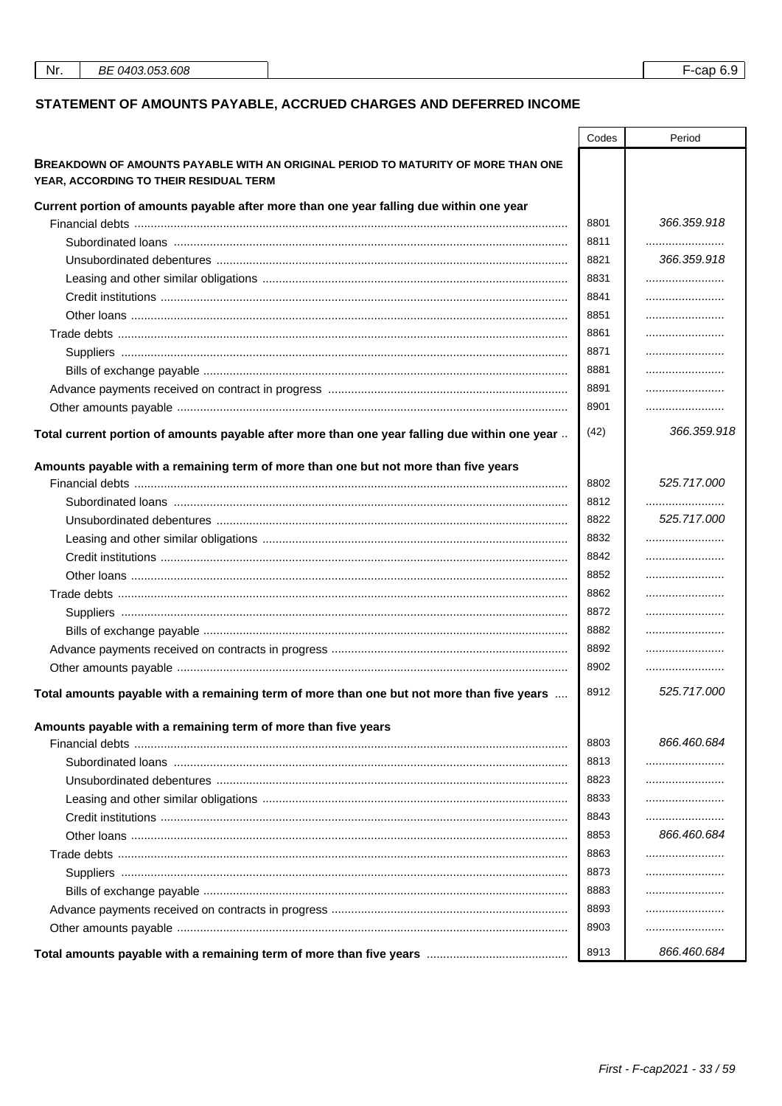# STATEMENT OF AMOUNTS PAYABLE, ACCRUED CHARGES AND DEFERRED INCOME

|                                                                                               | Codes | Period          |
|-----------------------------------------------------------------------------------------------|-------|-----------------|
| BREAKDOWN OF AMOUNTS PAYABLE WITH AN ORIGINAL PERIOD TO MATURITY OF MORE THAN ONE             |       |                 |
| YEAR, ACCORDING TO THEIR RESIDUAL TERM                                                        |       |                 |
| Current portion of amounts payable after more than one year falling due within one year       |       |                 |
|                                                                                               | 8801  | 366.359.918     |
|                                                                                               | 8811  |                 |
|                                                                                               | 8821  | 366.359.918     |
|                                                                                               | 8831  |                 |
|                                                                                               | 8841  |                 |
|                                                                                               | 8851  |                 |
|                                                                                               | 8861  |                 |
|                                                                                               | 8871  |                 |
|                                                                                               | 8881  |                 |
|                                                                                               | 8891  |                 |
|                                                                                               | 8901  |                 |
| Total current portion of amounts payable after more than one year falling due within one year | (42)  | 366.359.918     |
|                                                                                               |       |                 |
| Amounts payable with a remaining term of more than one but not more than five years           | 8802  | 525.717.000     |
|                                                                                               | 8812  |                 |
|                                                                                               | 8822  | <br>525.717.000 |
|                                                                                               | 8832  |                 |
|                                                                                               | 8842  |                 |
|                                                                                               | 8852  |                 |
|                                                                                               | 8862  |                 |
|                                                                                               | 8872  |                 |
|                                                                                               | 8882  |                 |
|                                                                                               |       |                 |
|                                                                                               | 8892  |                 |
|                                                                                               | 8902  |                 |
| Total amounts payable with a remaining term of more than one but not more than five years     | 8912  | 525.717.000     |
| Amounts payable with a remaining term of more than five years                                 |       |                 |
|                                                                                               | 8803  | 866.460.684     |
|                                                                                               | 8813  |                 |
|                                                                                               | 8823  |                 |
|                                                                                               | 8833  |                 |
|                                                                                               | 8843  |                 |
|                                                                                               | 8853  | 866.460.684     |
|                                                                                               | 8863  |                 |
|                                                                                               | 8873  |                 |
|                                                                                               | 8883  |                 |
|                                                                                               | 8893  |                 |
|                                                                                               | 8903  |                 |
|                                                                                               | 8913  | 866.460.684     |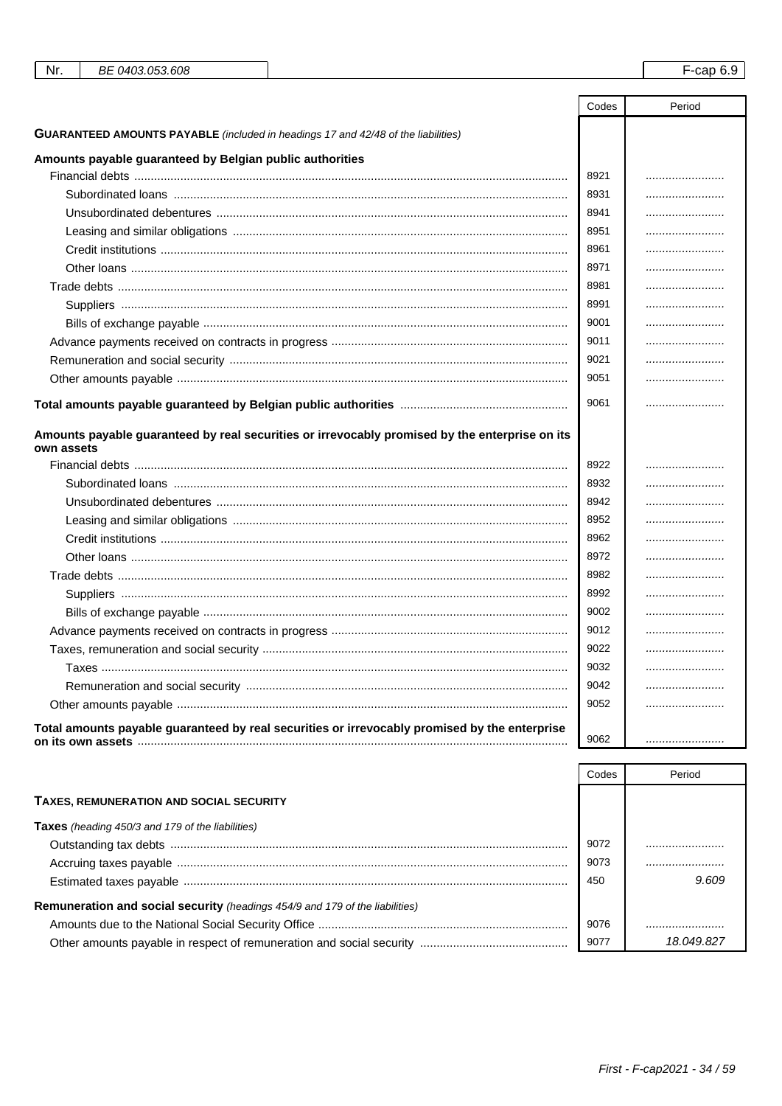| Nr.<br>BE 0403.053.608                                                                         |       | $F$ -cap 6.9 |
|------------------------------------------------------------------------------------------------|-------|--------------|
|                                                                                                |       |              |
|                                                                                                | Codes | Period       |
| <b>GUARANTEED AMOUNTS PAYABLE</b> (included in headings 17 and 42/48 of the liabilities)       |       |              |
| Amounts payable guaranteed by Belgian public authorities                                       |       |              |
|                                                                                                | 8921  |              |
|                                                                                                | 8931  |              |
|                                                                                                | 8941  |              |
|                                                                                                | 8951  |              |
|                                                                                                | 8961  |              |
|                                                                                                | 8971  |              |
|                                                                                                | 8981  |              |
|                                                                                                | 8991  |              |
|                                                                                                | 9001  |              |
|                                                                                                | 9011  |              |
|                                                                                                | 9021  |              |
|                                                                                                | 9051  |              |
|                                                                                                | 9061  |              |
|                                                                                                |       |              |
| Amounts payable guaranteed by real securities or irrevocably promised by the enterprise on its |       |              |
| own assets                                                                                     | 8922  |              |
|                                                                                                | 8932  |              |
|                                                                                                | 8942  |              |
|                                                                                                | 8952  |              |
|                                                                                                | 8962  |              |
|                                                                                                | 8972  |              |
|                                                                                                | 8982  |              |
|                                                                                                | 8992  |              |
|                                                                                                | 9002  |              |
|                                                                                                | 9012  |              |
|                                                                                                | 9022  |              |
|                                                                                                | 9032  |              |
|                                                                                                | 9042  |              |
|                                                                                                | 9052  |              |
| Total amounts payable guaranteed by real securities or irrevocably promised by the enterprise  |       |              |
|                                                                                                | 9062  |              |

|                                                                              | Codes | Period     |
|------------------------------------------------------------------------------|-------|------------|
| <b>TAXES, REMUNERATION AND SOCIAL SECURITY</b>                               |       |            |
| <b>Taxes</b> (heading 450/3 and 179 of the liabilities)                      |       |            |
|                                                                              | 9072  |            |
|                                                                              | 9073  |            |
|                                                                              | 450   | 9.609      |
| Remuneration and social security (headings 454/9 and 179 of the liabilities) |       |            |
|                                                                              | 9076  |            |
|                                                                              | 9077  | 18.049.827 |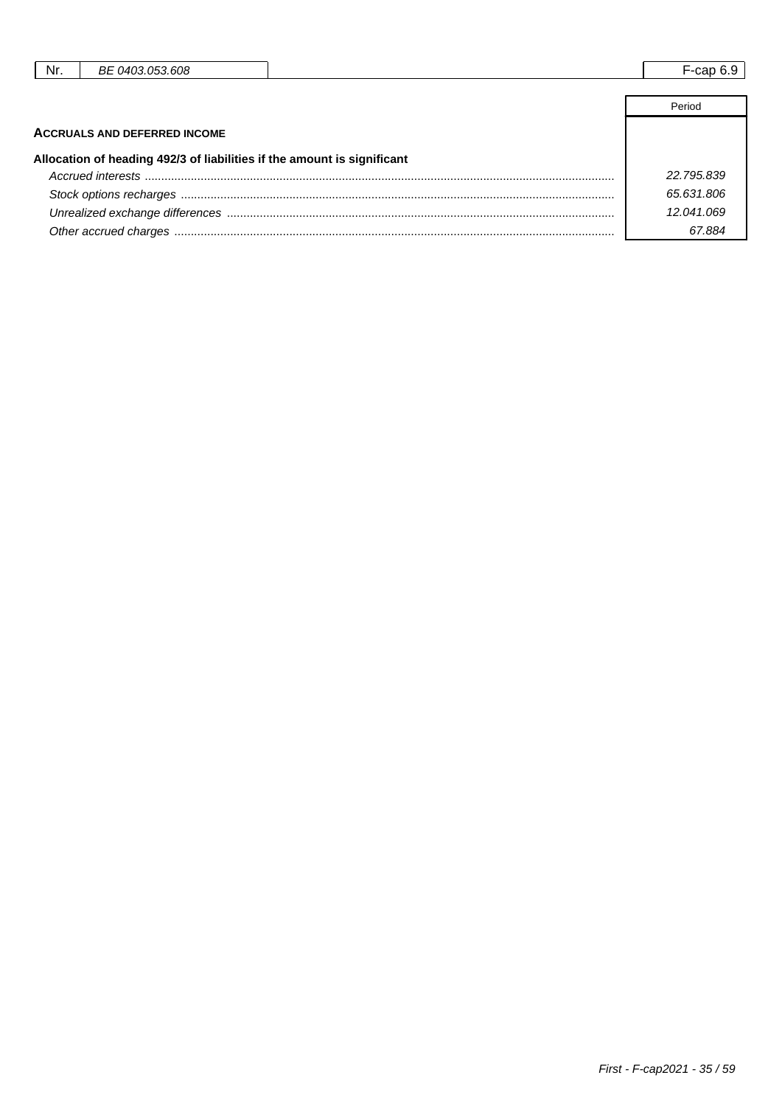| Nr. | BE 0403.053.608                                                         | $F$ -cap $6.9$ |
|-----|-------------------------------------------------------------------------|----------------|
|     |                                                                         |                |
|     |                                                                         | Period         |
|     | <b>ACCRUALS AND DEFERRED INCOME</b>                                     |                |
|     | Allocation of heading 492/3 of liabilities if the amount is significant |                |
|     |                                                                         | 22.795.839     |
|     |                                                                         | 65.631.806     |
|     |                                                                         | 12.041.069     |

Other accrued charges ...................................................................................................................................... 67.884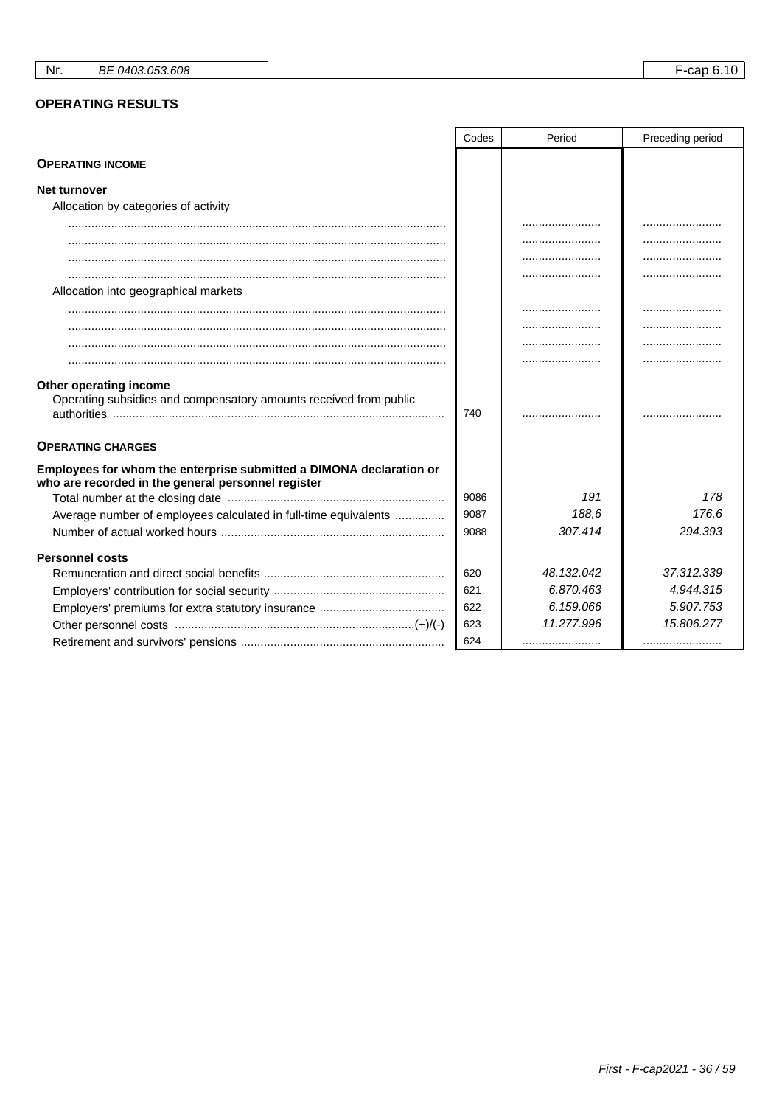### **OPERATING RESULTS**

|                                                                                                                           | Codes | Period     | Preceding period |
|---------------------------------------------------------------------------------------------------------------------------|-------|------------|------------------|
| <b>OPERATING INCOME</b>                                                                                                   |       |            |                  |
| <b>Net turnover</b>                                                                                                       |       |            |                  |
| Allocation by categories of activity                                                                                      |       |            |                  |
|                                                                                                                           |       |            |                  |
|                                                                                                                           |       |            |                  |
|                                                                                                                           |       |            |                  |
|                                                                                                                           |       |            |                  |
| Allocation into geographical markets                                                                                      |       |            |                  |
|                                                                                                                           |       |            |                  |
|                                                                                                                           |       |            |                  |
|                                                                                                                           |       |            |                  |
|                                                                                                                           |       |            |                  |
| Other operating income<br>Operating subsidies and compensatory amounts received from public                               | 740   |            |                  |
| <b>OPERATING CHARGES</b>                                                                                                  |       |            |                  |
| Employees for whom the enterprise submitted a DIMONA declaration or<br>who are recorded in the general personnel register |       |            |                  |
|                                                                                                                           | 9086  | 191        | 178              |
| Average number of employees calculated in full-time equivalents                                                           | 9087  | 188.6      | 176.6            |
|                                                                                                                           | 9088  | 307.414    | 294.393          |
| <b>Personnel costs</b>                                                                                                    |       |            |                  |
|                                                                                                                           | 620   | 48.132.042 | 37.312.339       |
|                                                                                                                           | 621   | 6.870.463  | 4.944.315        |
|                                                                                                                           | 622   | 6.159.066  | 5.907.753        |
|                                                                                                                           | 623   | 11.277.996 | 15.806.277       |
|                                                                                                                           | 624   |            |                  |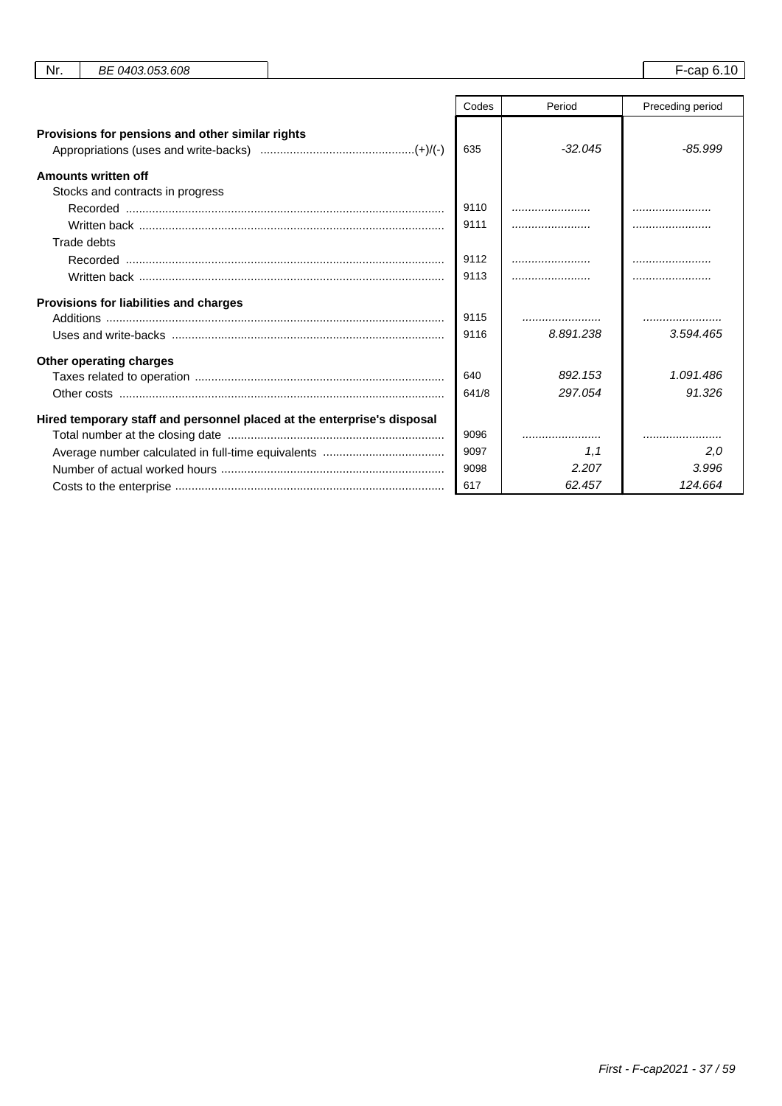| Nr. | BE 0403.053.608                                                         |       |           | F-cap 6.10       |
|-----|-------------------------------------------------------------------------|-------|-----------|------------------|
|     |                                                                         | Codes | Period    | Preceding period |
|     | Provisions for pensions and other similar rights                        |       |           |                  |
|     |                                                                         | 635   | $-32.045$ | $-85.999$        |
|     | Amounts written off                                                     |       |           |                  |
|     | Stocks and contracts in progress                                        |       |           |                  |
|     |                                                                         | 9110  |           |                  |
|     |                                                                         | 9111  |           |                  |
|     | Trade debts                                                             |       |           |                  |
|     |                                                                         | 9112  |           |                  |
|     |                                                                         | 9113  |           |                  |
|     | Provisions for liabilities and charges                                  |       |           |                  |
|     |                                                                         | 9115  |           |                  |
|     |                                                                         | 9116  | 8.891.238 | 3.594.465        |
|     | Other operating charges                                                 |       |           |                  |
|     |                                                                         | 640   | 892.153   | 1.091.486        |
|     |                                                                         | 641/8 | 297.054   | 91.326           |
|     | Hired temporary staff and personnel placed at the enterprise's disposal |       |           |                  |
|     |                                                                         | 9096  |           |                  |
|     |                                                                         | 9097  | 1,1       | 2,0              |
|     |                                                                         | 9098  | 2.207     | 3.996            |
|     |                                                                         | 617   | 62.457    | 124.664          |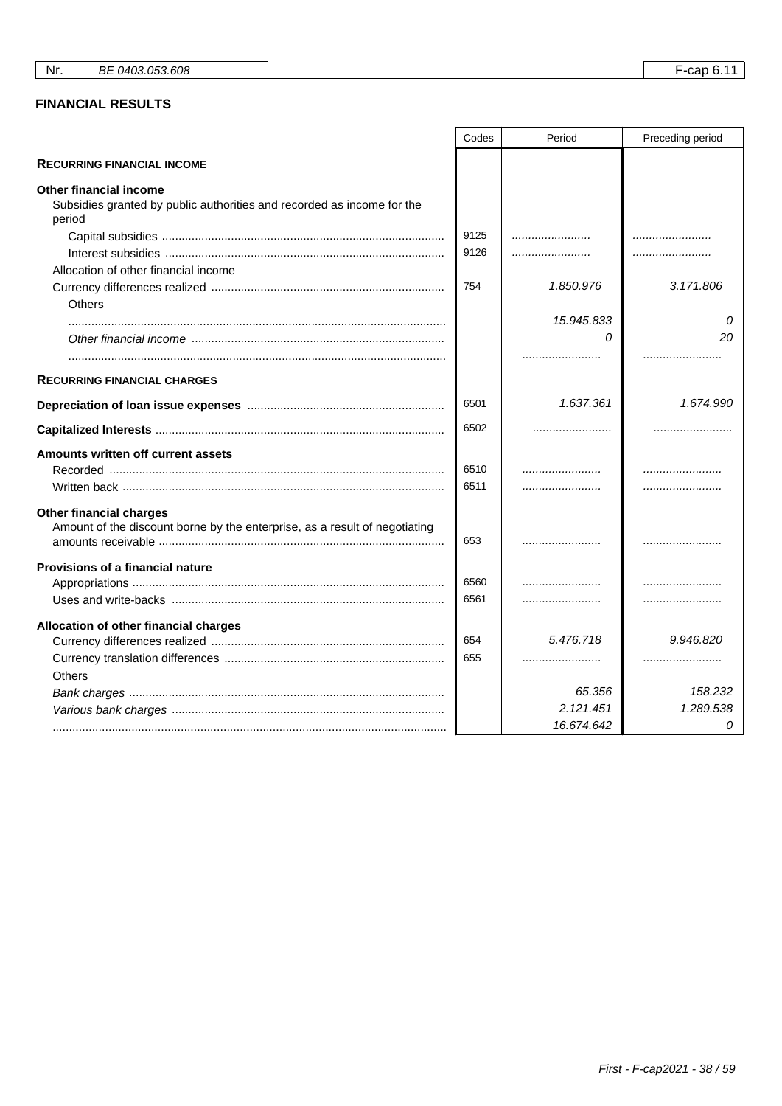## **FINANCIAL RESULTS**

|                                                                                                                   | Codes | Period     | Preceding period |
|-------------------------------------------------------------------------------------------------------------------|-------|------------|------------------|
| <b>RECURRING FINANCIAL INCOME</b>                                                                                 |       |            |                  |
| <b>Other financial income</b><br>Subsidies granted by public authorities and recorded as income for the<br>period |       |            |                  |
|                                                                                                                   | 9125  |            |                  |
|                                                                                                                   | 9126  |            |                  |
| Allocation of other financial income                                                                              |       |            |                  |
|                                                                                                                   | 754   | 1.850.976  | 3.171.806        |
| <b>Others</b>                                                                                                     |       |            |                  |
|                                                                                                                   |       | 15.945.833 | 0                |
|                                                                                                                   |       | 0          | 20               |
|                                                                                                                   |       |            |                  |
| <b>RECURRING FINANCIAL CHARGES</b>                                                                                |       |            |                  |
|                                                                                                                   | 6501  | 1.637.361  | 1.674.990        |
|                                                                                                                   | 6502  |            |                  |
| Amounts written off current assets                                                                                |       |            |                  |
|                                                                                                                   | 6510  |            |                  |
|                                                                                                                   | 6511  |            |                  |
| <b>Other financial charges</b><br>Amount of the discount borne by the enterprise, as a result of negotiating      | 653   |            |                  |
| Provisions of a financial nature                                                                                  |       |            |                  |
|                                                                                                                   | 6560  |            |                  |
|                                                                                                                   | 6561  |            |                  |
| Allocation of other financial charges                                                                             |       |            |                  |
|                                                                                                                   | 654   | 5.476.718  | 9.946.820        |
|                                                                                                                   | 655   |            |                  |
| <b>Others</b>                                                                                                     |       |            |                  |
|                                                                                                                   |       | 65.356     | 158.232          |
|                                                                                                                   |       | 2.121.451  | 1.289.538        |
|                                                                                                                   |       | 16.674.642 | 0                |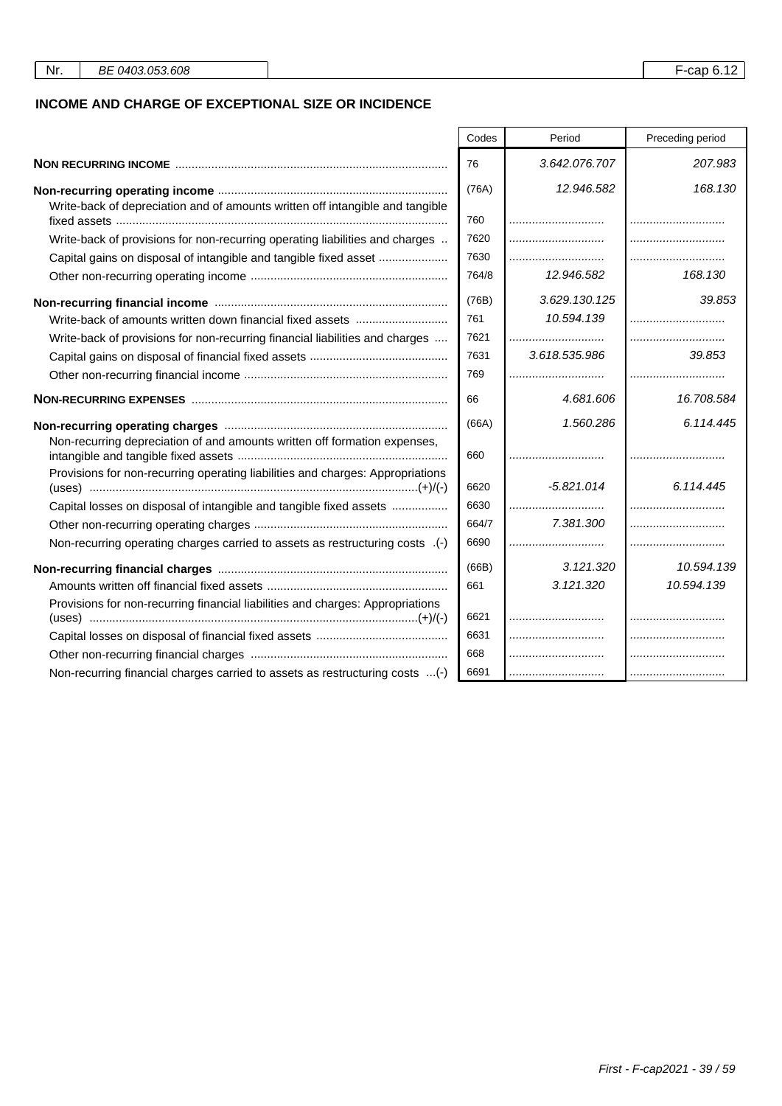### **INCOME AND CHARGE OF EXCEPTIONAL SIZE OR INCIDENCE**

|                                                                                | Codes | Period        | Preceding period |
|--------------------------------------------------------------------------------|-------|---------------|------------------|
|                                                                                | 76    | 3.642.076.707 | 207.983          |
|                                                                                |       |               |                  |
|                                                                                | (76A) | 12.946.582    | 168.130          |
| Write-back of depreciation and of amounts written off intangible and tangible  | 760   |               |                  |
|                                                                                | 7620  |               |                  |
| Write-back of provisions for non-recurring operating liabilities and charges   |       |               |                  |
| Capital gains on disposal of intangible and tangible fixed asset               | 7630  |               |                  |
|                                                                                | 764/8 | 12.946.582    | 168.130          |
|                                                                                | (76B) | 3.629.130.125 | 39.853           |
| Write-back of amounts written down financial fixed assets                      | 761   | 10.594.139    |                  |
| Write-back of provisions for non-recurring financial liabilities and charges   | 7621  |               |                  |
|                                                                                | 7631  | 3.618.535.986 | 39.853           |
|                                                                                | 769   |               |                  |
|                                                                                | 66    | 4.681.606     | 16.708.584       |
|                                                                                | (66A) | 1.560.286     | 6.114.445        |
| Non-recurring depreciation of and amounts written off formation expenses,      | 660   |               |                  |
| Provisions for non-recurring operating liabilities and charges: Appropriations | 6620  | $-5.821.014$  | 6.114.445        |
| Capital losses on disposal of intangible and tangible fixed assets             | 6630  |               |                  |
|                                                                                | 664/7 | 7.381.300     |                  |
| Non-recurring operating charges carried to assets as restructuring costs (-)   | 6690  |               |                  |
|                                                                                | (66B) | 3.121.320     | 10.594.139       |
|                                                                                | 661   | 3.121.320     | 10.594.139       |
| Provisions for non-recurring financial liabilities and charges: Appropriations | 6621  |               |                  |
|                                                                                | 6631  |               |                  |
|                                                                                | 668   |               |                  |
| Non-recurring financial charges carried to assets as restructuring costs (-)   | 6691  |               |                  |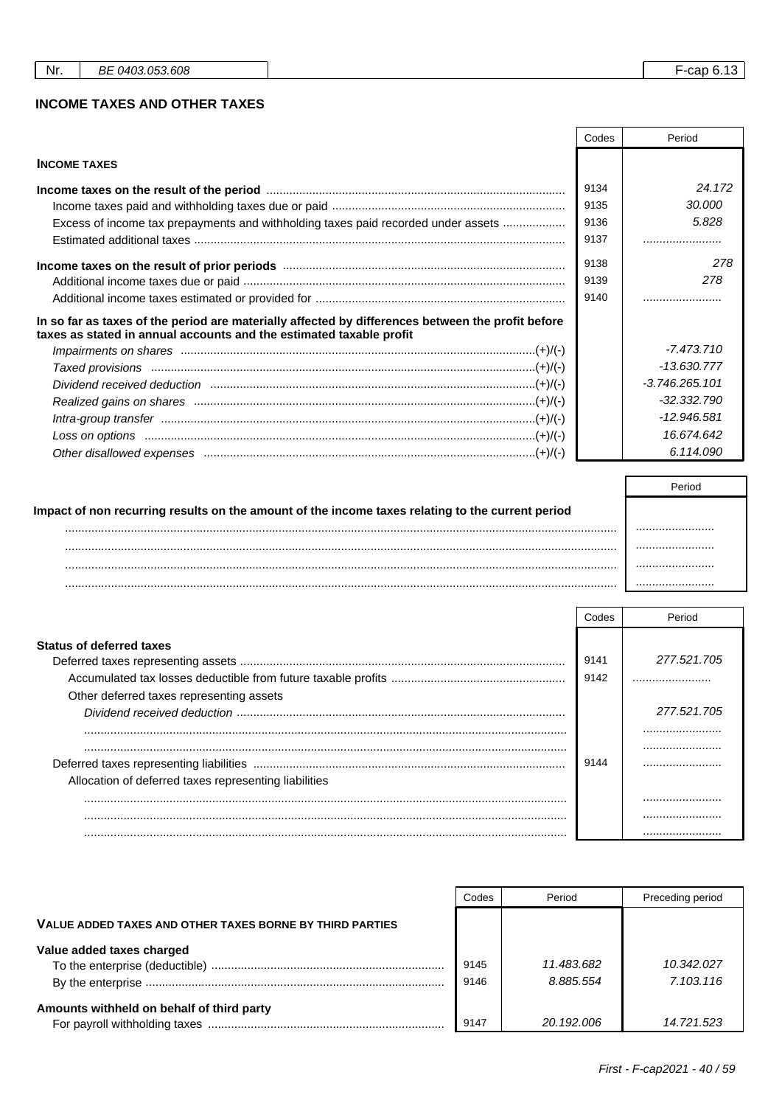#### **INCOME TAXES AND OTHER TAXES**

|                                                                                                                                                                          | Codes | Period           |
|--------------------------------------------------------------------------------------------------------------------------------------------------------------------------|-------|------------------|
| <b>INCOME TAXES</b>                                                                                                                                                      |       |                  |
|                                                                                                                                                                          | 9134  | 24.172           |
|                                                                                                                                                                          | 9135  | 30,000           |
| Excess of income tax prepayments and withholding taxes paid recorded under assets                                                                                        | 9136  | 5.828            |
|                                                                                                                                                                          | 9137  |                  |
|                                                                                                                                                                          | 9138  | 278              |
|                                                                                                                                                                          | 9139  | 278              |
|                                                                                                                                                                          | 9140  |                  |
| In so far as taxes of the period are materially affected by differences between the profit before<br>taxes as stated in annual accounts and the estimated taxable profit |       |                  |
|                                                                                                                                                                          |       | $-7.473.710$     |
|                                                                                                                                                                          |       | $-13.630.777$    |
|                                                                                                                                                                          |       | $-3.746.265.101$ |
|                                                                                                                                                                          |       | $-32.332.790$    |
|                                                                                                                                                                          |       | $-12.946.581$    |
|                                                                                                                                                                          |       | 16.674.642       |
|                                                                                                                                                                          |       | 6.114.090        |

|                                                                                                  | Period |
|--------------------------------------------------------------------------------------------------|--------|
| Impact of non recurring results on the amount of the income taxes relating to the current period |        |
|                                                                                                  |        |
|                                                                                                  |        |
| .                                                                                                |        |
|                                                                                                  |        |

|                                                       | Codes | Period          |
|-------------------------------------------------------|-------|-----------------|
| <b>Status of deferred taxes</b>                       | 9141  | 277.521.705     |
| Other deferred taxes representing assets              | 9142  |                 |
|                                                       |       | 277.521.705<br> |
| Allocation of deferred taxes representing liabilities | 9144  |                 |
|                                                       |       |                 |

|                                                          | Codes | Period     | Preceding period |
|----------------------------------------------------------|-------|------------|------------------|
| VALUE ADDED TAXES AND OTHER TAXES BORNE BY THIRD PARTIES |       |            |                  |
| Value added taxes charged                                |       |            |                  |
|                                                          | 9145  | 11.483.682 | 10.342.027       |
|                                                          | 9146  | 8.885.554  | 7.103.116        |
| Amounts withheld on behalf of third party                |       |            |                  |
|                                                          | 9147  | 20.192.006 | 14.721.523       |

 $F$ -cap 6.13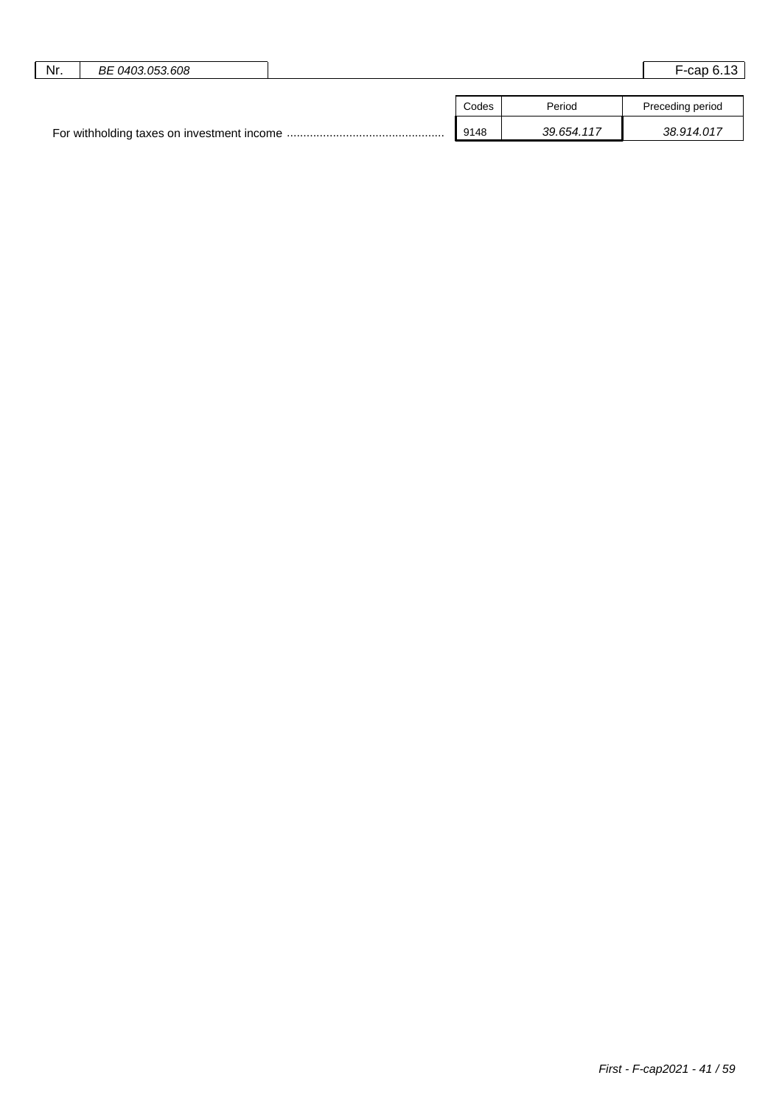| Nr. | BE 0403.053.608 |       |            | $F$ -cap 6.13    |
|-----|-----------------|-------|------------|------------------|
|     |                 |       |            |                  |
|     |                 | Codes | Period     | Preceding period |
|     |                 | 9148  | 39.654.117 | 38.914.017       |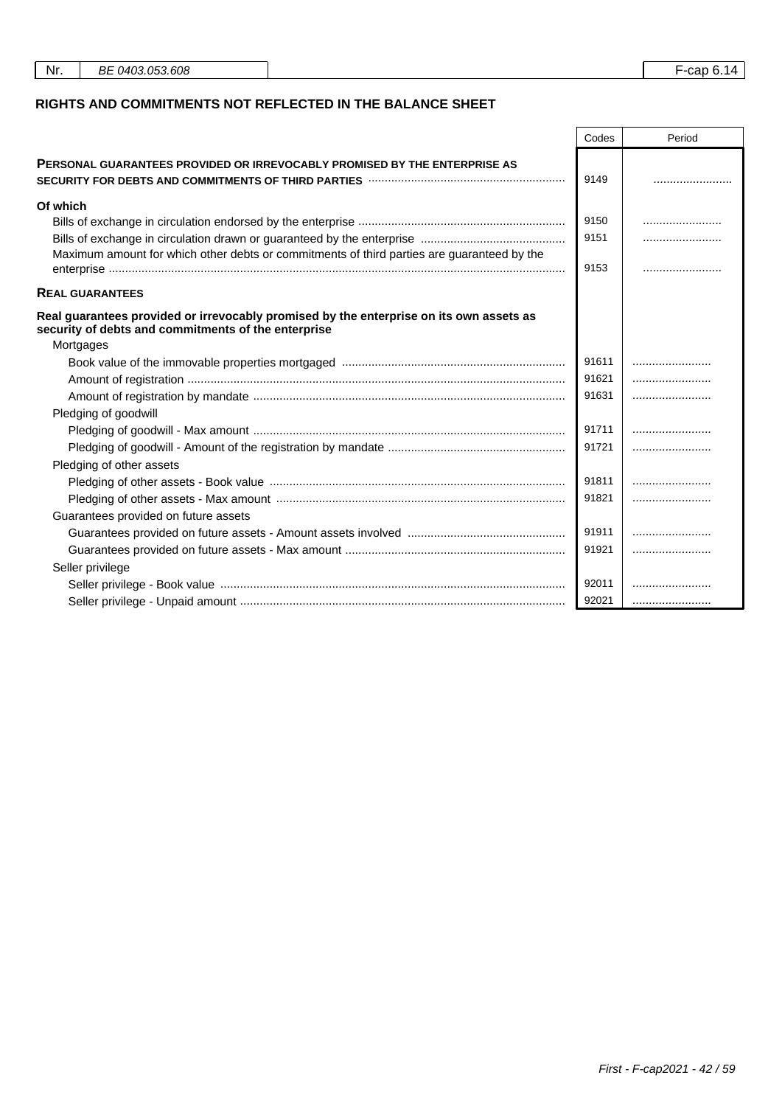| Nr.<br>BE 0403.053.608<br>F-cap 6.14 |
|--------------------------------------|
|--------------------------------------|

#### **RIGHTS AND COMMITMENTS NOT REFLECTED IN THE BALANCE SHEET**

|                                                                                                                                                                                  | Codes | Period |
|----------------------------------------------------------------------------------------------------------------------------------------------------------------------------------|-------|--------|
| <b>PERSONAL GUARANTEES PROVIDED OR IRREVOCABLY PROMISED BY THE ENTERPRISE AS</b><br>SECURITY FOR DEBTS AND COMMITMENTS OF THIRD PARTIES <b>With COMMITMENTS</b> OF THIRD PARTIES | 9149  |        |
| Of which                                                                                                                                                                         |       |        |
|                                                                                                                                                                                  | 9150  |        |
|                                                                                                                                                                                  | 9151  |        |
| Maximum amount for which other debts or commitments of third parties are guaranteed by the                                                                                       | 9153  |        |
| <b>REAL GUARANTEES</b>                                                                                                                                                           |       |        |
| Real guarantees provided or irrevocably promised by the enterprise on its own assets as<br>security of debts and commitments of the enterprise                                   |       |        |
| Mortgages                                                                                                                                                                        |       |        |
|                                                                                                                                                                                  | 91611 |        |
|                                                                                                                                                                                  | 91621 |        |
|                                                                                                                                                                                  | 91631 |        |
| Pledging of goodwill                                                                                                                                                             |       |        |
|                                                                                                                                                                                  | 91711 |        |
|                                                                                                                                                                                  | 91721 |        |
| Pledging of other assets                                                                                                                                                         |       |        |
|                                                                                                                                                                                  | 91811 |        |
|                                                                                                                                                                                  | 91821 |        |
| Guarantees provided on future assets                                                                                                                                             |       |        |
|                                                                                                                                                                                  | 91911 |        |
|                                                                                                                                                                                  | 91921 |        |
| Seller privilege                                                                                                                                                                 |       |        |
|                                                                                                                                                                                  | 92011 |        |
|                                                                                                                                                                                  | 92021 |        |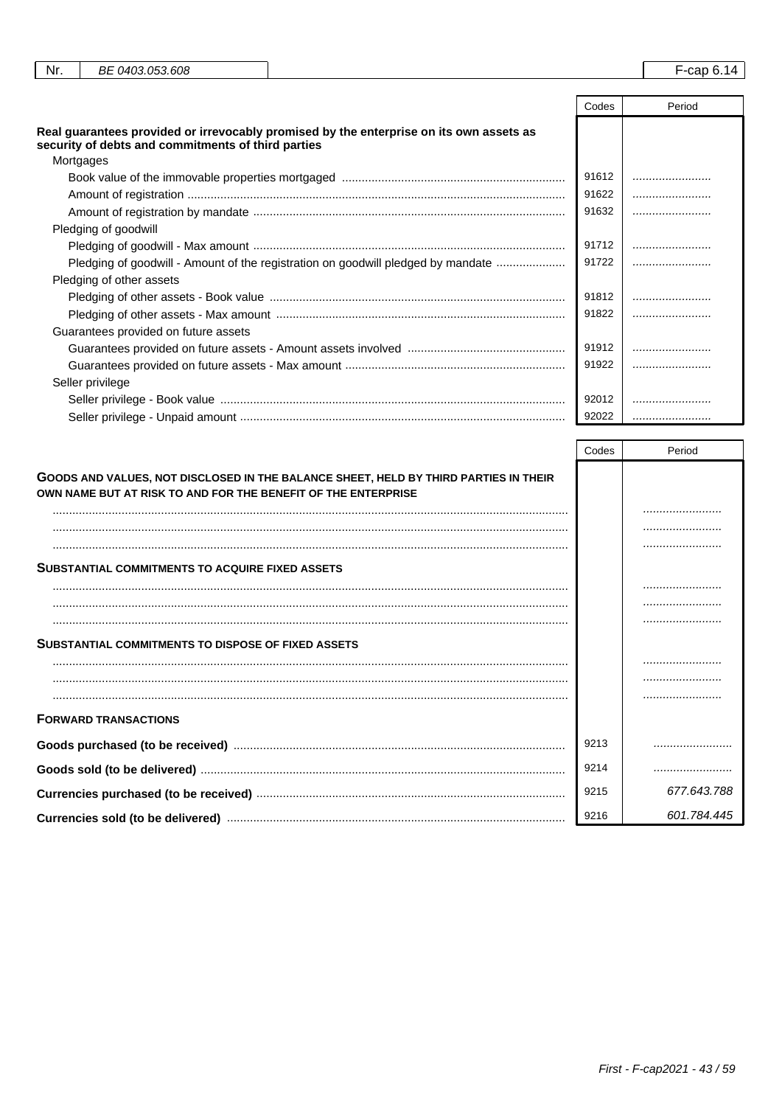| Nr. | BE 0403.053.608                                                 |                                                                                         |       | F-cap 6.14 |
|-----|-----------------------------------------------------------------|-----------------------------------------------------------------------------------------|-------|------------|
|     |                                                                 |                                                                                         | Codes | Period     |
|     | security of debts and commitments of third parties<br>Mortgages | Real guarantees provided or irrevocably promised by the enterprise on its own assets as |       |            |
|     |                                                                 |                                                                                         | 91612 |            |
|     |                                                                 |                                                                                         | 91622 |            |
|     |                                                                 |                                                                                         | 91632 |            |
|     | Pledging of goodwill                                            |                                                                                         |       |            |
|     |                                                                 |                                                                                         | 91712 |            |
|     |                                                                 | Pledging of goodwill - Amount of the registration on goodwill pledged by mandate        | 91722 |            |
|     | Pledging of other assets                                        |                                                                                         |       |            |
|     |                                                                 |                                                                                         | 91812 |            |
|     |                                                                 |                                                                                         | 91822 |            |
|     | Guarantees provided on future assets                            |                                                                                         |       |            |
|     |                                                                 |                                                                                         | 91912 |            |

Seller privilege

|                                                                                                                                                       | Codes | Period      |
|-------------------------------------------------------------------------------------------------------------------------------------------------------|-------|-------------|
| GOODS AND VALUES, NOT DISCLOSED IN THE BALANCE SHEET, HELD BY THIRD PARTIES IN THEIR<br>OWN NAME BUT AT RISK TO AND FOR THE BENEFIT OF THE ENTERPRISE |       |             |
|                                                                                                                                                       |       |             |
|                                                                                                                                                       |       |             |
|                                                                                                                                                       |       |             |
| <b>SUBSTANTIAL COMMITMENTS TO ACQUIRE FIXED ASSETS</b>                                                                                                |       |             |
|                                                                                                                                                       |       |             |
|                                                                                                                                                       |       |             |
|                                                                                                                                                       |       |             |
| <b>SUBSTANTIAL COMMITMENTS TO DISPOSE OF FIXED ASSETS</b>                                                                                             |       |             |
|                                                                                                                                                       |       |             |
|                                                                                                                                                       |       |             |
|                                                                                                                                                       |       |             |
| <b>FORWARD TRANSACTIONS</b>                                                                                                                           |       |             |
|                                                                                                                                                       | 9213  |             |
|                                                                                                                                                       | 9214  |             |
|                                                                                                                                                       | 9215  | 677.643.788 |
|                                                                                                                                                       | 9216  | 601.784.445 |

91922

92012

92022

.......................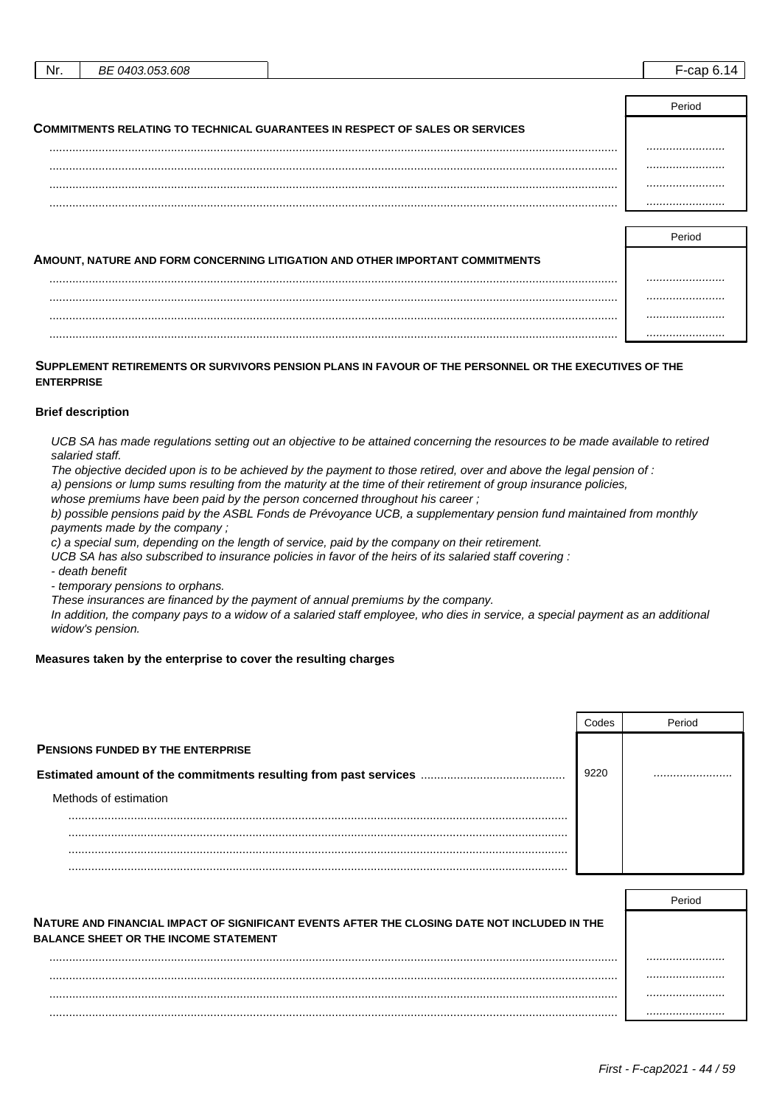| Nr.                                                                                 | <i>BE 0403.053.608</i> |  |        |
|-------------------------------------------------------------------------------------|------------------------|--|--------|
|                                                                                     |                        |  |        |
|                                                                                     |                        |  | Period |
| <b>COMMITMENTS RELATING TO TECHNICAL GUARANTEES IN RESPECT OF SALES OR SERVICES</b> |                        |  |        |
|                                                                                     |                        |  |        |
|                                                                                     |                        |  |        |
|                                                                                     |                        |  |        |
|                                                                                     |                        |  |        |

| AMOUNT, NATURE AND FORM CONCERNING LITIGATION AND OTHER IMPORTANT COMMITMENTS |  |
|-------------------------------------------------------------------------------|--|
|                                                                               |  |
|                                                                               |  |
|                                                                               |  |
|                                                                               |  |

**SUPPLEMENT RETIREMENTS OR SURVIVORS PENSION PLANS IN FAVOUR OF THE PERSONNEL OR THE EXECUTIVES OF THE ENTERPRISE**

#### **Brief description**

UCB SA has made regulations setting out an objective to be attained concerning the resources to be made available to retired salaried staff.

The objective decided upon is to be achieved by the payment to those retired, over and above the legal pension of :

a) pensions or lump sums resulting from the maturity at the time of their retirement of group insurance policies,

whose premiums have been paid by the person concerned throughout his career;

b) possible pensions paid by the ASBL Fonds de Prévoyance UCB, a supplementary pension fund maintained from monthly payments made by the company ;

c) a special sum, depending on the length of service, paid by the company on their retirement.

UCB SA has also subscribed to insurance policies in favor of the heirs of its salaried staff covering :

- death benefit

- temporary pensions to orphans.

These insurances are financed by the payment of annual premiums by the company.

In addition, the company pays to a widow of a salaried staff employee, who dies in service, a special payment as an additional widow's pension.

#### **Measures taken by the enterprise to cover the resulting charges**

|                                          | 29ho: | Period |
|------------------------------------------|-------|--------|
| <b>PENSIONS FUNDED BY THE ENTERPRISE</b> |       |        |
|                                          | 9220  |        |
| Methods of estimation                    |       |        |
|                                          |       |        |
|                                          |       |        |
|                                          |       |        |
|                                          |       |        |

|                                                                                                                                              | Period |
|----------------------------------------------------------------------------------------------------------------------------------------------|--------|
| NATURE AND FINANCIAL IMPACT OF SIGNIFICANT EVENTS AFTER THE CLOSING DATE NOT INCLUDED IN THE<br><b>BALANCE SHEET OR THE INCOME STATEMENT</b> |        |
|                                                                                                                                              |        |
|                                                                                                                                              |        |
|                                                                                                                                              |        |
|                                                                                                                                              |        |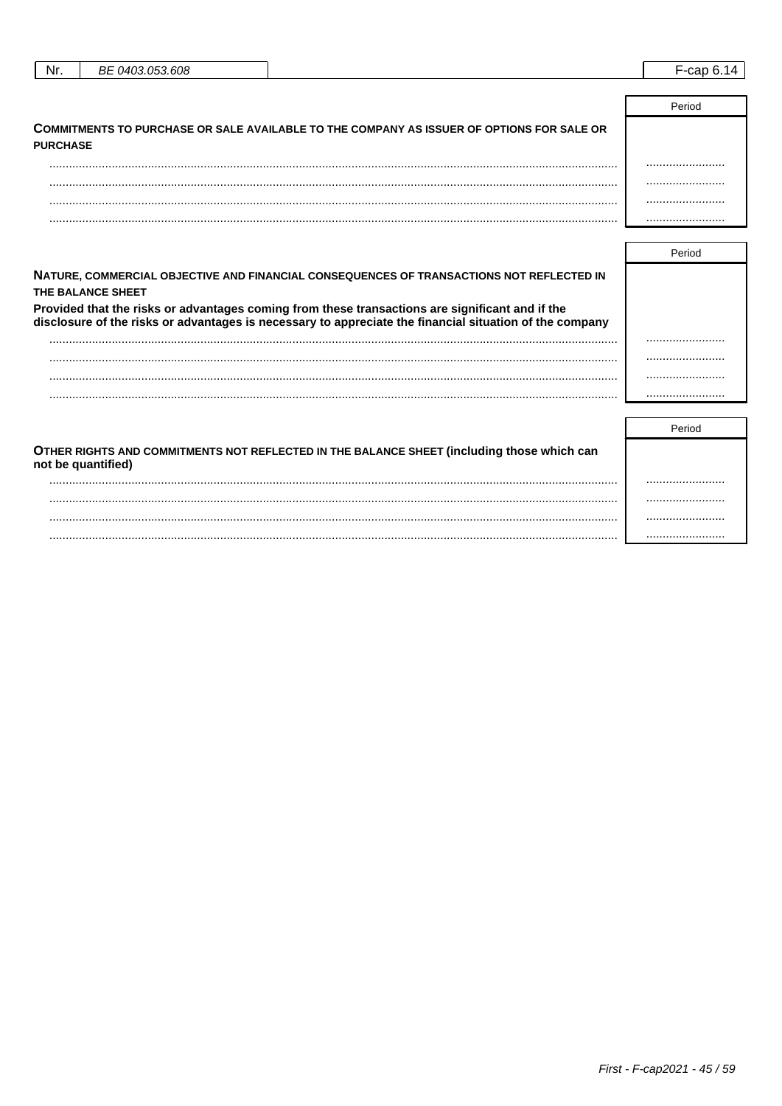| Nr.             | BE 0403.053.608 |                                                                                           | $F$ -cap 6.14 |
|-----------------|-----------------|-------------------------------------------------------------------------------------------|---------------|
|                 |                 |                                                                                           |               |
|                 |                 |                                                                                           | Period        |
| <b>PURCHASE</b> |                 | COMMITMENTS TO PURCHASE OR SALE AVAILABLE TO THE COMPANY AS ISSUER OF OPTIONS FOR SALE OR |               |

| . | . |
|---|---|

| NATURE, COMMERCIAL OBJECTIVE AND FINANCIAL CONSEQUENCES OF TRANSACTIONS NOT REFLECTED IN<br>THE BALANCE SHEET                                                                                              |  |
|------------------------------------------------------------------------------------------------------------------------------------------------------------------------------------------------------------|--|
| Provided that the risks or advantages coming from these transactions are significant and if the<br>disclosure of the risks or advantages is necessary to appreciate the financial situation of the company |  |
|                                                                                                                                                                                                            |  |
|                                                                                                                                                                                                            |  |
|                                                                                                                                                                                                            |  |
|                                                                                                                                                                                                            |  |

| OTHER RIGHTS AND COMMITMENTS NOT REFLECTED IN THE BALANCE SHEET (including those which can<br>not be quantified) |  |
|------------------------------------------------------------------------------------------------------------------|--|
|                                                                                                                  |  |
|                                                                                                                  |  |
|                                                                                                                  |  |
|                                                                                                                  |  |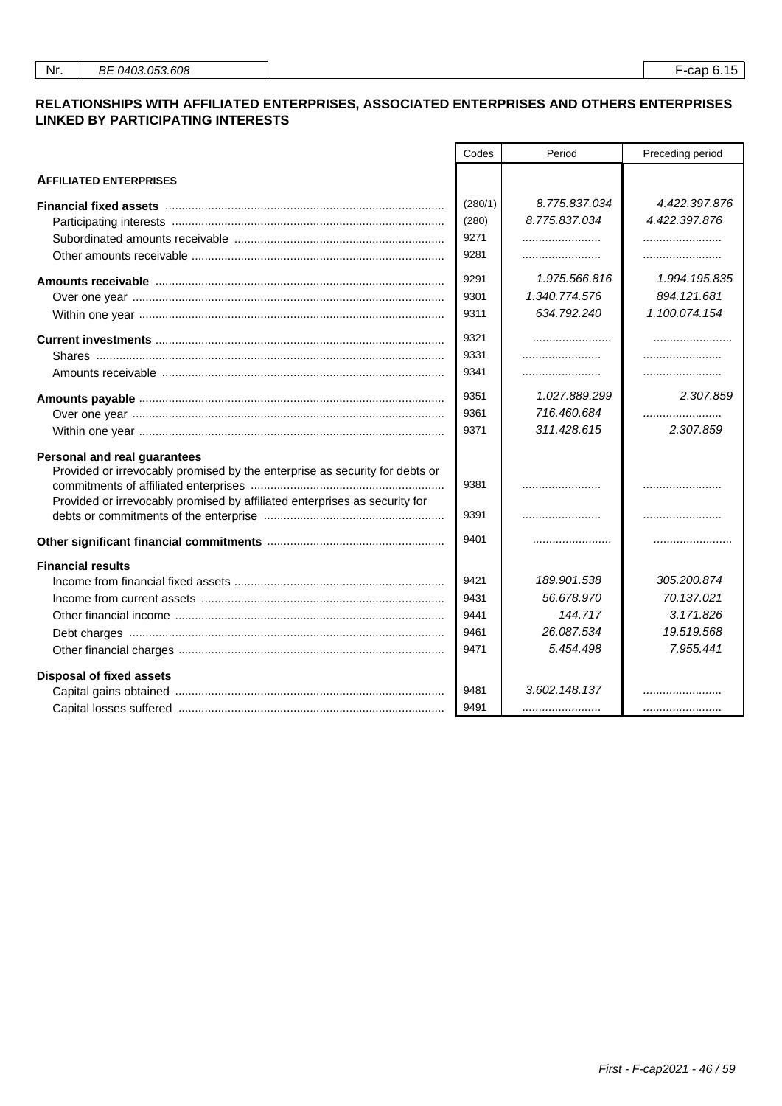#### **RELATIONSHIPS WITH AFFILIATED ENTERPRISES, ASSOCIATED ENTERPRISES AND OTHERS ENTERPRISES LINKED BY PARTICIPATING INTERESTS**

|                                                                                                                | Codes   | Period        | Preceding period |
|----------------------------------------------------------------------------------------------------------------|---------|---------------|------------------|
| <b>AFFILIATED ENTERPRISES</b>                                                                                  |         |               |                  |
| Financial fixed assets measurement contains a state of the state of the state of the state of the state of the | (280/1) | 8.775.837.034 | 4.422.397.876    |
|                                                                                                                | (280)   | 8.775.837.034 | 4.422.397.876    |
|                                                                                                                | 9271    |               |                  |
|                                                                                                                | 9281    |               |                  |
|                                                                                                                | 9291    | 1.975.566.816 | 1.994.195.835    |
|                                                                                                                | 9301    | 1.340.774.576 | 894.121.681      |
|                                                                                                                | 9311    | 634.792.240   | 1.100.074.154    |
|                                                                                                                | 9321    |               |                  |
|                                                                                                                | 9331    |               |                  |
|                                                                                                                | 9341    |               |                  |
|                                                                                                                | 9351    | 1.027.889.299 | 2.307.859        |
|                                                                                                                | 9361    | 716.460.684   |                  |
|                                                                                                                | 9371    | 311.428.615   | 2.307.859        |
| Personal and real guarantees                                                                                   |         |               |                  |
| Provided or irrevocably promised by the enterprise as security for debts or                                    |         |               |                  |
|                                                                                                                | 9381    |               |                  |
| Provided or irrevocably promised by affiliated enterprises as security for                                     | 9391    |               |                  |
|                                                                                                                | 9401    |               |                  |
| <b>Financial results</b>                                                                                       |         |               |                  |
|                                                                                                                | 9421    | 189.901.538   | 305.200.874      |
|                                                                                                                | 9431    | 56.678.970    | 70.137.021       |
|                                                                                                                | 9441    | 144.717       | 3.171.826        |
|                                                                                                                | 9461    | 26.087.534    | 19.519.568       |
|                                                                                                                | 9471    | 5.454.498     | 7.955.441        |
| <b>Disposal of fixed assets</b>                                                                                |         |               |                  |
|                                                                                                                | 9481    | 3.602.148.137 |                  |
|                                                                                                                | 9491    |               |                  |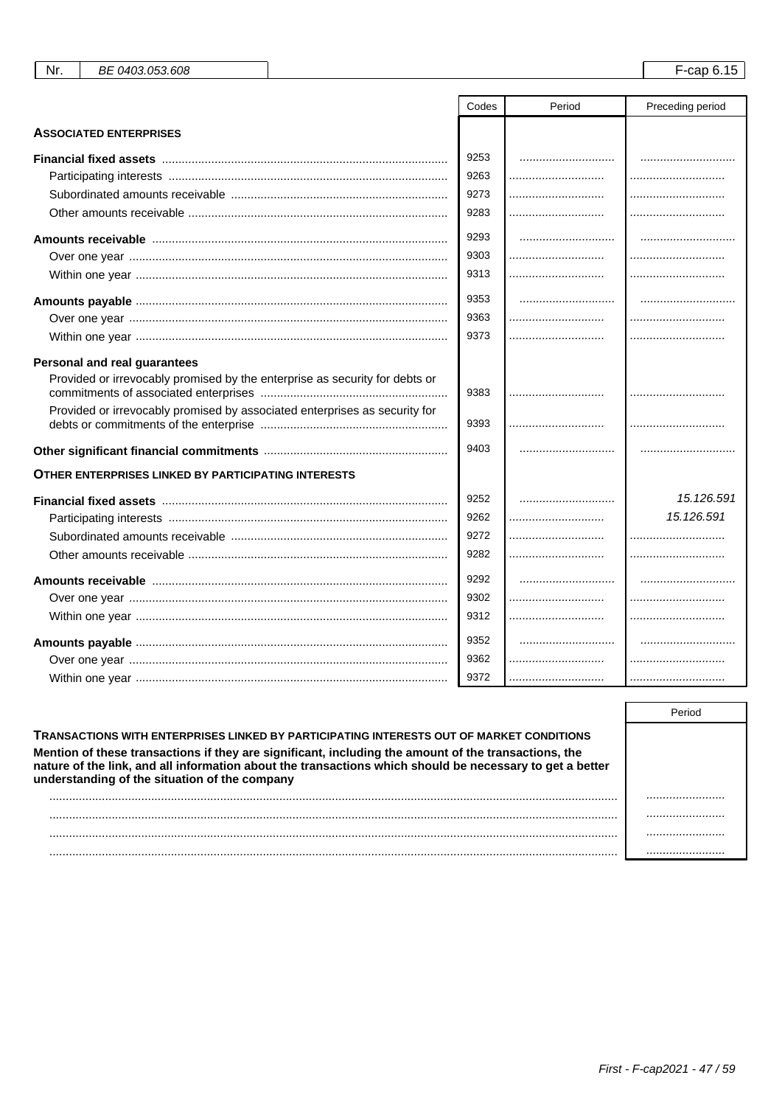|                                                                             | Codes | Period | Preceding period |
|-----------------------------------------------------------------------------|-------|--------|------------------|
| <b>ASSOCIATED ENTERPRISES</b>                                               |       |        |                  |
|                                                                             | 9253  |        |                  |
|                                                                             | 9263  |        |                  |
|                                                                             | 9273  |        |                  |
|                                                                             | 9283  |        |                  |
| Amounts receivable ……………………………………………………………………………                            | 9293  |        |                  |
|                                                                             | 9303  |        |                  |
|                                                                             | 9313  |        |                  |
|                                                                             | 9353  |        |                  |
|                                                                             | 9363  |        |                  |
|                                                                             | 9373  |        |                  |
| Personal and real guarantees                                                |       |        |                  |
| Provided or irrevocably promised by the enterprise as security for debts or |       |        |                  |
|                                                                             | 9383  |        |                  |
| Provided or irrevocably promised by associated enterprises as security for  | 9393  |        |                  |
|                                                                             | 9403  |        |                  |
| <b>OTHER ENTERPRISES LINKED BY PARTICIPATING INTERESTS</b>                  |       |        |                  |
|                                                                             | 9252  |        | 15.126.591       |
|                                                                             | 9262  |        | 15.126.591       |
|                                                                             | 9272  |        |                  |
|                                                                             | 9282  |        |                  |
|                                                                             | 9292  |        |                  |
|                                                                             | 9302  |        |                  |
|                                                                             | 9312  |        |                  |
|                                                                             | 9352  |        |                  |
|                                                                             | 9362  |        |                  |
|                                                                             | 9372  |        |                  |

Nr.

BE 0403.053.608

| <b>TRANSACTIONS WITH ENTERPRISES LINKED BY PARTICIPATING INTERESTS OUT OF MARKET CONDITIONS</b><br>Mention of these transactions if they are significant, including the amount of the transactions, the<br>nature of the link, and all information about the transactions which should be necessary to get a better<br>understanding of the situation of the company |  |
|----------------------------------------------------------------------------------------------------------------------------------------------------------------------------------------------------------------------------------------------------------------------------------------------------------------------------------------------------------------------|--|
|                                                                                                                                                                                                                                                                                                                                                                      |  |
|                                                                                                                                                                                                                                                                                                                                                                      |  |
|                                                                                                                                                                                                                                                                                                                                                                      |  |
|                                                                                                                                                                                                                                                                                                                                                                      |  |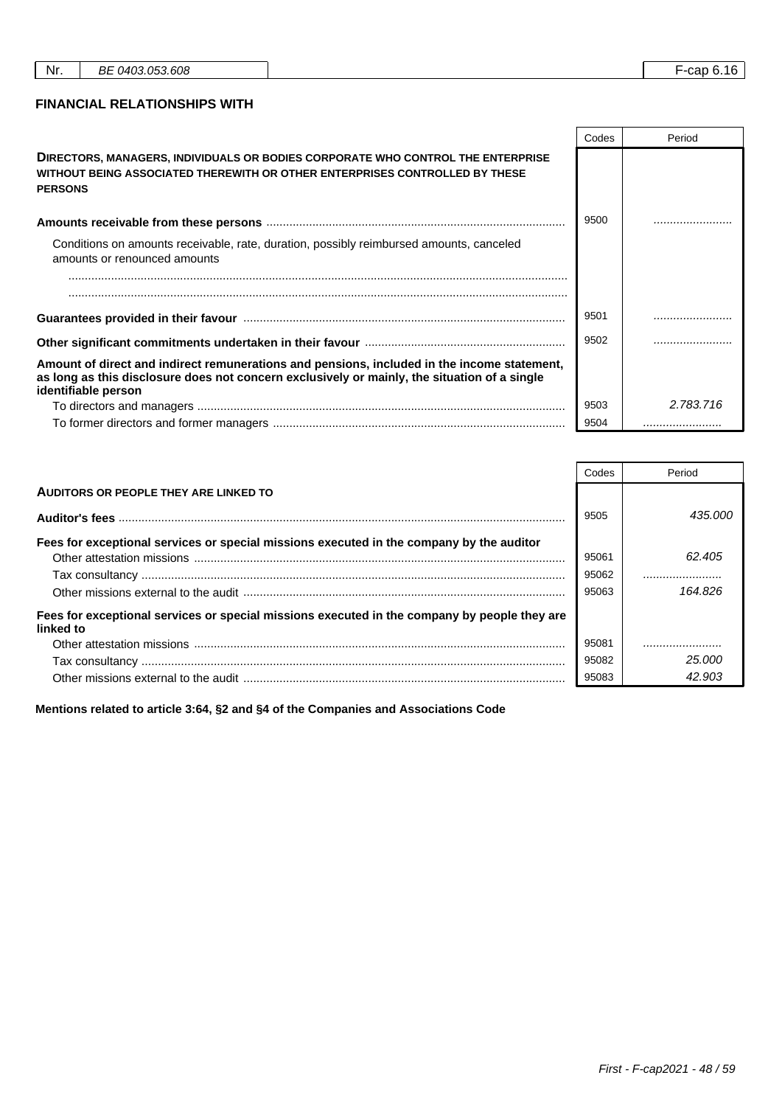٦

r

┱

#### **FINANCIAL RELATIONSHIPS WITH**

|                                                                                                                                                                                                                    | Codes | Period    |
|--------------------------------------------------------------------------------------------------------------------------------------------------------------------------------------------------------------------|-------|-----------|
| <b>DIRECTORS, MANAGERS, INDIVIDUALS OR BODIES CORPORATE WHO CONTROL THE ENTERPRISE</b><br>WITHOUT BEING ASSOCIATED THEREWITH OR OTHER ENTERPRISES CONTROLLED BY THESE<br><b>PERSONS</b>                            |       |           |
|                                                                                                                                                                                                                    | 9500  |           |
| Conditions on amounts receivable, rate, duration, possibly reimbursed amounts, canceled<br>amounts or renounced amounts                                                                                            |       |           |
|                                                                                                                                                                                                                    |       |           |
|                                                                                                                                                                                                                    |       |           |
|                                                                                                                                                                                                                    | 9501  |           |
|                                                                                                                                                                                                                    | 9502  |           |
| Amount of direct and indirect remunerations and pensions, included in the income statement,<br>as long as this disclosure does not concern exclusively or mainly, the situation of a single<br>identifiable person |       |           |
|                                                                                                                                                                                                                    | 9503  | 2.783.716 |
|                                                                                                                                                                                                                    | 9504  |           |

|                                                                                                           | Codes | Period  |
|-----------------------------------------------------------------------------------------------------------|-------|---------|
| AUDITORS OR PEOPLE THEY ARE LINKED TO                                                                     |       |         |
|                                                                                                           | 9505  | 435,000 |
| Fees for exceptional services or special missions executed in the company by the auditor                  |       |         |
|                                                                                                           | 95061 | 62.405  |
|                                                                                                           | 95062 |         |
|                                                                                                           | 95063 | 164.826 |
| Fees for exceptional services or special missions executed in the company by people they are<br>linked to |       |         |
|                                                                                                           | 95081 |         |
|                                                                                                           | 95082 | 25.000  |
|                                                                                                           | 95083 | 42.903  |

**Mentions related to article 3:64, §2 and §4 of the Companies and Associations Code**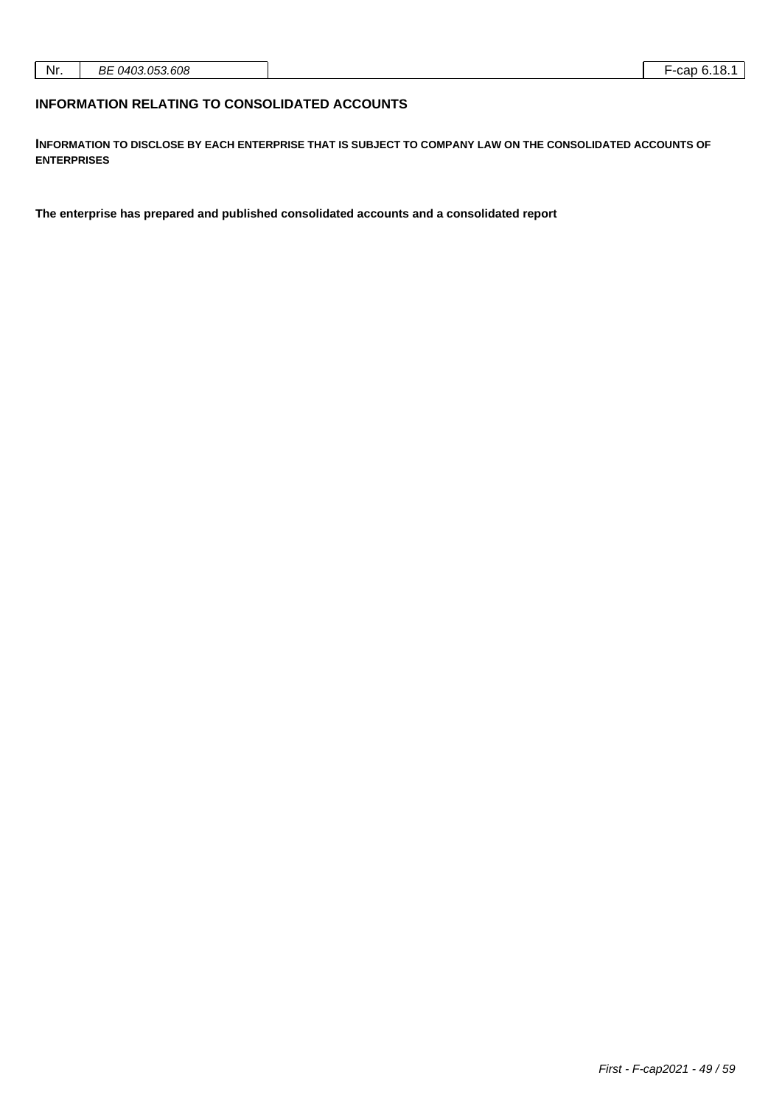| Nr. | .33.608<br>nг<br>$(140^\circ)$<br>` 05.<br>DC<br>7U J<br>. |  | .cor<br>л к<br>ำ เо. ∶<br>cau<br>.<br>__ |
|-----|------------------------------------------------------------|--|------------------------------------------|
|-----|------------------------------------------------------------|--|------------------------------------------|

#### **INFORMATION RELATING TO CONSOLIDATED ACCOUNTS**

**INFORMATION TO DISCLOSE BY EACH ENTERPRISE THAT IS SUBJECT TO COMPANY LAW ON THE CONSOLIDATED ACCOUNTS OF ENTERPRISES**

**The enterprise has prepared and published consolidated accounts and a consolidated report**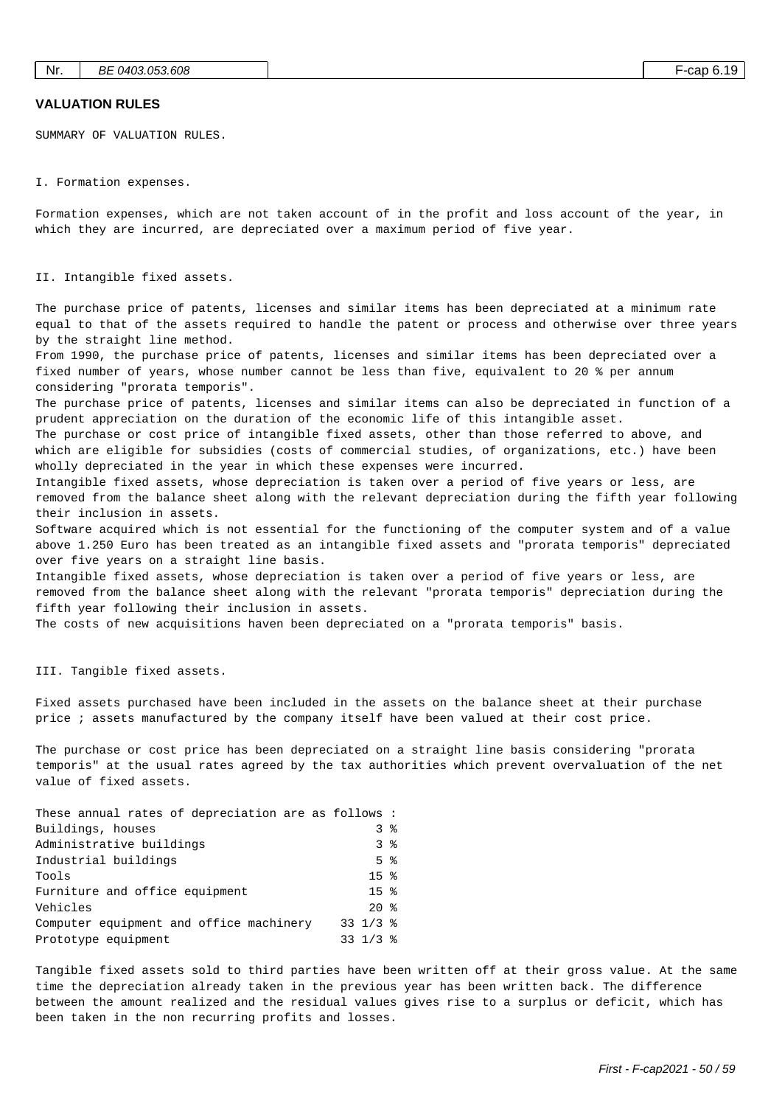#### **VALUATION RULES**

SUMMARY OF VALUATION RULES.

I. Formation expenses.

Formation expenses, which are not taken account of in the profit and loss account of the year, in which they are incurred, are depreciated over a maximum period of five year.

#### II. Intangible fixed assets.

The purchase price of patents, licenses and similar items has been depreciated at a minimum rate equal to that of the assets required to handle the patent or process and otherwise over three years by the straight line method.

From 1990, the purchase price of patents, licenses and similar items has been depreciated over a fixed number of years, whose number cannot be less than five, equivalent to 20 % per annum considering "prorata temporis".

The purchase price of patents, licenses and similar items can also be depreciated in function of a prudent appreciation on the duration of the economic life of this intangible asset.

The purchase or cost price of intangible fixed assets, other than those referred to above, and which are eligible for subsidies (costs of commercial studies, of organizations, etc.) have been wholly depreciated in the year in which these expenses were incurred.

Intangible fixed assets, whose depreciation is taken over a period of five years or less, are removed from the balance sheet along with the relevant depreciation during the fifth year following their inclusion in assets.

Software acquired which is not essential for the functioning of the computer system and of a value above 1.250 Euro has been treated as an intangible fixed assets and "prorata temporis" depreciated over five years on a straight line basis.

Intangible fixed assets, whose depreciation is taken over a period of five years or less, are removed from the balance sheet along with the relevant "prorata temporis" depreciation during the fifth year following their inclusion in assets.

The costs of new acquisitions haven been depreciated on a "prorata temporis" basis.

III. Tangible fixed assets.

Fixed assets purchased have been included in the assets on the balance sheet at their purchase price ; assets manufactured by the company itself have been valued at their cost price.

The purchase or cost price has been depreciated on a straight line basis considering "prorata temporis" at the usual rates agreed by the tax authorities which prevent overvaluation of the net value of fixed assets.

| These annual rates of depreciation are as follows: |                         |                |
|----------------------------------------------------|-------------------------|----------------|
| Buildings, houses                                  |                         | 3%             |
| Administrative buildings                           |                         | 3 <sup>8</sup> |
| Industrial buildings                               | $5 \text{ }$ $\text{ }$ |                |
| Tools                                              | 15 <sup>8</sup>         |                |
| Furniture and office equipment                     | 15 <sup>8</sup>         |                |
| Vehicles                                           | $20*$                   |                |
| Computer equipment and office machinery            | $33 \frac{1}{3}$ %      |                |
| Prototype equipment                                | 33 $1/3$ %              |                |

Tangible fixed assets sold to third parties have been written off at their gross value. At the same time the depreciation already taken in the previous year has been written back. The difference between the amount realized and the residual values gives rise to a surplus or deficit, which has been taken in the non recurring profits and losses.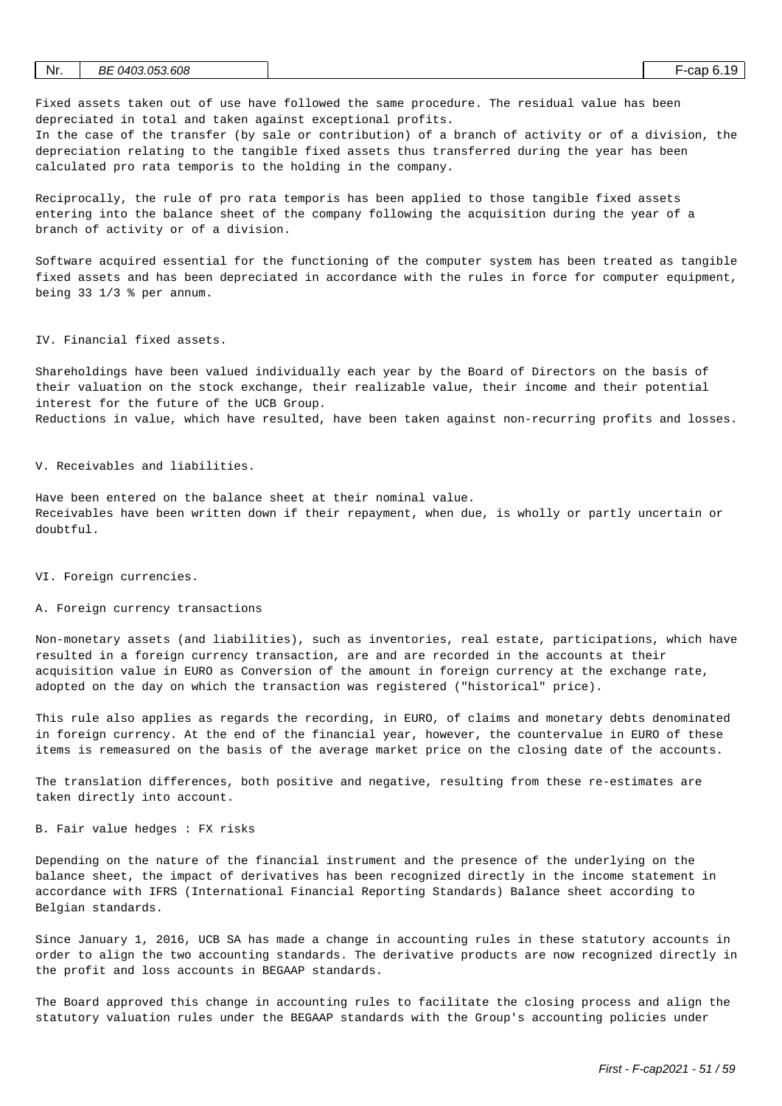| Nr. | BE 0403.053.608 |  | ·cap 6.19 | -4 C |
|-----|-----------------|--|-----------|------|
|     |                 |  |           |      |

Fixed assets taken out of use have followed the same procedure. The residual value has been depreciated in total and taken against exceptional profits.

In the case of the transfer (by sale or contribution) of a branch of activity or of a division, the depreciation relating to the tangible fixed assets thus transferred during the year has been calculated pro rata temporis to the holding in the company.

Reciprocally, the rule of pro rata temporis has been applied to those tangible fixed assets entering into the balance sheet of the company following the acquisition during the year of a branch of activity or of a division.

Software acquired essential for the functioning of the computer system has been treated as tangible fixed assets and has been depreciated in accordance with the rules in force for computer equipment, being 33 1/3 % per annum.

IV. Financial fixed assets.

Shareholdings have been valued individually each year by the Board of Directors on the basis of their valuation on the stock exchange, their realizable value, their income and their potential interest for the future of the UCB Group. Reductions in value, which have resulted, have been taken against non-recurring profits and losses.

V. Receivables and liabilities.

Have been entered on the balance sheet at their nominal value. Receivables have been written down if their repayment, when due, is wholly or partly uncertain or  $d$ oubt ful.

VI. Foreign currencies.

#### A. Foreign currency transactions

Non-monetary assets (and liabilities), such as inventories, real estate, participations, which have resulted in a foreign currency transaction, are and are recorded in the accounts at their acquisition value in EURO as Conversion of the amount in foreign currency at the exchange rate, adopted on the day on which the transaction was registered ("historical" price).

This rule also applies as regards the recording, in EURO, of claims and monetary debts denominated in foreign currency. At the end of the financial year, however, the countervalue in EURO of these items is remeasured on the basis of the average market price on the closing date of the accounts.

The translation differences, both positive and negative, resulting from these re-estimates are taken directly into account.

B. Fair value hedges : FX risks

Depending on the nature of the financial instrument and the presence of the underlying on the balance sheet, the impact of derivatives has been recognized directly in the income statement in accordance with IFRS (International Financial Reporting Standards) Balance sheet according to Belgian standards.

Since January 1, 2016, UCB SA has made a change in accounting rules in these statutory accounts in order to align the two accounting standards. The derivative products are now recognized directly in the profit and loss accounts in BEGAAP standards.

The Board approved this change in accounting rules to facilitate the closing process and align the statutory valuation rules under the BEGAAP standards with the Group's accounting policies under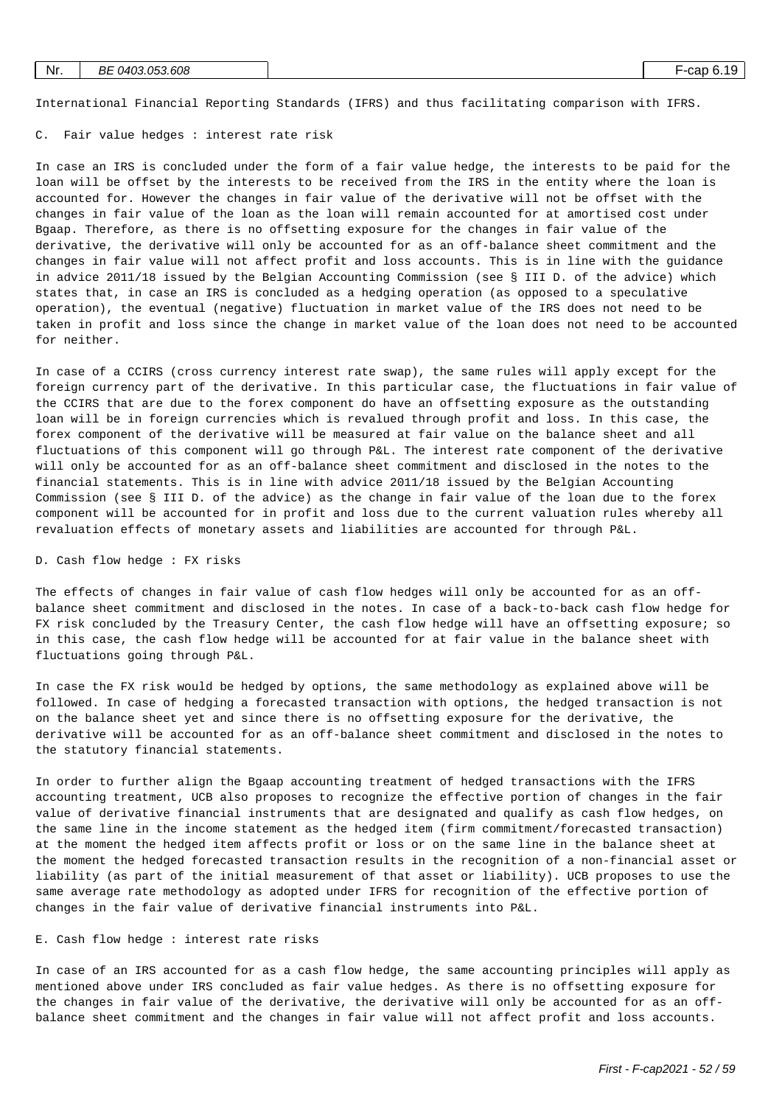| Nr. | ВE<br>0403.053.608 |  | cap 6. | 1 O<br>- 15 |
|-----|--------------------|--|--------|-------------|
|     |                    |  |        |             |

International Financial Reporting Standards (IFRS) and thus facilitating comparison with IFRS.

C. Fair value hedges : interest rate risk

In case an IRS is concluded under the form of a fair value hedge, the interests to be paid for the loan will be offset by the interests to be received from the IRS in the entity where the loan is accounted for. However the changes in fair value of the derivative will not be offset with the changes in fair value of the loan as the loan will remain accounted for at amortised cost under Bgaap. Therefore, as there is no offsetting exposure for the changes in fair value of the derivative, the derivative will only be accounted for as an off-balance sheet commitment and the changes in fair value will not affect profit and loss accounts. This is in line with the guidance in advice 2011/18 issued by the Belgian Accounting Commission (see § III D. of the advice) which states that, in case an IRS is concluded as a hedging operation (as opposed to a speculative operation), the eventual (negative) fluctuation in market value of the IRS does not need to be taken in profit and loss since the change in market value of the loan does not need to be accounted for neither.

In case of a CCIRS (cross currency interest rate swap), the same rules will apply except for the foreign currency part of the derivative. In this particular case, the fluctuations in fair value of the CCIRS that are due to the forex component do have an offsetting exposure as the outstanding loan will be in foreign currencies which is revalued through profit and loss. In this case, the forex component of the derivative will be measured at fair value on the balance sheet and all fluctuations of this component will go through P&L. The interest rate component of the derivative will only be accounted for as an off-balance sheet commitment and disclosed in the notes to the financial statements. This is in line with advice 2011/18 issued by the Belgian Accounting Commission (see § III D. of the advice) as the change in fair value of the loan due to the forex component will be accounted for in profit and loss due to the current valuation rules whereby all revaluation effects of monetary assets and liabilities are accounted for through P&L.

#### D. Cash flow hedge : FX risks

The effects of changes in fair value of cash flow hedges will only be accounted for as an offbalance sheet commitment and disclosed in the notes. In case of a back-to-back cash flow hedge for FX risk concluded by the Treasury Center, the cash flow hedge will have an offsetting exposure; so in this case, the cash flow hedge will be accounted for at fair value in the balance sheet with fluctuations going through P&L.

In case the FX risk would be hedged by options, the same methodology as explained above will be followed. In case of hedging a forecasted transaction with options, the hedged transaction is not on the balance sheet yet and since there is no offsetting exposure for the derivative, the derivative will be accounted for as an off-balance sheet commitment and disclosed in the notes to the statutory financial statements.

In order to further align the Bgaap accounting treatment of hedged transactions with the IFRS accounting treatment, UCB also proposes to recognize the effective portion of changes in the fair value of derivative financial instruments that are designated and qualify as cash flow hedges, on the same line in the income statement as the hedged item (firm commitment/forecasted transaction) at the moment the hedged item affects profit or loss or on the same line in the balance sheet at the moment the hedged forecasted transaction results in the recognition of a non-financial asset or liability (as part of the initial measurement of that asset or liability). UCB proposes to use the same average rate methodology as adopted under IFRS for recognition of the effective portion of changes in the fair value of derivative financial instruments into P&L.

#### E. Cash flow hedge : interest rate risks

In case of an IRS accounted for as a cash flow hedge, the same accounting principles will apply as mentioned above under IRS concluded as fair value hedges. As there is no offsetting exposure for the changes in fair value of the derivative, the derivative will only be accounted for as an offbalance sheet commitment and the changes in fair value will not affect profit and loss accounts.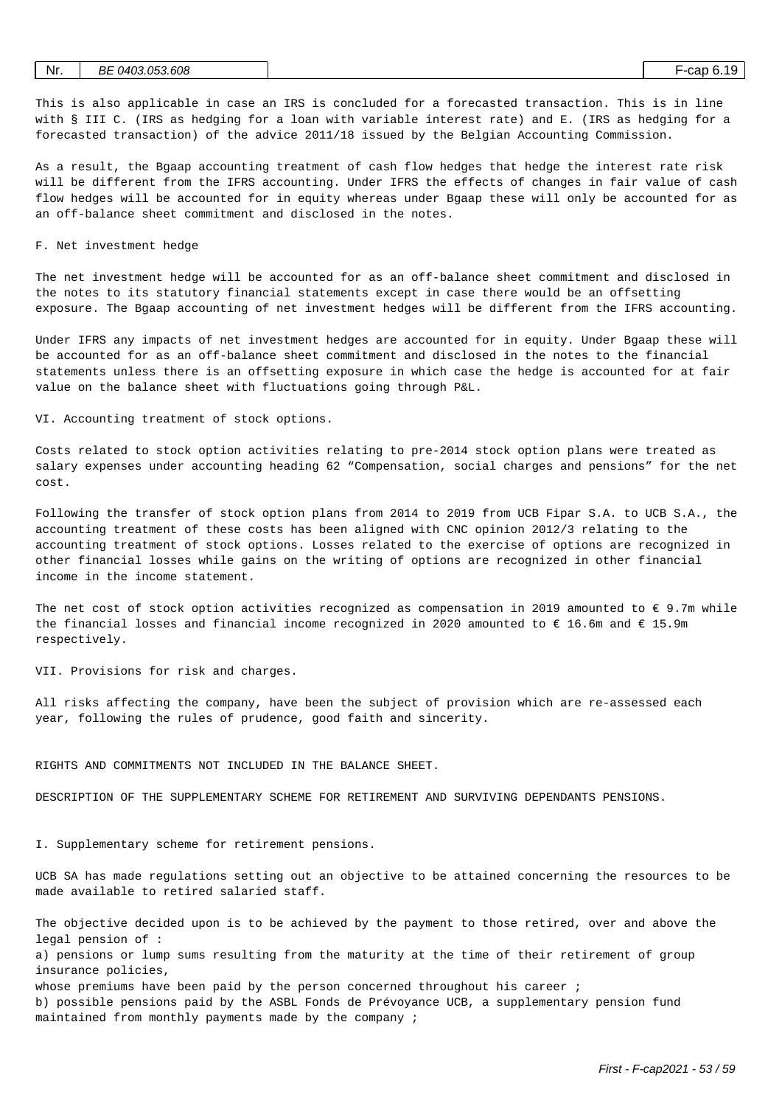| Nr. | 0403.053.608<br>ВE | nn r<br>-cac |  |  |
|-----|--------------------|--------------|--|--|
|     |                    |              |  |  |

This is also applicable in case an IRS is concluded for a forecasted transaction. This is in line with § III C. (IRS as hedging for a loan with variable interest rate) and E. (IRS as hedging for a forecasted transaction) of the advice 2011/18 issued by the Belgian Accounting Commission.

As a result, the Bgaap accounting treatment of cash flow hedges that hedge the interest rate risk will be different from the IFRS accounting. Under IFRS the effects of changes in fair value of cash flow hedges will be accounted for in equity whereas under Bgaap these will only be accounted for as an off-balance sheet commitment and disclosed in the notes.

F. Net investment hedge

The net investment hedge will be accounted for as an off-balance sheet commitment and disclosed in the notes to its statutory financial statements except in case there would be an offsetting exposure. The Bgaap accounting of net investment hedges will be different from the IFRS accounting.

Under IFRS any impacts of net investment hedges are accounted for in equity. Under Bgaap these will be accounted for as an off-balance sheet commitment and disclosed in the notes to the financial statements unless there is an offsetting exposure in which case the hedge is accounted for at fair value on the balance sheet with fluctuations going through P&L.

VI. Accounting treatment of stock options.

Costs related to stock option activities relating to pre-2014 stock option plans were treated as salary expenses under accounting heading 62 "Compensation, social charges and pensions" for the net cost.

Following the transfer of stock option plans from 2014 to 2019 from UCB Fipar S.A. to UCB S.A., the accounting treatment of these costs has been aligned with CNC opinion 2012/3 relating to the accounting treatment of stock options. Losses related to the exercise of options are recognized in other financial losses while gains on the writing of options are recognized in other financial income in the income statement.

The net cost of stock option activities recognized as compensation in 2019 amounted to  $\epsilon$  9.7m while the financial losses and financial income recognized in 2020 amounted to  $\in$  16.6m and  $\in$  15.9m respectively.

VII. Provisions for risk and charges.

All risks affecting the company, have been the subject of provision which are re-assessed each year, following the rules of prudence, good faith and sincerity.

#### RIGHTS AND COMMITMENTS NOT INCLUDED IN THE BALANCE SHEET.

DESCRIPTION OF THE SUPPLEMENTARY SCHEME FOR RETIREMENT AND SURVIVING DEPENDANTS PENSIONS.

I. Supplementary scheme for retirement pensions.

UCB SA has made regulations setting out an objective to be attained concerning the resources to be made available to retired salaried staff.

The objective decided upon is to be achieved by the payment to those retired, over and above the legal pension of :

a) pensions or lump sums resulting from the maturity at the time of their retirement of group insurance policies,

whose premiums have been paid by the person concerned throughout his career ;

b) possible pensions paid by the ASBL Fonds de Prévoyance UCB, a supplementary pension fund maintained from monthly payments made by the company ;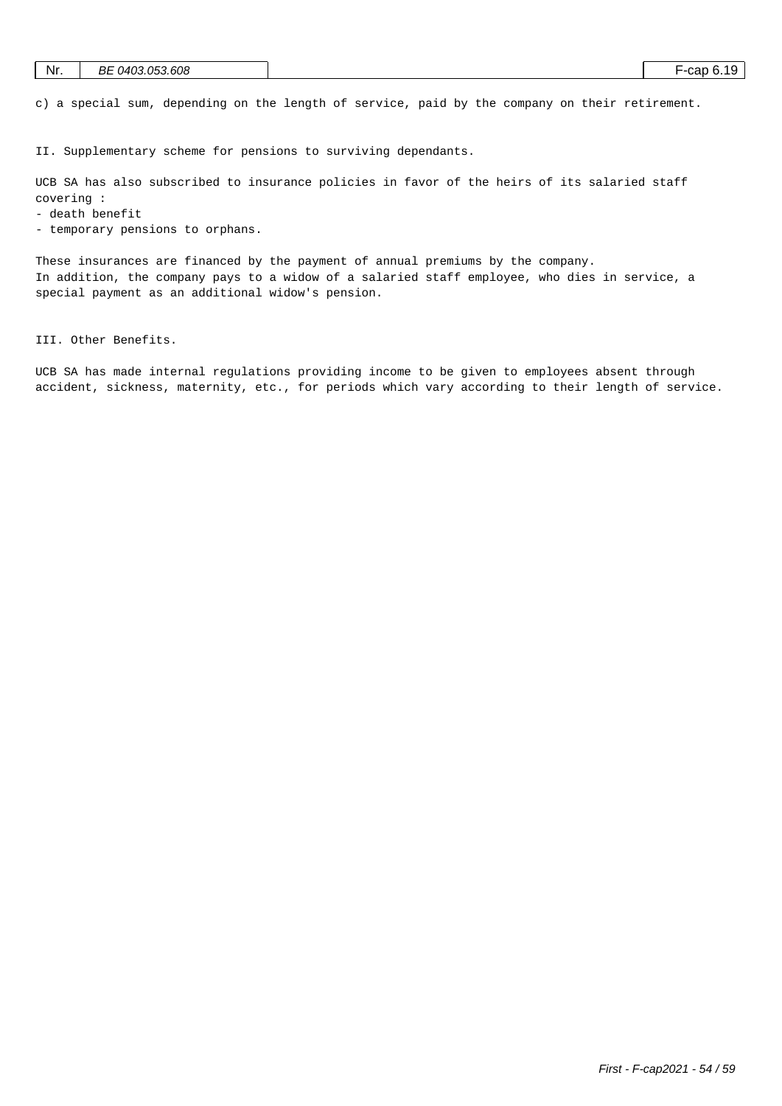| Nr. | BE 0403.053.608 |  | ` -cap 6.1 . |  | 1 C |
|-----|-----------------|--|--------------|--|-----|
|-----|-----------------|--|--------------|--|-----|

c) a special sum, depending on the length of service, paid by the company on their retirement.

II. Supplementary scheme for pensions to surviving dependants.

UCB SA has also subscribed to insurance policies in favor of the heirs of its salaried staff covering :

- death benefit

- temporary pensions to orphans.

These insurances are financed by the payment of annual premiums by the company. In addition, the company pays to a widow of a salaried staff employee, who dies in service, a special payment as an additional widow's pension.

III. Other Benefits.

UCB SA has made internal regulations providing income to be given to employees absent through accident, sickness, maternity, etc., for periods which vary according to their length of service.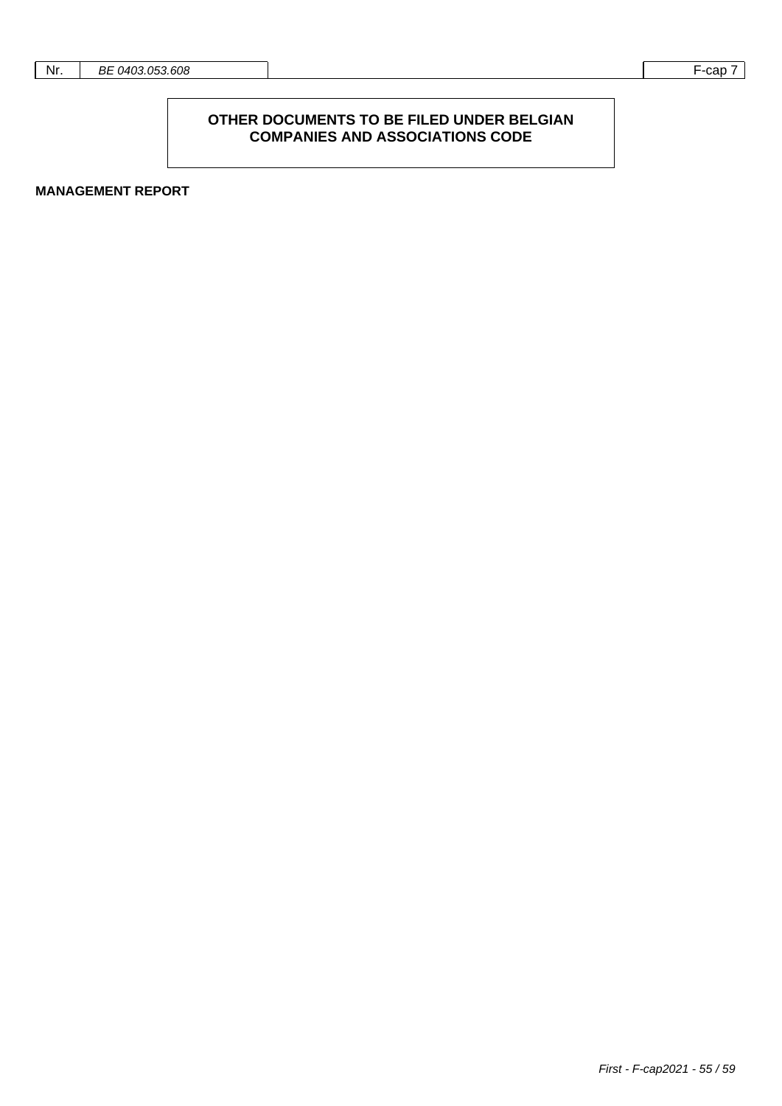#### **OTHER DOCUMENTS TO BE FILED UNDER BELGIAN COMPANIES AND ASSOCIATIONS CODE**

**MANAGEMENT REPORT**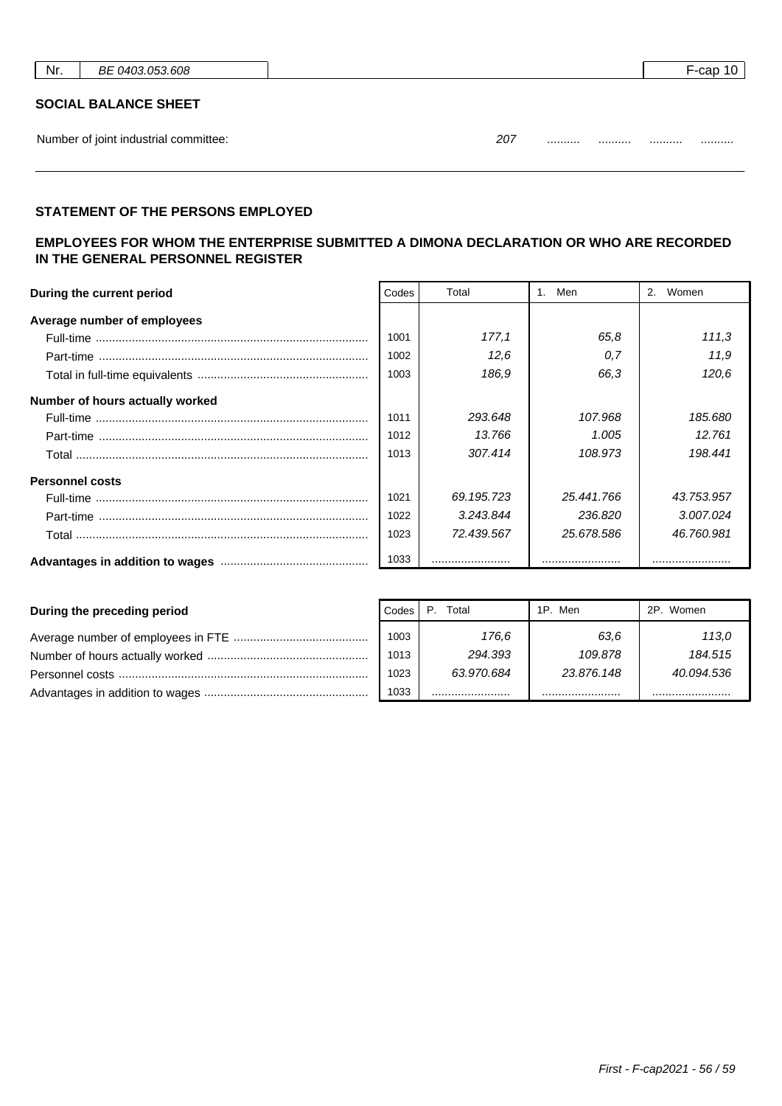| Nr. | 608<br>ВE<br>$\sim$<br>ി വി<br>11. | --cap<br>. . |
|-----|------------------------------------|--------------|
|     |                                    |              |

#### **SOCIAL BALANCE SHEET**

Number of joint industrial committee: 207 .......... .......... .......... ..........

| 207 | <br> | <br> |
|-----|------|------|
|     |      |      |

## **STATEMENT OF THE PERSONS EMPLOYED**

## **EMPLOYEES FOR WHOM THE ENTERPRISE SUBMITTED A DIMONA DECLARATION OR WHO ARE RECORDED IN THE GENERAL PERSONNEL REGISTER**

| During the current period       |      | Total      | Men        | Women<br>2. |
|---------------------------------|------|------------|------------|-------------|
| Average number of employees     |      |            |            |             |
|                                 | 1001 | 177.1      | 65.8       | 111,3       |
|                                 | 1002 | 12.6       | 0.7        | 11,9        |
|                                 | 1003 | 186.9      | 66.3       | 120,6       |
| Number of hours actually worked |      |            |            |             |
|                                 | 1011 | 293.648    | 107.968    | 185.680     |
|                                 | 1012 | 13.766     | 1.005      | 12.761      |
|                                 | 1013 | 307.414    | 108.973    | 198.441     |
| <b>Personnel costs</b>          |      |            |            |             |
|                                 | 1021 | 69.195.723 | 25.441.766 | 43.753.957  |
|                                 | 1022 | 3.243.844  | 236.820    | 3.007.024   |
|                                 | 1023 | 72.439.567 | 25.678.586 | 46.760.981  |
|                                 | 1033 |            |            |             |

| During the preceding period | Codes | Total      | 1P. Men    | 2P. Women  |
|-----------------------------|-------|------------|------------|------------|
|                             | 1003  | 176.6      | 63.6       | 113.0      |
|                             | 1013  | 294.393    | 109.878    | 184.515    |
|                             | 1023  | 63.970.684 | 23.876.148 | 40.094.536 |
|                             | 1033  |            |            |            |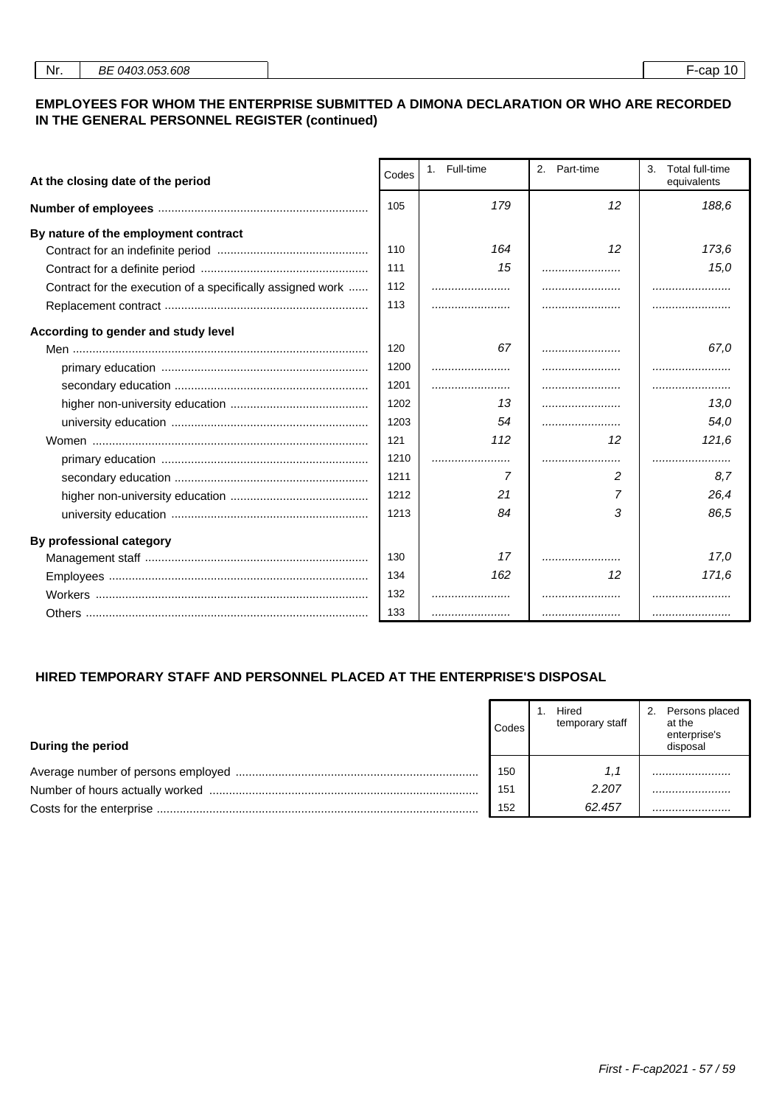#### **EMPLOYEES FOR WHOM THE ENTERPRISE SUBMITTED A DIMONA DECLARATION OR WHO ARE RECORDED IN THE GENERAL PERSONNEL REGISTER (continued)**

| At the closing date of the period                          | Codes | 1. Full-time | 2.<br>Part-time |       |
|------------------------------------------------------------|-------|--------------|-----------------|-------|
|                                                            | 105   | 179          | 12              |       |
| By nature of the employment contract                       |       |              |                 |       |
|                                                            | 110   | 164          | 12              | 173.6 |
|                                                            | 111   | 15           |                 | 15,0  |
| Contract for the execution of a specifically assigned work | 112   |              |                 |       |
|                                                            | 113   |              |                 |       |
| According to gender and study level                        |       |              |                 |       |
|                                                            | 120   | 67           |                 | 67.0  |
|                                                            | 1200  |              |                 |       |
|                                                            | 1201  |              |                 |       |
|                                                            | 1202  | 13           |                 | 13.0  |
|                                                            | 1203  | 54           |                 | 54,0  |
|                                                            | 121   | 112          | 12              | 121,6 |
|                                                            | 1210  |              |                 |       |
|                                                            | 1211  | 7            | 2               | 8.7   |
|                                                            | 1212  | 21           | 7               | 26,4  |
|                                                            | 1213  | 84           | 3               | 86.5  |
| By professional category                                   |       |              |                 |       |
|                                                            | 130   | 17           |                 | 17.0  |
|                                                            | 134   | 162          | 12              | 171,6 |
|                                                            | 132   |              |                 |       |
|                                                            | 133   |              |                 |       |

## **HIRED TEMPORARY STAFF AND PERSONNEL PLACED AT THE ENTERPRISE'S DISPOSAL**

| During the period | Codes | Hired<br>temporary staff | Persons placed<br>2.<br>at the<br>enterprise's<br>disposal |
|-------------------|-------|--------------------------|------------------------------------------------------------|
|                   | 150   | 1.1                      |                                                            |
|                   | 151   | 2.207                    |                                                            |
|                   | 152   | 62.457                   |                                                            |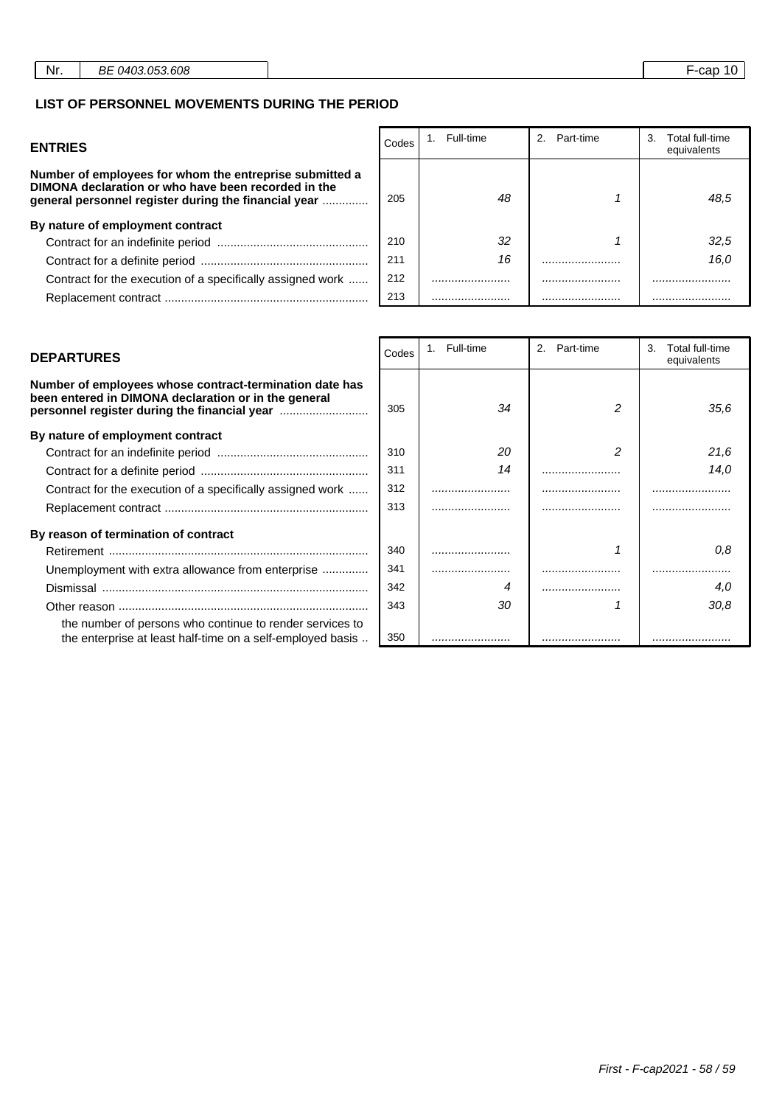#### **LIST OF PERSONNEL MOVEMENTS DURING THE PERIOD**

| <b>ENTRIES</b>                                                                                                                                                         | Codes | Full-time | 2.<br>Part-time | Total full-time<br>З.<br>equivalents |
|------------------------------------------------------------------------------------------------------------------------------------------------------------------------|-------|-----------|-----------------|--------------------------------------|
| Number of employees for whom the entreprise submitted a<br>DIMONA declaration or who have been recorded in the<br>general personnel register during the financial year | 205   | 48        |                 | 48.5                                 |
| By nature of employment contract                                                                                                                                       |       |           |                 |                                      |
|                                                                                                                                                                        | 210   | 32        |                 | 32.5                                 |
|                                                                                                                                                                        | 211   | 16        |                 | 16.0                                 |
| Contract for the execution of a specifically assigned work                                                                                                             | 212   |           |                 |                                      |
|                                                                                                                                                                        | 213   |           |                 |                                      |

┯

| Number of employees whose contract-termination date has<br>been entered in DIMONA declaration or in the general        | 305 | 34 | 35.6 |
|------------------------------------------------------------------------------------------------------------------------|-----|----|------|
| By nature of employment contract                                                                                       |     |    |      |
|                                                                                                                        | 310 | 20 | 21.6 |
|                                                                                                                        | 311 | 14 | 14.0 |
| Contract for the execution of a specifically assigned work                                                             | 312 |    |      |
|                                                                                                                        | 313 |    |      |
| By reason of termination of contract                                                                                   |     |    |      |
|                                                                                                                        | 340 |    | 0.8  |
| Unemployment with extra allowance from enterprise                                                                      | 341 |    |      |
|                                                                                                                        | 342 |    | 4.0  |
|                                                                                                                        | 343 | 30 | 30.8 |
| the number of persons who continue to render services to<br>the enterprise at least half-time on a self-employed basis | 350 |    |      |

| <b>DEPARTURES</b>                                                                                                                                               | Codes | 1. Full-time | 2 <sub>1</sub><br>Part-time | 3.<br>Total full-time<br>equivalents |
|-----------------------------------------------------------------------------------------------------------------------------------------------------------------|-------|--------------|-----------------------------|--------------------------------------|
| Number of employees whose contract-termination date has<br>been entered in DIMONA declaration or in the general<br>personnel register during the financial year | 305   | 34           |                             | 35.6                                 |
| By nature of employment contract                                                                                                                                |       |              |                             |                                      |
|                                                                                                                                                                 | 310   | 20           | 2                           | 21,6                                 |
|                                                                                                                                                                 | 311   | 14           |                             | 14.0                                 |
| Contract for the execution of a specifically assigned work                                                                                                      | 312   |              |                             |                                      |
|                                                                                                                                                                 | 313   |              |                             |                                      |
| By reason of termination of contract                                                                                                                            |       |              |                             |                                      |
|                                                                                                                                                                 | 340   |              |                             | 0.8                                  |
| Unemployment with extra allowance from enterprise                                                                                                               | 341   |              |                             |                                      |
|                                                                                                                                                                 | 342   |              |                             | 4.0                                  |
|                                                                                                                                                                 | 343   | 30           |                             | 30.8                                 |
| the number of persons who continue to render services to                                                                                                        |       |              |                             |                                      |
| the enterprise at least half-time on a self-employed basis                                                                                                      | 350   |              |                             |                                      |